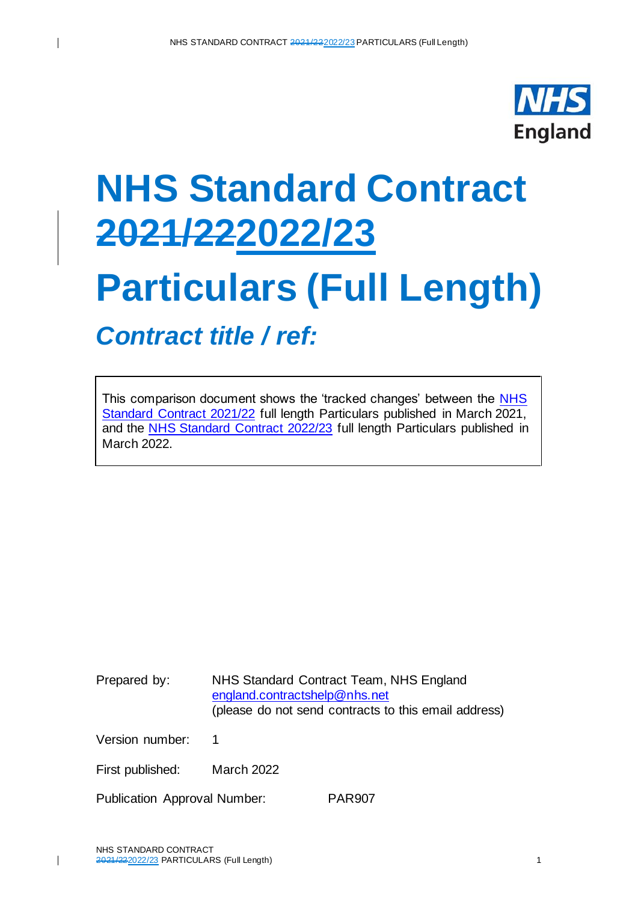

# **NHS Standard Contract 2021/222022/23**

# **Particulars (Full Length)**

*Contract title / ref:*

This comparison document shows the 'tracked changes' between the [NHS](https://www.england.nhs.uk/nhs-standard-contract/21-22/full-length-nhs-standard-contract-2021-22-particulars-service-conditions-general-conditions/)  [Standard Contract 2021/22](https://www.england.nhs.uk/nhs-standard-contract/21-22/full-length-nhs-standard-contract-2021-22-particulars-service-conditions-general-conditions/) full length Particulars published in March 2021, and the [NHS Standard Contract](https://www.england.nhs.uk/nhs-standard-contract/) 2022/23 full length Particulars published in March 2022.

Prepared by: NHS Standard Contract Team, NHS England [england.contractshelp@nhs.net](mailto:england.contractshelp@nhs.net) (please do not send contracts to this email address)

Version number: 1

 $\mathbf{I}$ 

First published: March 2022

Publication Approval Number: PAR907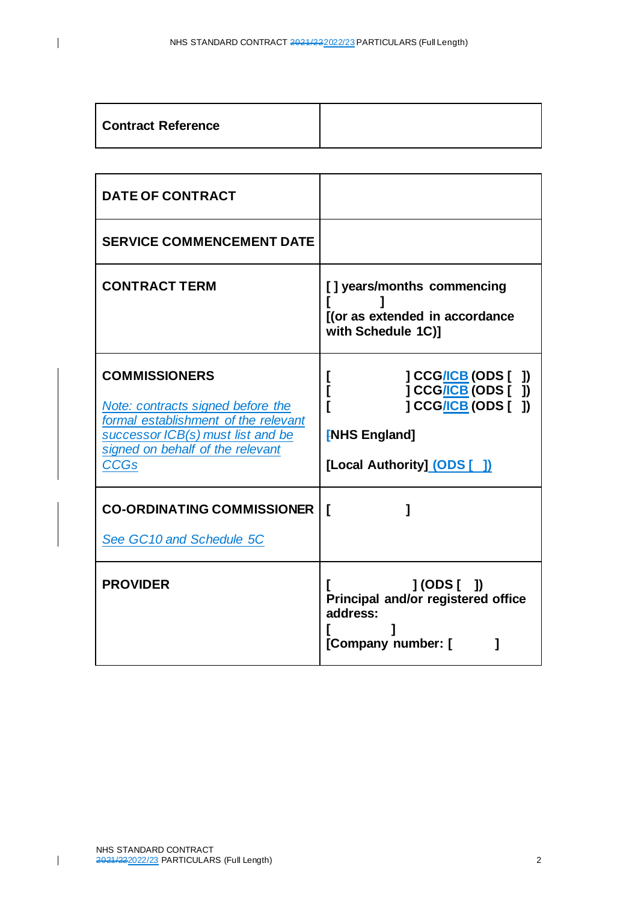| Contract Reference |  |
|--------------------|--|
|--------------------|--|

| <b>DATE OF CONTRACT</b>                                                                                                                                                                   |                                                                                                                                    |
|-------------------------------------------------------------------------------------------------------------------------------------------------------------------------------------------|------------------------------------------------------------------------------------------------------------------------------------|
| <b>SERVICE COMMENCEMENT DATE</b>                                                                                                                                                          |                                                                                                                                    |
| <b>CONTRACT TERM</b>                                                                                                                                                                      | [] years/months commencing<br>[(or as extended in accordance<br>with Schedule 1C)]                                                 |
| <b>COMMISSIONERS</b><br>Note: contracts signed before the<br>formal establishment of the relevant<br>successor ICB(s) must list and be<br>signed on behalf of the relevant<br><b>CCGs</b> | ] CCG/ICB (ODS [ ])<br>L<br>] CCG/ICB (ODS [ ])<br>I<br>] CCG/ICB (ODS [ ])<br><b>[NHS England]</b><br>[Local Authority] (ODS [ ]) |
| <b>CO-ORDINATING COMMISSIONER</b><br>See GC10 and Schedule 5C                                                                                                                             | ſ                                                                                                                                  |
| <b>PROVIDER</b>                                                                                                                                                                           | $J(ODS[$ $])$<br>Principal and/or registered office<br>address:<br>[Company number: [<br>1                                         |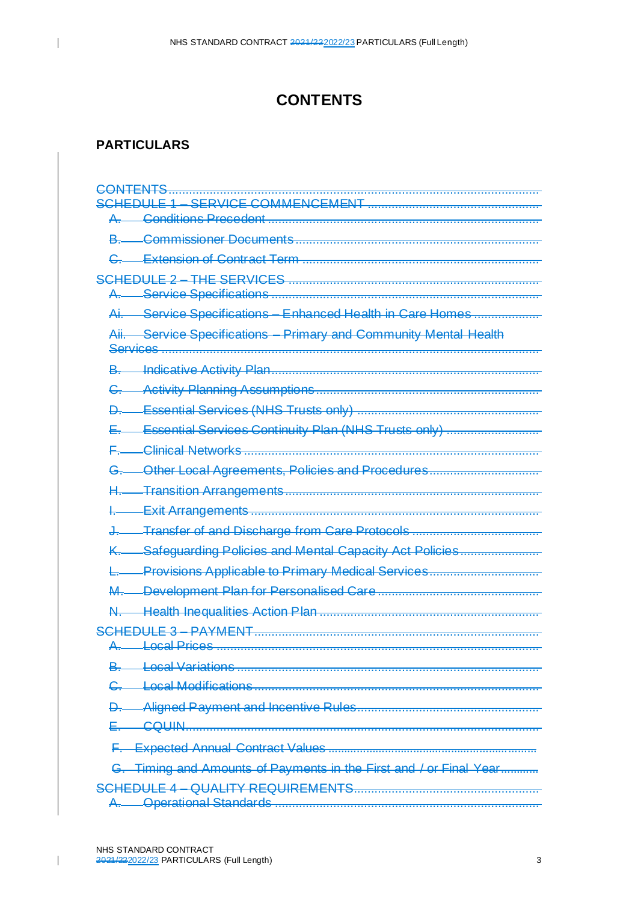# **CONTENTS**

## **PARTICULARS**

<span id="page-2-0"></span> $\overline{1}$ 

| <del>A.</del> —<br>Service Specifications - Enhanced Health in Care Homes<br>صنم<br>Aii. Service Specifications - Primary and Community Mental Health<br>₽.<br>Essential Services Continuity Plan (NHS Trusts only)<br>Other Local Agreements, Policies and Procedures<br>≏<br>K. Safeguarding Policies and Mental Capacity Act Policies<br>Provisions Applicable to Primary Medical Services<br>SCHEDULE 3 - PAYMENT<br><b>Local Variations</b><br>G. Timing and Amounts of Payments in the First and / or Final Year | CONTENTS             |
|------------------------------------------------------------------------------------------------------------------------------------------------------------------------------------------------------------------------------------------------------------------------------------------------------------------------------------------------------------------------------------------------------------------------------------------------------------------------------------------------------------------------|----------------------|
|                                                                                                                                                                                                                                                                                                                                                                                                                                                                                                                        | SERVICE COMMENCEMENT |
|                                                                                                                                                                                                                                                                                                                                                                                                                                                                                                                        |                      |
|                                                                                                                                                                                                                                                                                                                                                                                                                                                                                                                        |                      |
|                                                                                                                                                                                                                                                                                                                                                                                                                                                                                                                        |                      |
|                                                                                                                                                                                                                                                                                                                                                                                                                                                                                                                        |                      |
|                                                                                                                                                                                                                                                                                                                                                                                                                                                                                                                        |                      |
|                                                                                                                                                                                                                                                                                                                                                                                                                                                                                                                        |                      |
|                                                                                                                                                                                                                                                                                                                                                                                                                                                                                                                        |                      |
|                                                                                                                                                                                                                                                                                                                                                                                                                                                                                                                        |                      |
|                                                                                                                                                                                                                                                                                                                                                                                                                                                                                                                        |                      |
|                                                                                                                                                                                                                                                                                                                                                                                                                                                                                                                        |                      |
|                                                                                                                                                                                                                                                                                                                                                                                                                                                                                                                        |                      |
|                                                                                                                                                                                                                                                                                                                                                                                                                                                                                                                        |                      |
|                                                                                                                                                                                                                                                                                                                                                                                                                                                                                                                        |                      |
|                                                                                                                                                                                                                                                                                                                                                                                                                                                                                                                        |                      |
|                                                                                                                                                                                                                                                                                                                                                                                                                                                                                                                        |                      |
|                                                                                                                                                                                                                                                                                                                                                                                                                                                                                                                        |                      |
|                                                                                                                                                                                                                                                                                                                                                                                                                                                                                                                        |                      |
|                                                                                                                                                                                                                                                                                                                                                                                                                                                                                                                        |                      |
|                                                                                                                                                                                                                                                                                                                                                                                                                                                                                                                        |                      |
|                                                                                                                                                                                                                                                                                                                                                                                                                                                                                                                        |                      |
|                                                                                                                                                                                                                                                                                                                                                                                                                                                                                                                        |                      |
|                                                                                                                                                                                                                                                                                                                                                                                                                                                                                                                        |                      |
|                                                                                                                                                                                                                                                                                                                                                                                                                                                                                                                        |                      |
|                                                                                                                                                                                                                                                                                                                                                                                                                                                                                                                        |                      |
|                                                                                                                                                                                                                                                                                                                                                                                                                                                                                                                        |                      |
|                                                                                                                                                                                                                                                                                                                                                                                                                                                                                                                        |                      |
|                                                                                                                                                                                                                                                                                                                                                                                                                                                                                                                        |                      |
|                                                                                                                                                                                                                                                                                                                                                                                                                                                                                                                        |                      |
|                                                                                                                                                                                                                                                                                                                                                                                                                                                                                                                        |                      |
|                                                                                                                                                                                                                                                                                                                                                                                                                                                                                                                        |                      |
|                                                                                                                                                                                                                                                                                                                                                                                                                                                                                                                        |                      |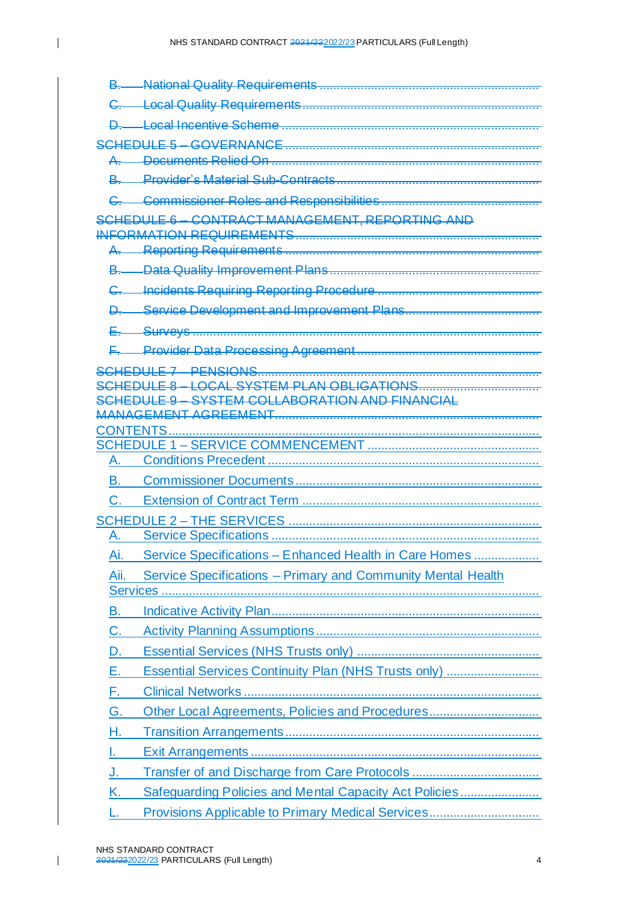$\overline{1}$ 

| <u>R</u>                                                             |
|----------------------------------------------------------------------|
|                                                                      |
| SCHEDULE 6 - CONTRACT MANAGEMENT, REPORTING AND                      |
|                                                                      |
|                                                                      |
|                                                                      |
|                                                                      |
|                                                                      |
|                                                                      |
|                                                                      |
|                                                                      |
| SCHEDLILE 9 - SYSTEM COLLABORATION AND FINANCIAL                     |
|                                                                      |
|                                                                      |
| A.                                                                   |
| В.                                                                   |
| C.                                                                   |
|                                                                      |
| A.                                                                   |
| Service Specifications - Enhanced Health in Care Homes<br>Ai.        |
| Service Specifications - Primary and Community Mental Health<br>Aii. |
| В.                                                                   |
|                                                                      |
| C.                                                                   |
| D.                                                                   |
| Essential Services Continuity Plan (NHS Trusts only)<br>Е.           |
| F.                                                                   |
| Other Local Agreements, Policies and Procedures<br>G.                |
| Н.                                                                   |
|                                                                      |
| J.                                                                   |
| Safeguarding Policies and Mental Capacity Act Policies<br>K.         |
|                                                                      |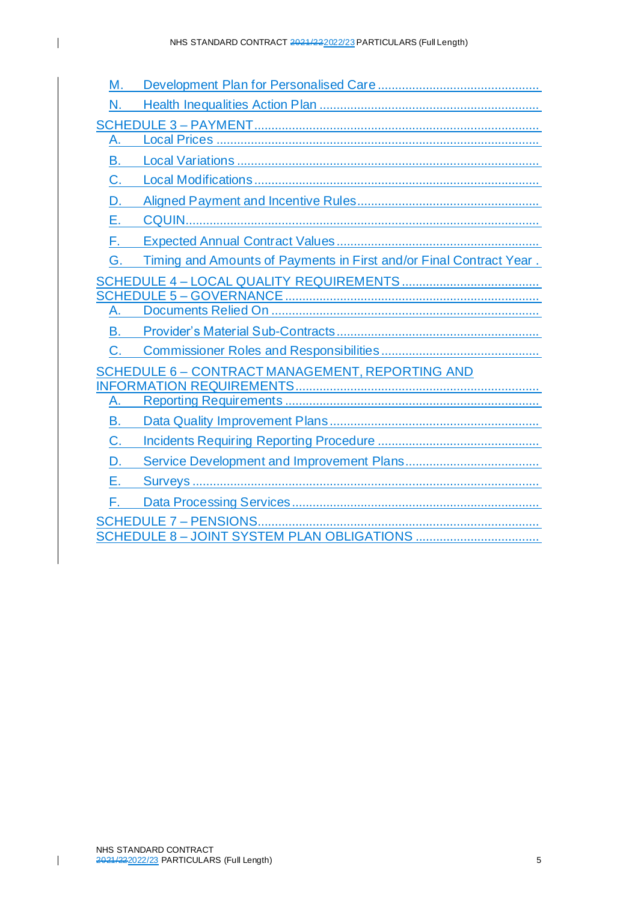| Μ. |                                                                     |
|----|---------------------------------------------------------------------|
| N. |                                                                     |
|    |                                                                     |
| A. |                                                                     |
| В. |                                                                     |
| C. |                                                                     |
| D  |                                                                     |
| Е. |                                                                     |
| F. |                                                                     |
| G  | Timing and Amounts of Payments in First and/or Final Contract Year. |
|    |                                                                     |
|    |                                                                     |
| A  |                                                                     |
| В. |                                                                     |
| C. |                                                                     |
|    | <u>SCHEDULE 6 - CONTRACT MANAGEMENT, REPORTING AND</u>              |
|    |                                                                     |
| A. |                                                                     |
| В. |                                                                     |
| C. |                                                                     |
| D. |                                                                     |
| Е. |                                                                     |
| F. |                                                                     |
|    |                                                                     |

SCHEDULE 8 – [JOINT SYSTEM PLAN OBLIGATIONS](#page-79-0) ....................................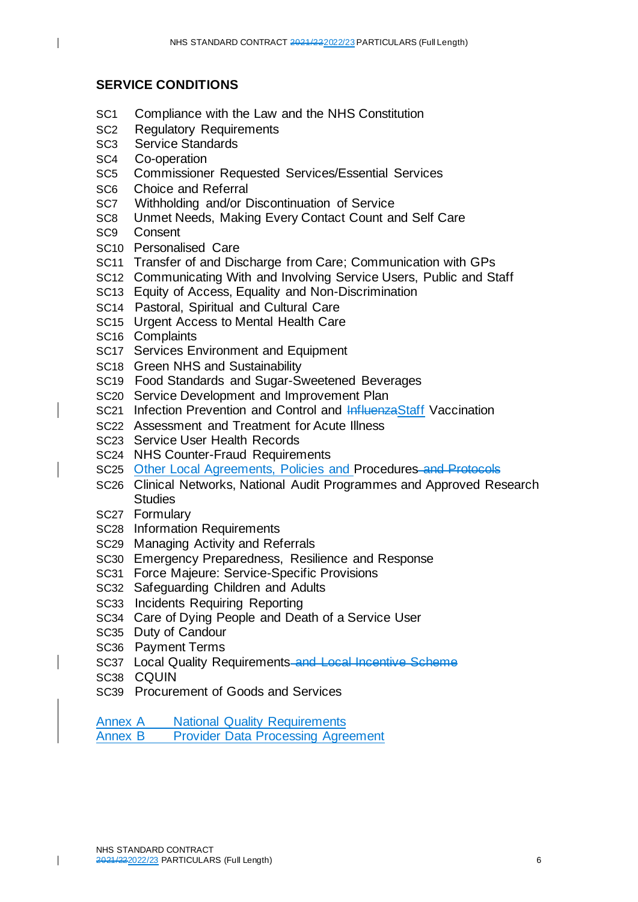#### **SERVICE CONDITIONS**

- SC1 Compliance with the Law and the NHS Constitution
- SC2 Regulatory Requirements
- SC3 Service Standards
- SC4 Co-operation

 $\overline{\phantom{a}}$ 

- SC5 Commissioner Requested Services/Essential Services
- SC6 Choice and Referral
- SC7 Withholding and/or Discontinuation of Service
- SC8 Unmet Needs, Making Every Contact Count and Self Care
- SC9 Consent
- SC10 Personalised Care
- SC11 Transfer of and Discharge from Care; Communication with GPs
- SC12 Communicating With and Involving Service Users, Public and Staff
- SC13 Equity of Access, Equality and Non-Discrimination
- SC14 Pastoral, Spiritual and Cultural Care
- SC15 Urgent Access to Mental Health Care
- SC16 Complaints
- SC17 Services Environment and Equipment
- SC18 Green NHS and Sustainability
- SC19 Food Standards and Sugar-Sweetened Beverages
- SC20 Service Development and Improvement Plan
- SC21 Infection Prevention and Control and InfluenzaStaff Vaccination
- SC22 Assessment and Treatment for Acute Illness
- SC23 Service User Health Records
- SC24 NHS Counter-Fraud Requirements
- SC25 Other Local Agreements, Policies and Procedures and Protocols
- SC26 Clinical Networks, National Audit Programmes and Approved Research **Studies**
- SC27 Formulary
- SC28 Information Requirements
- SC29 Managing Activity and Referrals
- SC30 Emergency Preparedness, Resilience and Response
- SC31 Force Majeure: Service-Specific Provisions
- SC32 Safeguarding Children and Adults
- SC33 Incidents Requiring Reporting
- SC34 Care of Dying People and Death of a Service User
- SC35 Duty of Candour
- SC36 Payment Terms
- SC37 Local Quality Requirements-and Local Incentive Scheme
- SC38 CQUIN

 $\overline{\phantom{a}}$ 

- SC39 Procurement of Goods and Services
- Annex A National Quality Requirements

Annex B Provider Data Processing Agreement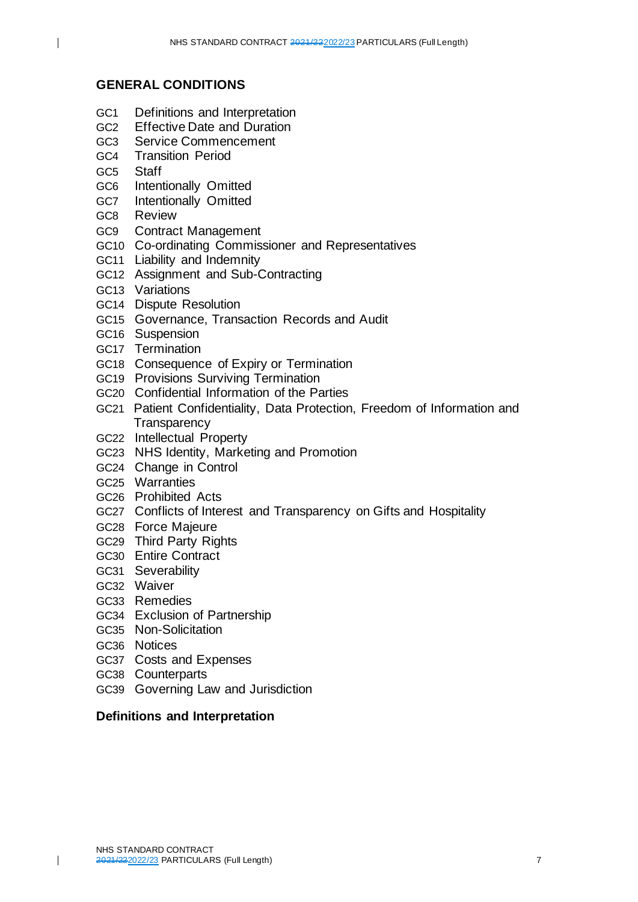### **GENERAL CONDITIONS**

- GC1 Definitions and Interpretation
- GC2 Effective Date and Duration
- GC3 Service Commencement
- GC4 Transition Period
- GC5 Staff

 $\overline{1}$ 

- GC6 Intentionally Omitted
- GC7 Intentionally Omitted
- GC8 Review
- GC9 Contract Management
- GC10 Co-ordinating Commissioner and Representatives
- GC11 Liability and Indemnity
- GC12 Assignment and Sub-Contracting
- GC13 Variations
- GC14 Dispute Resolution
- GC15 Governance, Transaction Records and Audit
- GC16 Suspension
- GC17 Termination
- GC18 Consequence of Expiry or Termination
- GC19 Provisions Surviving Termination
- GC20 Confidential Information of the Parties
- GC21 Patient Confidentiality, Data Protection, Freedom of Information and **Transparency**
- GC22 Intellectual Property
- GC23 NHS Identity, Marketing and Promotion
- GC24 Change in Control
- GC25 Warranties
- GC26 Prohibited Acts
- GC27 Conflicts of Interest and Transparency on Gifts and Hospitality
- GC28 Force Majeure
- GC29 Third Party Rights
- GC30 Entire Contract
- GC31 Severability
- GC32 Waiver
- GC33 Remedies
- GC34 Exclusion of Partnership
- GC35 Non-Solicitation
- GC36 Notices

 $\overline{\phantom{a}}$ 

- GC37 Costs and Expenses
- GC38 Counterparts
- GC39 Governing Law and Jurisdiction

#### **Definitions and Interpretation**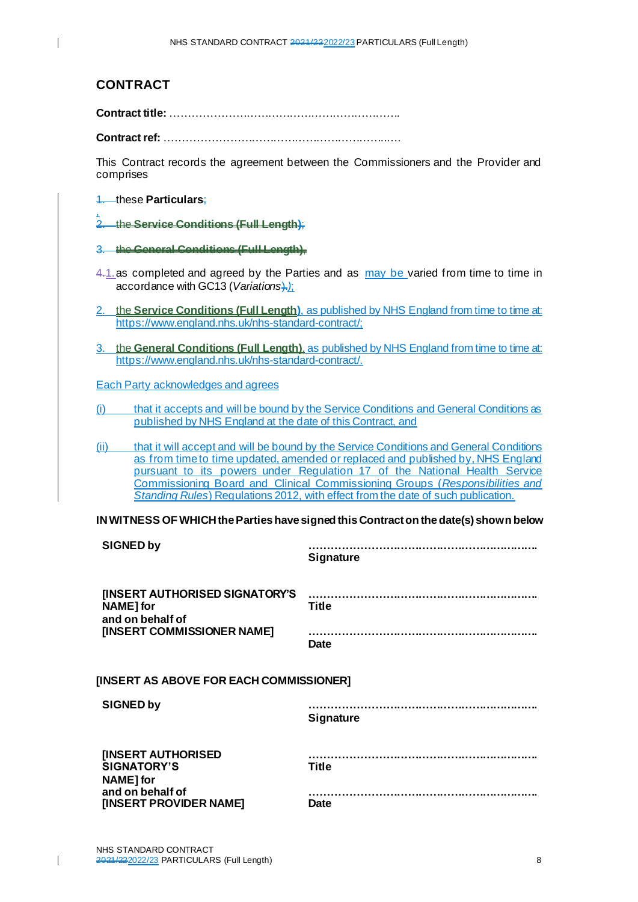## **CONTRACT**

**Contract title:** ……………………………………………………….

**Contract ref:** ……………………………………………………..….

This Contract records the agreement between the Commissioners and the Provider and comprises

#### 1. these **Particulars**;

, 2. the **Service Conditions (Full Length)**;

- 3. the **General Conditions (Full Length)**,
- 4.1.as completed and agreed by the Parties and as may be varied from time to time in accordance with GC13 (*Variations*).*)*;
- 2. the **Service Conditions (Full Length)**, as published by NHS England from time to time at: <https://www.england.nhs.uk/nhs-standard-contract/;>
- 3. the **General Conditions (Full Length)**, as published by NHS England from time to time at: <https://www.england.nhs.uk/nhs-standard-contract/>.

Each Party acknowledges and agrees

(i) that it accepts and will be bound by the Service Conditions and General Conditions as published by NHS England at the date of this Contract, and

(ii) that it will accept and will be bound by the Service Conditions and General Conditions as from time to time updated, amended or replaced and published by, NHS England pursuant to its powers under Regulation 17 of the National Health Service Commissioning Board and Clinical Commissioning Groups (*Responsibilities and Standing Rules*) Regulations 2012, with effect from the date of such publication.

#### **IN WITNESS OF WHICH the Parties have signed this Contract on the date(s) shown below**

| <b>SIGNED by</b>                                                | <b>Signature</b> |  |
|-----------------------------------------------------------------|------------------|--|
| [INSERT AUTHORISED SIGNATORY'S<br>NAME] for<br>and on behalf of | <b>Title</b>     |  |
| [INSERT COMMISSIONER NAME]                                      | <b>Date</b>      |  |
| [INSERT AS ABOVE FOR EACH COMMISSIONER]                         |                  |  |
| <b>SIGNED by</b>                                                | <b>Signature</b> |  |
| <b>[INSERT AUTHORISED</b><br><b>SIGNATORY'S</b><br>NAME] for    | <b>Title</b>     |  |
| and on behalf of<br><b>[INSERT PROVIDER NAME]</b>               | <b>Date</b>      |  |

 $\mathbf I$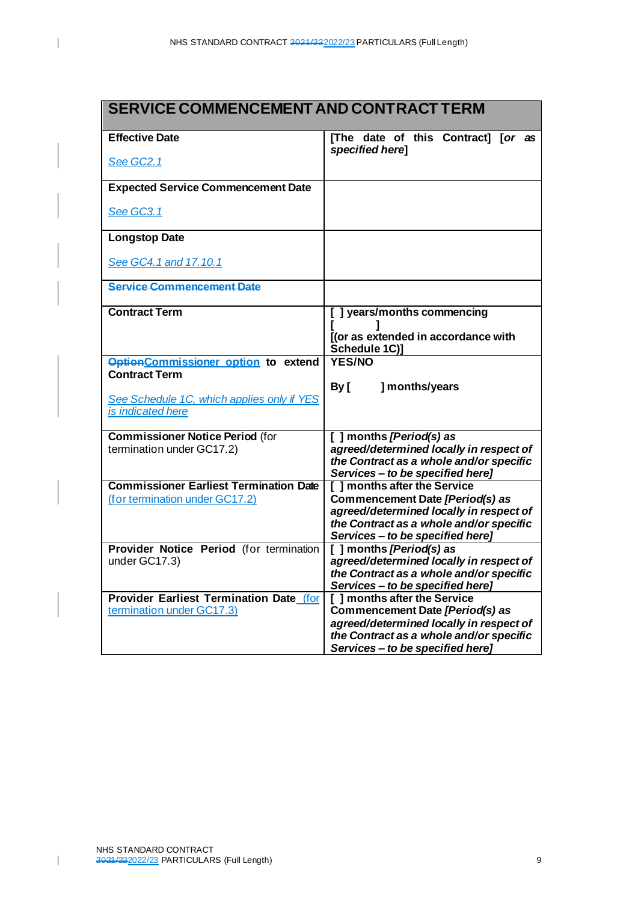| SERVICE COMMENCEMENT AND CONTRACT TERM                                          |                                                                             |
|---------------------------------------------------------------------------------|-----------------------------------------------------------------------------|
| <b>Effective Date</b>                                                           | [The date of this Contract] [or as<br>specified herel                       |
| See GC2.1                                                                       |                                                                             |
| <b>Expected Service Commencement Date</b>                                       |                                                                             |
| See GC3.1                                                                       |                                                                             |
| <b>Longstop Date</b>                                                            |                                                                             |
| See GC4.1 and 17.10.1                                                           |                                                                             |
| <b>Service Commencement Date</b>                                                |                                                                             |
| <b>Contract Term</b>                                                            | [] years/months commencing                                                  |
|                                                                                 | [(or as extended in accordance with<br>Schedule 1C)]                        |
| <b>OptionCommissioner option to extend</b><br><b>Contract Term</b>              | <b>YES/NO</b>                                                               |
| See Schedule 1C, which applies only if YES                                      | ] months/years<br>By [                                                      |
| is indicated here                                                               |                                                                             |
| <b>Commissioner Notice Period (for</b><br>termination under GC17.2)             | [ ] months [Period(s) as<br>agreed/determined locally in respect of         |
|                                                                                 | the Contract as a whole and/or specific<br>Services - to be specified here] |
| <b>Commissioner Earliest Termination Date</b><br>(for termination under GC17.2) | [ ] months after the Service<br>Commencement Date [Period(s) as             |
|                                                                                 | agreed/determined locally in respect of                                     |
|                                                                                 | the Contract as a whole and/or specific<br>Services - to be specified here] |
| Provider Notice Period (for termination<br>under GC17.3)                        | [ ] months [Period(s) as<br>agreed/determined locally in respect of         |
|                                                                                 | the Contract as a whole and/or specific<br>Services - to be specified here] |
| Provider Earliest Termination Date (for<br>termination under GC17.3)            | [ ] months after the Service<br>Commencement Date [Period(s) as             |
|                                                                                 | agreed/determined locally in respect of                                     |
|                                                                                 | the Contract as a whole and/or specific<br>Services - to be specified here] |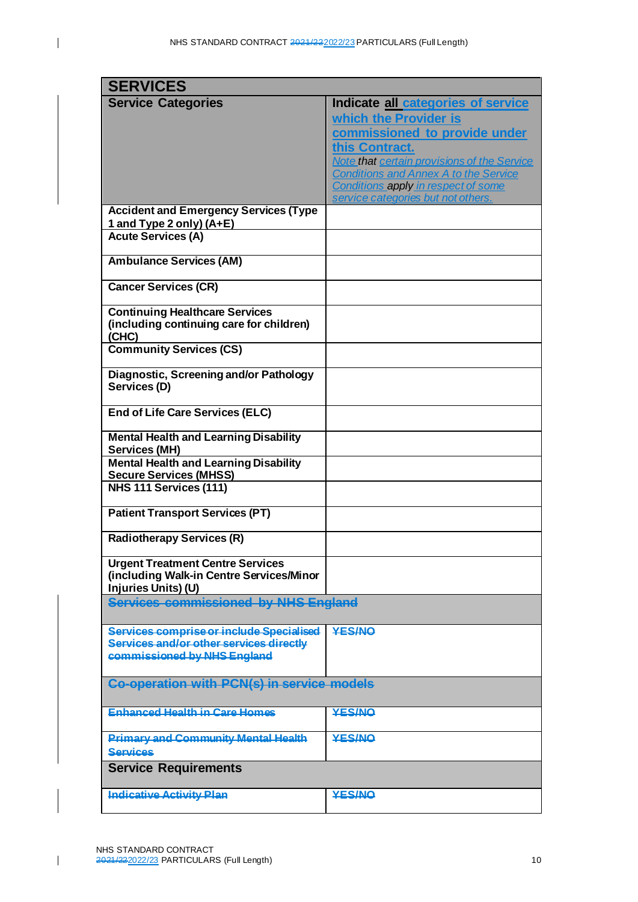$\overline{\mathbf{I}}$ 

| <b>SERVICES</b>                                                                                                    |                                                                                                                                                               |
|--------------------------------------------------------------------------------------------------------------------|---------------------------------------------------------------------------------------------------------------------------------------------------------------|
| <b>Service Categories</b>                                                                                          | Indicate all categories of service<br>which the Provider is<br>commissioned to provide under<br>this Contract.<br>Note that certain provisions of the Service |
|                                                                                                                    | <b>Conditions and Annex A to the Service</b><br>Conditions apply in respect of some<br>service categories but not others.                                     |
| <b>Accident and Emergency Services (Type</b><br>1 and Type 2 only) (A+E)                                           |                                                                                                                                                               |
| <b>Acute Services (A)</b>                                                                                          |                                                                                                                                                               |
| <b>Ambulance Services (AM)</b>                                                                                     |                                                                                                                                                               |
| <b>Cancer Services (CR)</b>                                                                                        |                                                                                                                                                               |
| <b>Continuing Healthcare Services</b><br>(including continuing care for children)<br>(CHC)                         |                                                                                                                                                               |
| <b>Community Services (CS)</b>                                                                                     |                                                                                                                                                               |
| Diagnostic, Screening and/or Pathology<br>Services (D)                                                             |                                                                                                                                                               |
| <b>End of Life Care Services (ELC)</b>                                                                             |                                                                                                                                                               |
| <b>Mental Health and Learning Disability</b><br><b>Services (MH)</b>                                               |                                                                                                                                                               |
| <b>Mental Health and Learning Disability</b><br><b>Secure Services (MHSS)</b>                                      |                                                                                                                                                               |
| NHS 111 Services (111)                                                                                             |                                                                                                                                                               |
| <b>Patient Transport Services (PT)</b>                                                                             |                                                                                                                                                               |
| <b>Radiotherapy Services (R)</b>                                                                                   |                                                                                                                                                               |
| <b>Urgent Treatment Centre Services</b><br>(including Walk-in Centre Services/Minor<br>Injuries Units) (U)         |                                                                                                                                                               |
| Services commissioned by NHS England                                                                               |                                                                                                                                                               |
| Services comprise or include Specialised<br>Services and/or other services directly<br>commissioned by NHS England | <b>YES/NO</b>                                                                                                                                                 |
| <b>Co-operation with PCN(s) in service models</b>                                                                  |                                                                                                                                                               |
| <b>Enhanced Health in Care Homes</b>                                                                               | <b>YES/NO</b>                                                                                                                                                 |
| <b>Primary and Community Mental Health</b><br><b>Services</b>                                                      | <b>YES/NO</b>                                                                                                                                                 |
| <b>Service Requirements</b>                                                                                        |                                                                                                                                                               |
| <b>Indicative Activity Plan</b>                                                                                    | <b>YES/NO</b>                                                                                                                                                 |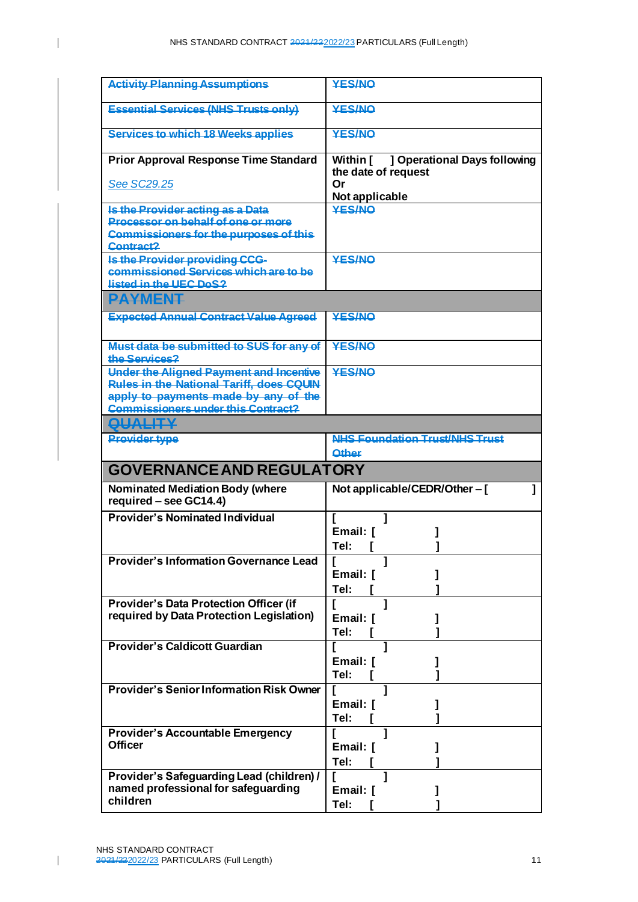| <b>Activity Planning Assumptions</b>                       | <b>YES/NO</b>                                                |
|------------------------------------------------------------|--------------------------------------------------------------|
| <b>Essential Services (NHS Trusts only)</b>                | <b>YES/NO</b>                                                |
| <b>Services to which 18 Weeks applies</b>                  | <b>YES/NO</b>                                                |
| <b>Prior Approval Response Time Standard</b>               | Within [ ] Operational Days following<br>the date of request |
| See SC29.25                                                | Or<br>Not applicable                                         |
| Is the Provider acting as a Data                           | <b>YES/NO</b>                                                |
| Processor on behalf of one or more                         |                                                              |
| <b>Commissioners for the purposes of this</b><br>Contract? |                                                              |
| Is the Provider providing CCG-                             | <b>YES/NO</b>                                                |
| commissioned Services which are to be                      |                                                              |
| listed in the UEC DoS?<br><b>PAYMENT</b>                   |                                                              |
|                                                            | <b>YES/NO</b>                                                |
| <b>Expected Annual Contract Value Agreed</b>               |                                                              |
| Must data be submitted to SUS for any of<br>the Services?  | <b>YES/NO</b>                                                |
| <b>Under the Aligned Payment and Incentive</b>             | <b>YES/NO</b>                                                |
| <b>Rules in the National Tariff, does CQUIN</b>            |                                                              |
| apply to payments made by any of the                       |                                                              |
| <b>Commissioners under this Contract?</b>                  |                                                              |
| <b>QUALITY</b>                                             |                                                              |
| <b>Provider type</b>                                       | <b>NHS Foundation Trust/NHS Trust</b>                        |
|                                                            | <b>Other</b>                                                 |
| <b>GOVERNANCE AND REGULATORY</b>                           |                                                              |
| Nominated Mediation Body (where<br>required - see GC14.4)  | Not applicable/CEDR/Other - [                                |
| <b>Provider's Nominated Individual</b>                     |                                                              |
|                                                            | Email: I                                                     |
|                                                            | Tel:                                                         |
| <b>Provider's Information Governance Lead</b>              |                                                              |
|                                                            | Email: [                                                     |
|                                                            | Tel:                                                         |
| <b>Provider's Data Protection Officer (if</b>              | Г                                                            |
| required by Data Protection Legislation)                   | Email: [                                                     |
|                                                            | Tel:                                                         |
| <b>Provider's Caldicott Guardian</b>                       |                                                              |
|                                                            | Email: [                                                     |
|                                                            | Tel:                                                         |
| <b>Provider's Senior Information Risk Owner</b>            | 1                                                            |
|                                                            | Email: [                                                     |
|                                                            | Tel:                                                         |
| <b>Provider's Accountable Emergency</b><br><b>Officer</b>  | 1                                                            |
|                                                            | Email: [<br>Tel:                                             |
|                                                            |                                                              |
|                                                            |                                                              |
| Provider's Safeguarding Lead (children) /                  |                                                              |
| named professional for safeguarding<br>children            | Email: [<br>Tel:                                             |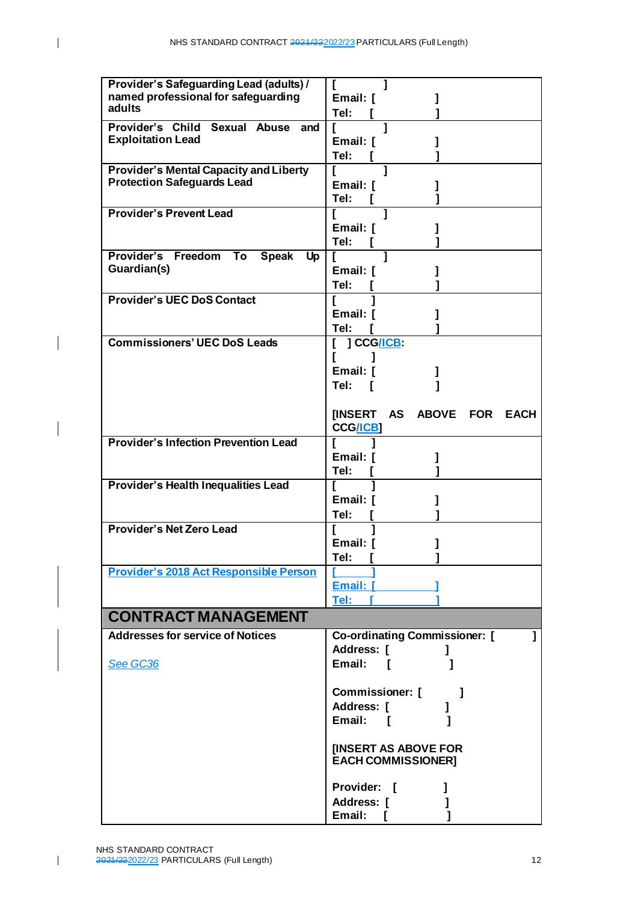$\overline{1}$ 

 $\overline{\phantom{a}}$ 

 $\overline{\phantom{a}}$ 

| Provider's Safeguarding Lead (adults) /<br>named professional for safeguarding<br>adults | Email: [<br>Tel:                                               |
|------------------------------------------------------------------------------------------|----------------------------------------------------------------|
| Provider's Child Sexual Abuse and<br><b>Exploitation Lead</b>                            | Email: [<br>Tel:                                               |
| <b>Provider's Mental Capacity and Liberty</b><br><b>Protection Safeguards Lead</b>       | 1<br>ſ<br>Email: [<br>Tel:                                     |
| <b>Provider's Prevent Lead</b>                                                           | ı<br>Email: [<br>Tel:                                          |
| Provider's Freedom<br>To<br><b>Speak</b><br><b>Up</b><br>Guardian(s)                     | Email: [<br>Tel:                                               |
| <b>Provider's UEC DoS Contact</b>                                                        | Email: [<br>Tel:                                               |
| <b>Commissioners' UEC DoS Leads</b>                                                      | ] CCG <u>/ICB</u> :<br>ſ<br>Email: [<br>Tel:                   |
|                                                                                          | [INSERT AS ABOVE FOR<br><b>EACH</b><br><b>CCG/ICB1</b>         |
| <b>Provider's Infection Prevention Lead</b>                                              | Email: [<br>Tel:                                               |
| <b>Provider's Health Inequalities Lead</b>                                               | Email: I<br>Tel:                                               |
| <b>Provider's Net Zero Lead</b>                                                          | Email: [<br>Tel:                                               |
| <b>Provider's 2018 Act Responsible Person</b>                                            | Email: [ <b>Continued:</b><br><u> Tel: [ ______</u>            |
| <b>CONTRACT MANAGEMENT</b>                                                               |                                                                |
| <b>Addresses for service of Notices</b><br>See GC36                                      | <b>Co-ordinating Commissioner:</b> [<br>Address: [<br>Email: [ |
|                                                                                          | Commissioner: [<br>Address: [<br>Email: [                      |
|                                                                                          | <b>IINSERT AS ABOVE FOR</b><br><b>EACH COMMISSIONER]</b>       |
|                                                                                          | Provider: [<br>Г<br>Address: [<br>Email:                       |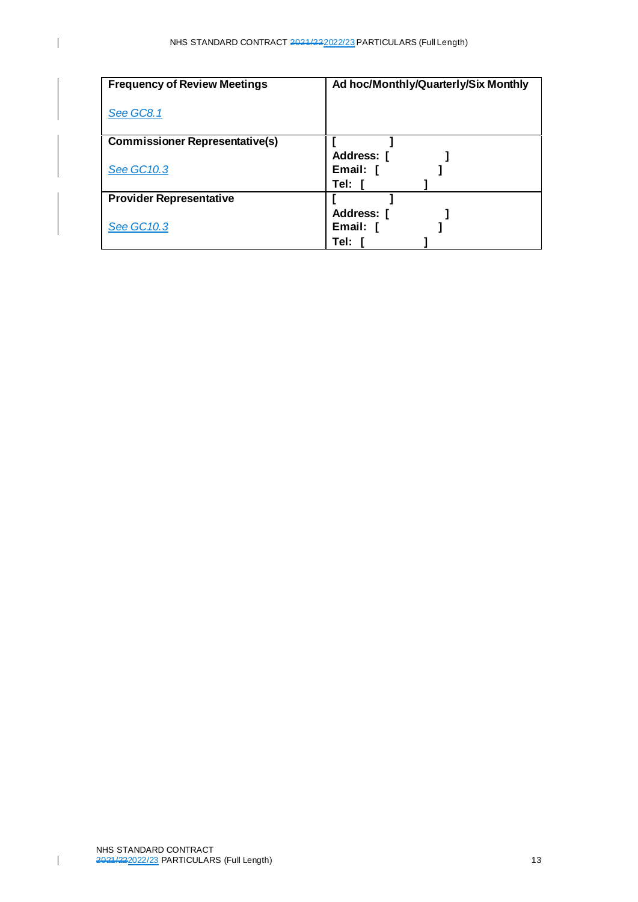| <b>Frequency of Review Meetings</b>   | Ad hoc/Monthly/Quarterly/Six Monthly |
|---------------------------------------|--------------------------------------|
| <b>See GC8.1</b>                      |                                      |
| <b>Commissioner Representative(s)</b> |                                      |
|                                       | Address: [                           |
| <b>See GC10.3</b>                     | Email: [                             |
|                                       | Tel:                                 |
| <b>Provider Representative</b>        |                                      |
|                                       | Address: [                           |
| <b>See GC10.3</b>                     | Email: [                             |
|                                       | Tel:                                 |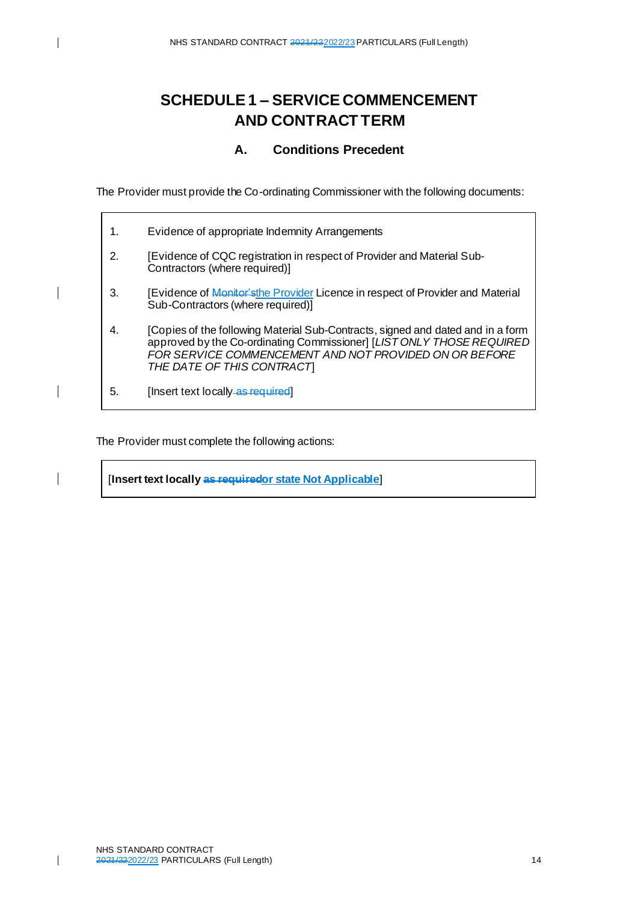# <span id="page-13-0"></span>**SCHEDULE 1 – SERVICE COMMENCEMENT AND CONTRACT TERM**

## **A. Conditions Precedent**

<span id="page-13-1"></span>The Provider must provide the Co-ordinating Commissioner with the following documents:

| $\mathbf 1$ . | Evidence of appropriate Indemnity Arrangements                                                                                                                                                                                                  |
|---------------|-------------------------------------------------------------------------------------------------------------------------------------------------------------------------------------------------------------------------------------------------|
| 2.            | [Evidence of CQC registration in respect of Provider and Material Sub-<br>Contractors (where required)]                                                                                                                                         |
| 3.            | [Evidence of Monitor'sthe Provider Licence in respect of Provider and Material<br>Sub-Contractors (where required)]                                                                                                                             |
| 4.            | [Copies of the following Material Sub-Contracts, signed and dated and in a form<br>approved by the Co-ordinating Commissioner] [LIST ONLY THOSE REQUIRED<br>FOR SERVICE COMMENCEMENT AND NOT PROVIDED ON OR BEFORE<br>THE DATE OF THIS CONTRACT |
| 5.            | [Insert text locally as required]                                                                                                                                                                                                               |

The Provider must complete the following actions:

[**Insert text locally as requiredor state Not Applicable**]

 $\overline{\phantom{a}}$ 

 $\overline{\phantom{a}}$ 

 $\overline{\phantom{a}}$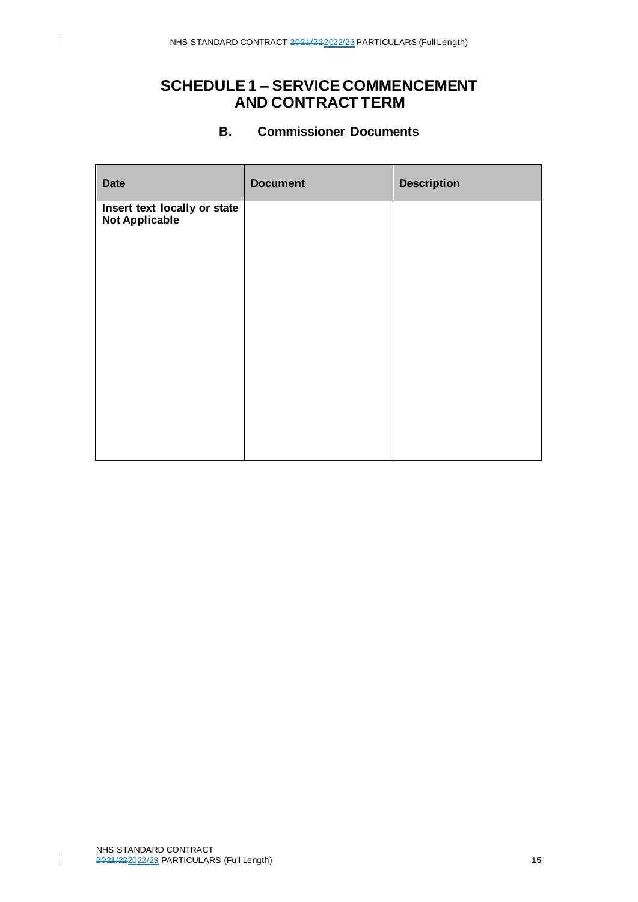# **SCHEDULE 1 – SERVICE COMMENCEMENT AND CONTRACT TERM**

#### **B. Commissioner Documents**

<span id="page-14-0"></span>

| <b>Date</b>                                           | <b>Document</b> | <b>Description</b> |
|-------------------------------------------------------|-----------------|--------------------|
| Insert text locally or state<br><b>Not Applicable</b> |                 |                    |
|                                                       |                 |                    |
|                                                       |                 |                    |
|                                                       |                 |                    |
|                                                       |                 |                    |
|                                                       |                 |                    |
|                                                       |                 |                    |
|                                                       |                 |                    |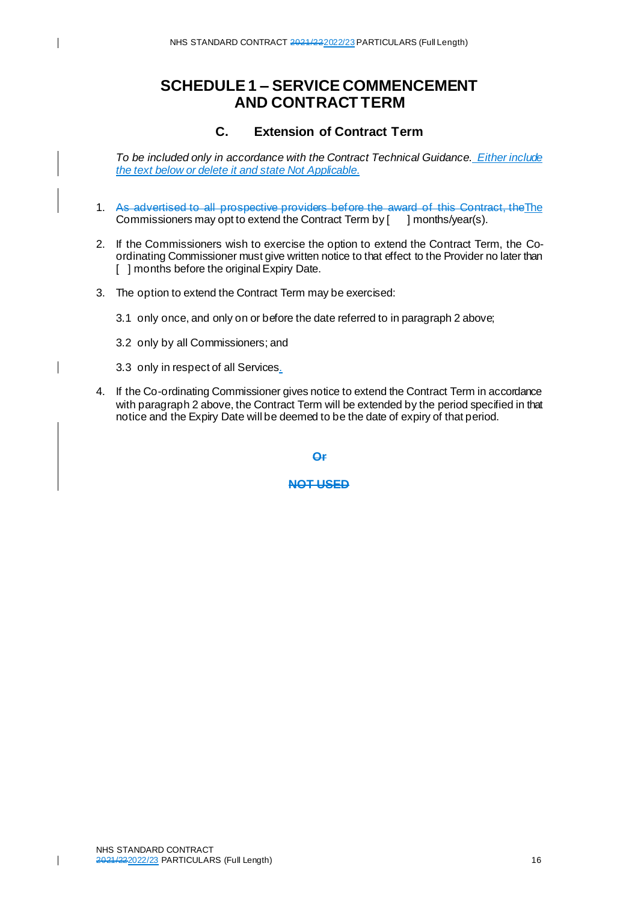## **SCHEDULE 1 – SERVICE COMMENCEMENT AND CONTRACT TERM**

#### **C. Extension of Contract Term**

<span id="page-15-0"></span>*To be included only in accordance with the Contract Technical Guidance. Either include the text below or delete it and state Not Applicable.*

- 1. As advertised to all prospective providers before the award of this Contract, theThe Commissioners may opt to extend the Contract Term by [ ] months/year(s).
- 2. If the Commissioners wish to exercise the option to extend the Contract Term, the Coordinating Commissioner must give written notice to that effect to the Provider no later than [ ] months before the original Expiry Date.
- 3. The option to extend the Contract Term may be exercised:
	- 3.1 only once, and only on or before the date referred to in paragraph 2 above;
	- 3.2 only by all Commissioners; and
	- 3.3 only in respect of all Services.
- 4. If the Co-ordinating Commissioner gives notice to extend the Contract Term in accordance with paragraph 2 above, the Contract Term will be extended by the period specified in that notice and the Expiry Date will be deemed to be the date of expiry of that period.

**Or**

**NOT USED**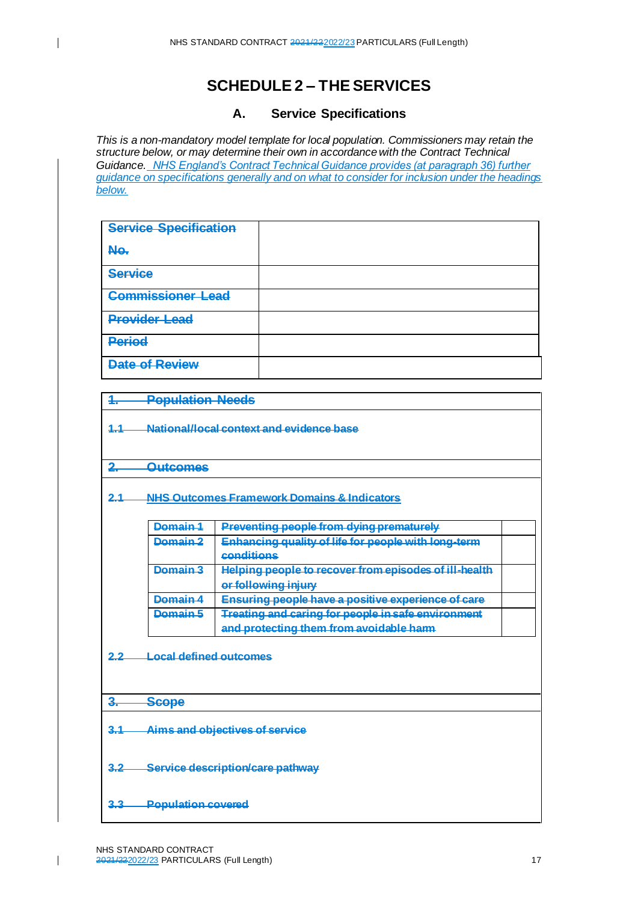### **A. Service Specifications**

<span id="page-16-1"></span>*This is a non-mandatory model template for local population. Commissioners may retain the structure below, or may determine their own in accordance with the Contract Technical Guidance. NHS England's Contract Technical Guidance provides (at paragraph 36) further guidance on specifications generally and on what to consider for inclusion under the headings below.* 

| <b>Service Specification</b> |  |
|------------------------------|--|
| No.                          |  |
| <b>Service</b>               |  |
| <b>Commissioner Lead</b>     |  |
| <b>Provider Lead</b>         |  |
| <b>Period</b>                |  |
| <b>Date of Review</b>        |  |

**1. Population Needs**

**1.1 National/local context and evidence base**

**2. Outcomes**

<span id="page-16-0"></span> $\overline{\phantom{a}}$ 

**2.1 NHS Outcomes Framework Domains & Indicators**

| Domain 1 | Preventing people from dying prematurely                                                      |  |
|----------|-----------------------------------------------------------------------------------------------|--|
| Domain 2 | <b>Enhancing quality of life for people with long-term</b><br>conditions                      |  |
| Damain 3 | Helping people to recover from episodes of ill-health<br>or following injury                  |  |
| Damain 1 | Ensuring people have a positive experience of care                                            |  |
| Domain 5 | Treating and caring for people in safe environment<br>and protecting them from avoidable harm |  |

**2.2 Local defined outcomes**

#### **3. Scope**

- **3.1 Aims and objectives of service**
- **3.2 Service description/care pathway**
- **3.3 Population covered**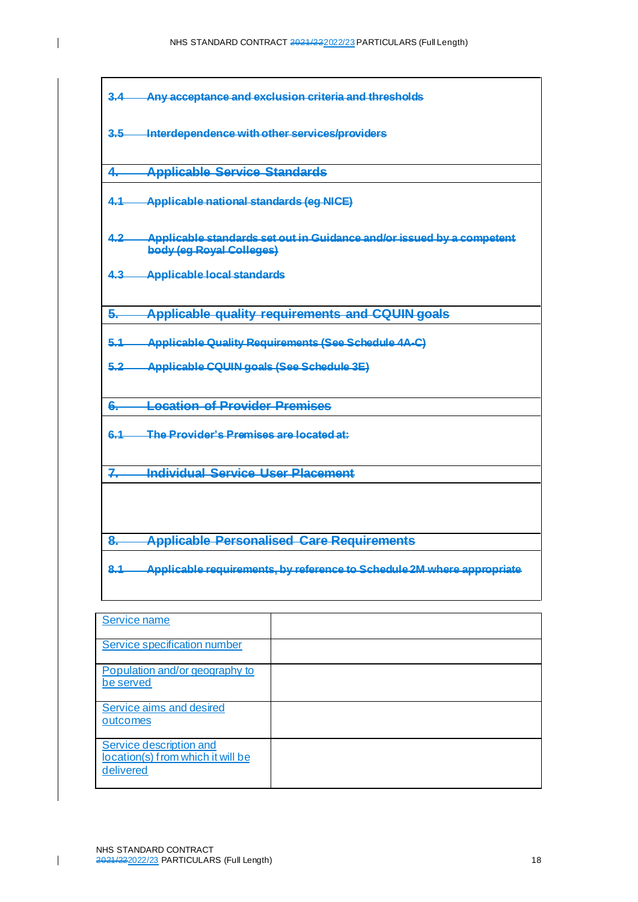**3.4 Any acceptance and exclusion criteria and thresholds 3.5 Interdependence with other services/providers 4. Applicable Service Standards 4.1 Applicable national standards (eg NICE) 4.2 Applicable standards set out in Guidance and/or issued by a competent body (eg Royal Colleges) 4.3 Applicable local standards 5. Applicable quality requirements and CQUIN goals 5.1 Applicable Quality Requirements (See Schedule 4A-C) 5.2 Applicable CQUIN goals (See Schedule 3E) 6. Location of Provider Premises 6.1 The Provider's Premises are located at: 7. Individual Service User Placement 8. Applicable Personalised Care Requirements 8.1 Applicable requirements, by reference to Schedule 2M where appropriate** Service name

| -------------                                                             |  |
|---------------------------------------------------------------------------|--|
| Service specification number                                              |  |
| Population and/or geography to<br>be served                               |  |
| Service aims and desired<br>outcomes                                      |  |
| Service description and<br>location(s) from which it will be<br>delivered |  |

 $\mathbf I$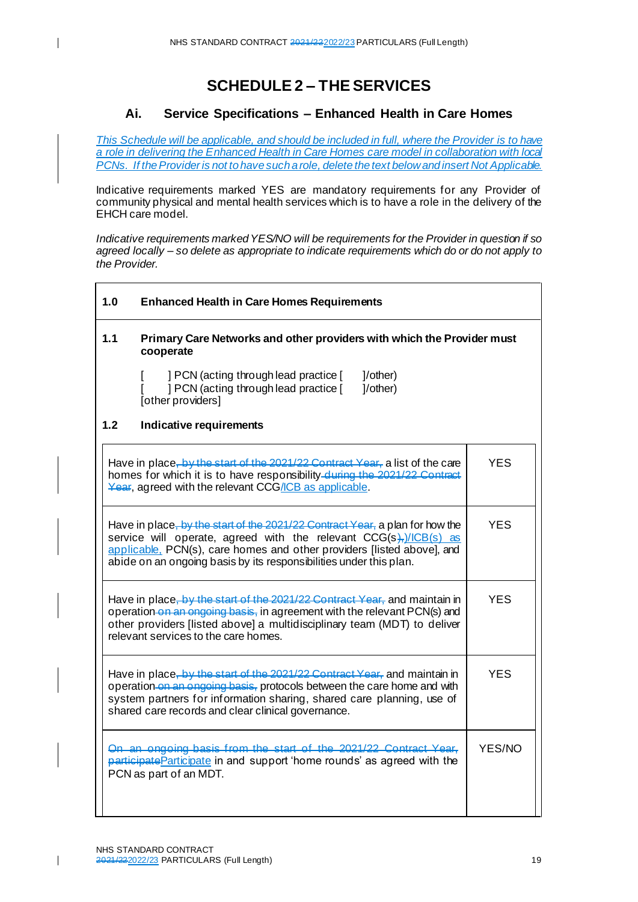# **SCHEDULE 2 – THE SERVICES**

### **Ai. Service Specifications – Enhanced Health in Care Homes**

<span id="page-18-0"></span>*This Schedule will be applicable, and should be included in full, where the Provider is to have a role in delivering the Enhanced Health in Care Homes care model in collaboration with local PCNs. If the Provider is not to have such a role, delete the text below and insert Not Applicable.* 

Indicative requirements marked YES are mandatory requirements for any Provider of community physical and mental health services which is to have a role in the delivery of the EHCH care model.

*Indicative requirements marked YES/NO will be requirements for the Provider in question if so agreed locally – so delete as appropriate to indicate requirements which do or do not apply to the Provider.*

| 1.0                                                                                                                                                                                                                                                                                 | <b>Enhanced Health in Care Homes Requirements</b>                                                                                                                                                                                                                                                       |        |
|-------------------------------------------------------------------------------------------------------------------------------------------------------------------------------------------------------------------------------------------------------------------------------------|---------------------------------------------------------------------------------------------------------------------------------------------------------------------------------------------------------------------------------------------------------------------------------------------------------|--------|
| 1.1                                                                                                                                                                                                                                                                                 | Primary Care Networks and other providers with which the Provider must<br>cooperate                                                                                                                                                                                                                     |        |
|                                                                                                                                                                                                                                                                                     | ] PCN (acting through lead practice [<br>]/other)<br>] PCN (acting through lead practice [<br>$1$ /other)<br>[other providers]                                                                                                                                                                          |        |
| 1.2                                                                                                                                                                                                                                                                                 | Indicative requirements                                                                                                                                                                                                                                                                                 |        |
|                                                                                                                                                                                                                                                                                     | Have in place, by the start of the 2021/22 Contract Year, a list of the care<br>homes for which it is to have responsibility-during the 2021/22 Contract<br>Year, agreed with the relevant CCG/ICB as applicable.                                                                                       | YES    |
|                                                                                                                                                                                                                                                                                     | Have in place, by the start of the 2021/22 Contract Year, a plan for how the<br>service will operate, agreed with the relevant $CCG(s)$ , $/(CB(s))$ as<br>applicable. PCN(s), care homes and other providers [listed above], and<br>abide on an ongoing basis by its responsibilities under this plan. |        |
|                                                                                                                                                                                                                                                                                     | Have in place, by the start of the 2021/22 Contract Year, and maintain in<br>operation on an engoing basis, in agreement with the relevant PCN(s) and<br>other providers [listed above] a multidisciplinary team (MDT) to deliver<br>relevant services to the care homes.                               |        |
| Have in place, by the start of the 2021/22 Contract Year, and maintain in<br>operation on an ongoing basis, protocols between the care home and with<br>system partners for information sharing, shared care planning, use of<br>shared care records and clear clinical governance. |                                                                                                                                                                                                                                                                                                         | YES.   |
| On an ongoing basis from the start of the 2021/22 Contract Year,<br>participate Participate in and support 'home rounds' as agreed with the<br>PCN as part of an MDT.                                                                                                               |                                                                                                                                                                                                                                                                                                         | YES/NO |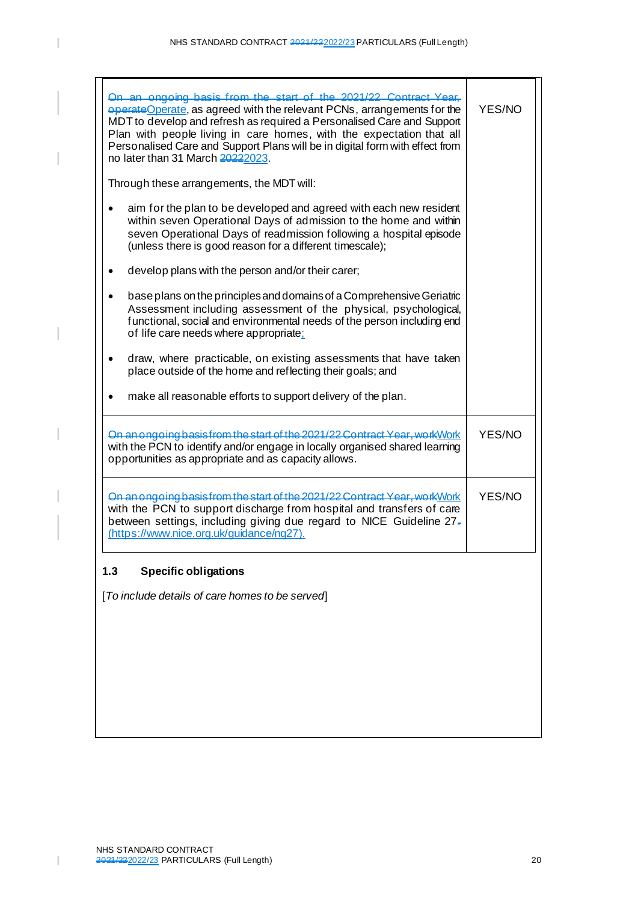$\overline{\phantom{a}}$ 

 $\overline{\phantom{a}}$ 

 $\overline{\mathbf{I}}$ 

 $\mathbf{I}$ 

| On an ongoing basis from the start of the 2021/22 Contract Year.<br>eperateOperate, as agreed with the relevant PCNs, arrangements for the<br>MDT to develop and refresh as required a Personalised Care and Support<br>Plan with people living in care homes, with the expectation that all<br>Personalised Care and Support Plans will be in digital form with effect from<br>no later than 31 March 20222023. | YES/NO |
|------------------------------------------------------------------------------------------------------------------------------------------------------------------------------------------------------------------------------------------------------------------------------------------------------------------------------------------------------------------------------------------------------------------|--------|
| Through these arrangements, the MDT will:                                                                                                                                                                                                                                                                                                                                                                        |        |
| aim for the plan to be developed and agreed with each new resident<br>within seven Operational Days of admission to the home and within<br>seven Operational Days of readmission following a hospital episode<br>(unless there is good reason for a different timescale);                                                                                                                                        |        |
| develop plans with the person and/or their carer;                                                                                                                                                                                                                                                                                                                                                                |        |
| base plans on the principles and domains of a Comprehensive Geriatric<br>Assessment including assessment of the physical, psychological,<br>functional, social and environmental needs of the person including end<br>of life care needs where appropriate:                                                                                                                                                      |        |
| draw, where practicable, on existing assessments that have taken<br>$\bullet$<br>place outside of the home and reflecting their goals; and                                                                                                                                                                                                                                                                       |        |
| make all reasonable efforts to support delivery of the plan.                                                                                                                                                                                                                                                                                                                                                     |        |
| On an ongoing basis from the start of the 2021/22 Contract Year, work Work<br>with the PCN to identify and/or engage in locally organised shared learning<br>opportunities as appropriate and as capacity allows.                                                                                                                                                                                                | YES/NO |
| On an ongoing basis from the start of the 2021/22 Contract Year, work Work<br>with the PCN to support discharge from hospital and transfers of care<br>between settings, including giving due regard to NICE Guideline 27-<br>(https://www.nice.org.uk/guidance/ng27).                                                                                                                                           | YES/NO |
| 1.3<br><b>Specific obligations</b>                                                                                                                                                                                                                                                                                                                                                                               |        |
| [To include details of care homes to be served]                                                                                                                                                                                                                                                                                                                                                                  |        |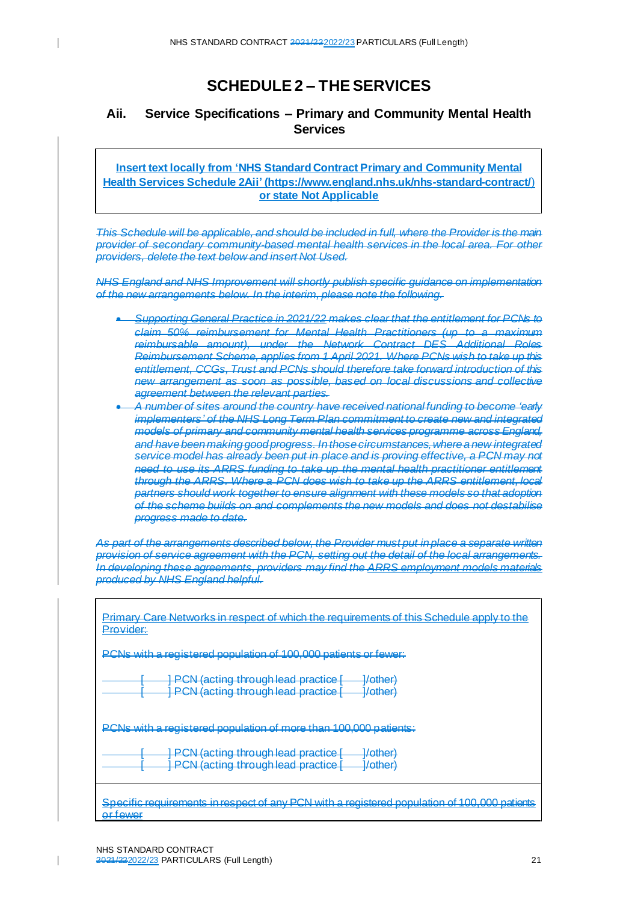$\mathbf{I}$ 

# **SCHEDULE 2 – THE SERVICES**

## <span id="page-20-0"></span>**Aii. Service Specifications – Primary and Community Mental Health Services**

**Insert text locally from 'NHS Standard Contract Primary and Community Mental Health Services Schedule 2Aii' [\(https://www.england.nhs.uk/nhs-standard-contract/](https://www.england.nhs.uk/nhs-standard-contract/)**) **or state Not Applicable**

*This Schedule will be applicable, and should be included in full, where the Provider is the main provider of secondary community-based mental health services in the local area. For other providers, delete the text below and insert Not Used.* 

*NHS England and NHS Improvement will shortly publish specific guidance on implementation of the new arrangements below. In the interim, please note the following.*

- *Supporting General Practice in 2021/22 makes clear that the entitlement for PCNs to claim 50% reimbursement for Mental Health Practitioners (up to a maximum reimbursable amount), under the Network Contract DES Additional Roles Reimbursement Scheme, applies from 1 April 2021. Where PCNs wish to take up this entitlement, CCGs, Trust and PCNs should therefore take forward introduction of this new arrangement as soon as possible, based on local discussions and collective agreement between the relevant parties.*
- *A number of sites around the country have received national funding to become 'early implementers' of the NHS Long Term Plan commitment to create new and integrated models of primary and community mental health services programme across England, and have been making good progress. In those circumstances, where a new integrated service model has already been put in place and is proving effective, a PCN may not need to use its ARRS funding to take up the mental health practitioner entitlement through the ARRS. Where a PCN does wish to take up the ARRS entitlement, local partners should work together to ensure alignment with these models so that adoption of the scheme builds on and complements the new models and does not destabilise progress made to date.*

*As part of the arrangements described below, the Provider must put in place a separate written provision of service agreement with the PCN, setting out the detail of the local arrangements. In developing these agreements, providers may find the ARRS employment models materials produced by NHS England helpful.*

| <u>Primary Care Networks in respect of which the requirements of this Schedule apply to the</u><br>Provider:<br><del>,,,,,,,,,,</del>                            |
|------------------------------------------------------------------------------------------------------------------------------------------------------------------|
| PCNs with a registered population of 100,000 patients or fewer:                                                                                                  |
| <b>PCN</b> (acting through lead practice [<br>1/othar)<br><del>" othor</del><br><b>PCN</b> (acting through lead practice [<br>l/othar)<br><b>TAXABLE AND</b>     |
| PCNs with a registered population of more than 100,000 patients:                                                                                                 |
| <b>PCN</b> (acting through lead practice [<br>1/othar)<br><b>TAXABLE PARTIES</b><br><b>PCN (acting through lead practice [</b><br>1/othar)<br><b>TAXABLE AND</b> |
| <u>Specific requirements in respect of any PCN with a registered population of 100,000 patients</u><br><del>ortewer</del>                                        |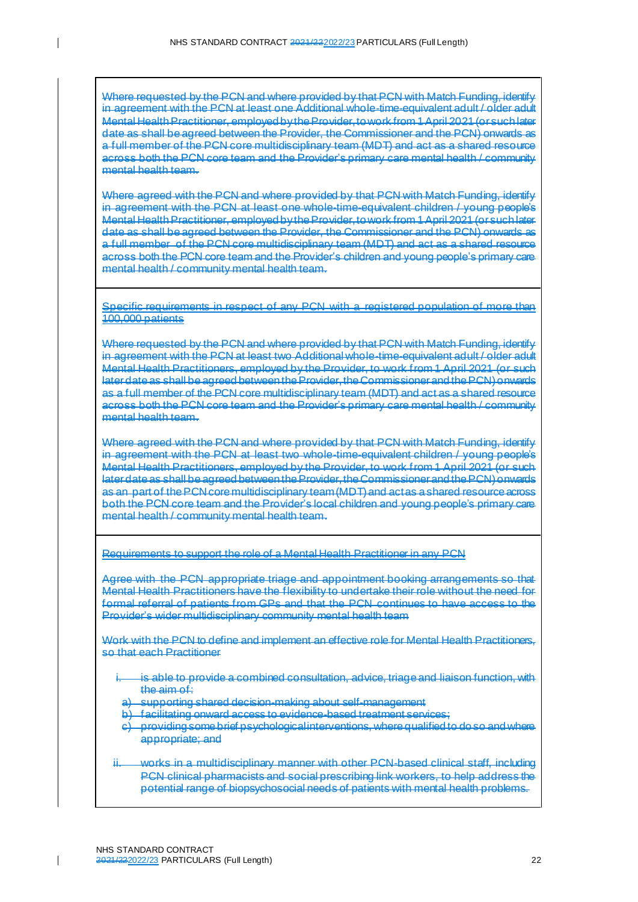Where requested by the PCN and where provided by that PCN with Match Funding, identify in agreement with the PCN at least one Additional whole-time-equivalent adult / older adult Mental Health Practitioner, employed by the Provider, to work from 1 April 2021 (or such later date as shall be agreed between the Provider, the Commissioner and the PCN) onwards as a full member of the PCN core multidisciplinary team (MDT) and act as a shared resource across both the PCN core team and the Provider's primary care mental health / community mental health team.

Where agreed with the PCN and where provided by that PCN with Match Funding, identify in agreement with the PCN at least one whole-time-equivalent children / young people's Mental Health Practitioner, employed by the Provider, to work from 1 April 2021 (or such later date as shall be agreed between the Provider, the Commissioner and the PCN) onwards as a full member of the PCN core multidisciplinary team (MDT) and act as a shared resource across both the PCN core team and the Provider's children and young people's primary care mental health / community mental health team.

Specific requirements in respect of any PCN with a registered population of more than 100,000 patients

Where requested by the PCN and where provided by that PCN with Match Funding, identify in agreement with the PCN at least two Additional whole-time-equivalent adult / older adult Mental Health Practitioners, employed by the Provider, to work from 1 April 2021 (or such later date as shall be agreed between the Provider, the Commissioner and the PCN) onwards as a full member of the PCN core multidisciplinary team (MDT) and act as a shared resource across both the PCN core team and the Provider's primary care mental health / community mental health team.

Where agreed with the PCN and where provided by that PCN with Match Funding, identify in agreement with the PCN at least two whole-time-equivalent children / young people's Mental Health Practitioners, employed by the Provider, to work from 1 April 2021 (or such later date as shall be agreed between the Provider, the Commissioner and the PCN) onwards as an part of the PCN core multidisciplinary team(MDT) and act as a shared resource across both the PCN core team and the Provider's local children and young people's primary care mental health / community mental health team.

Requirements to support the role of a Mental Health Practitioner in any PCN

Agree with the PCN appropriate triage and appointment booking arrangements so that Mental Health Practitioners have the flexibility to undertake their role without the need for formal referral of patients from GPs and that the PCN continues to have access to the Provider's wider multidisciplinary community mental health team

Work with the PCN to define and implement an effective role for Mental Health Practitioners, so that each Practitioner

- i. is able to provide a combined consultation, advice, triage and liaison function, with the aim of:
	- a) supporting shared decision-making about self-management
	- b) facilitating onward access to evidence-based treatment services;
	- c) providing some brief psychological interventions, where qualified to do so and where appropriate; and
- works in a multidisciplinary manner with other PCN-based clinical staff, including PCN clinical pharmacists and social prescribing link workers, to help address the potential range of biopsychosocial needs of patients with mental health problems.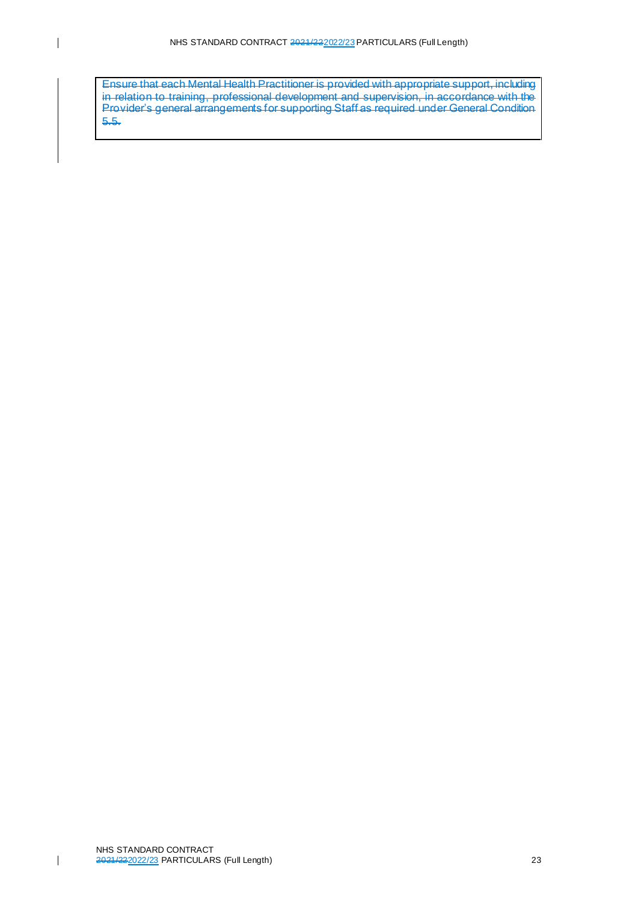Ensure that each Mental Health Practitioner is provided with appropriate support, including in relation to training, professional development and supervision, in accordance with the Provider's general arrangements for supporting Staff as required under General Condition 5.5.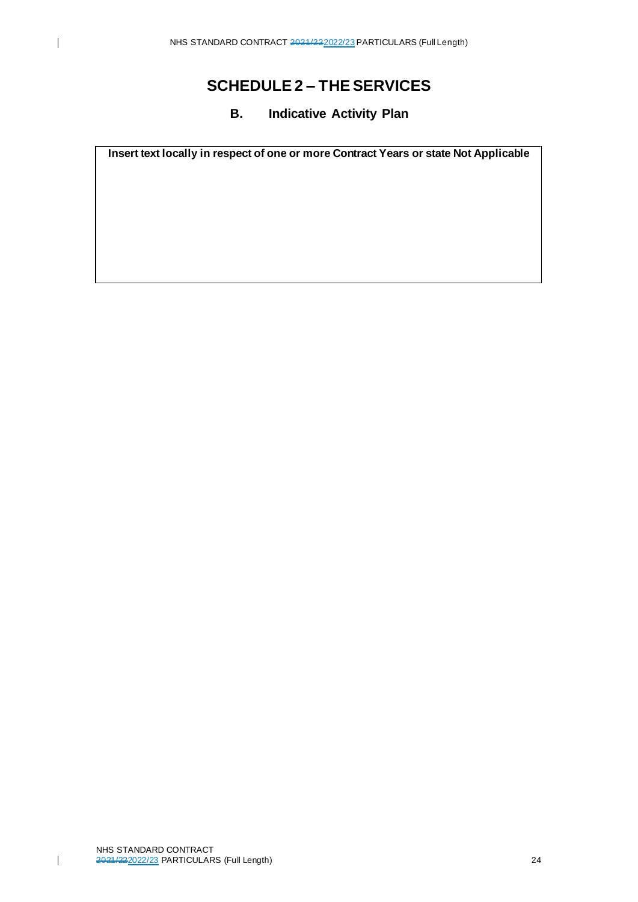## **B. Indicative Activity Plan**

<span id="page-23-0"></span>**Insert text locally in respect of one or more Contract Years or state Not Applicable**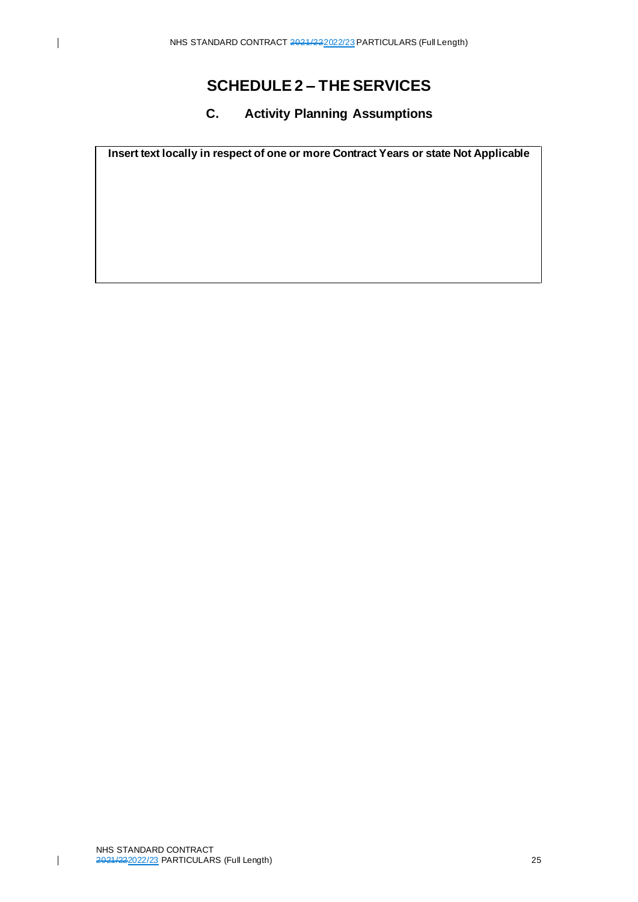## **C. Activity Planning Assumptions**

<span id="page-24-0"></span>**Insert text locally in respect of one or more Contract Years or state Not Applicable**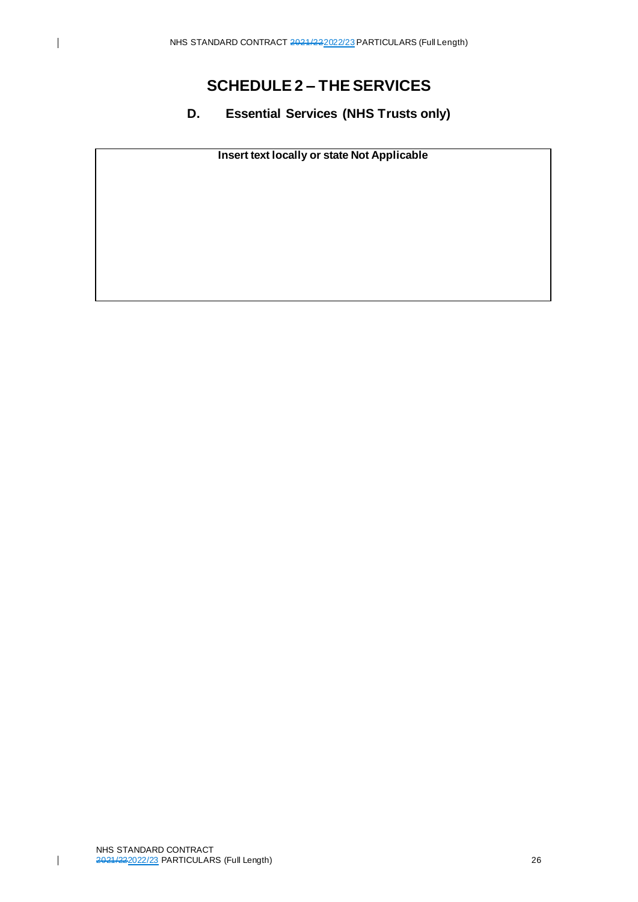<span id="page-25-0"></span>**D. Essential Services (NHS Trusts only)**

**Insert text locally or state Not Applicable**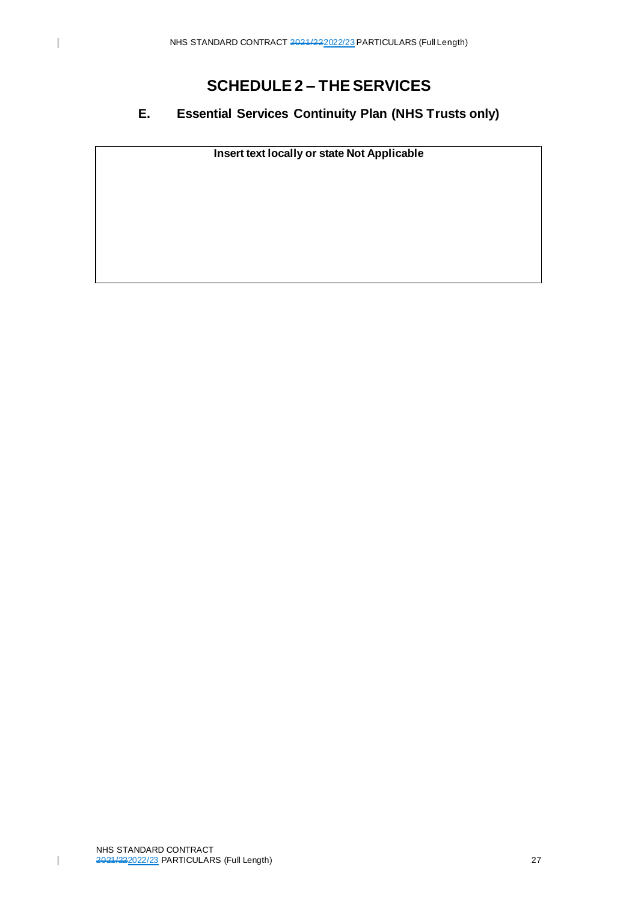$\overline{1}$ 

# **SCHEDULE 2 – THE SERVICES**

## <span id="page-26-0"></span>**E. Essential Services Continuity Plan (NHS Trusts only)**

**Insert text locally or state Not Applicable**

NHS STANDARD CONTRACT 2021/222022/23 PARTICULARS (Full Length) 27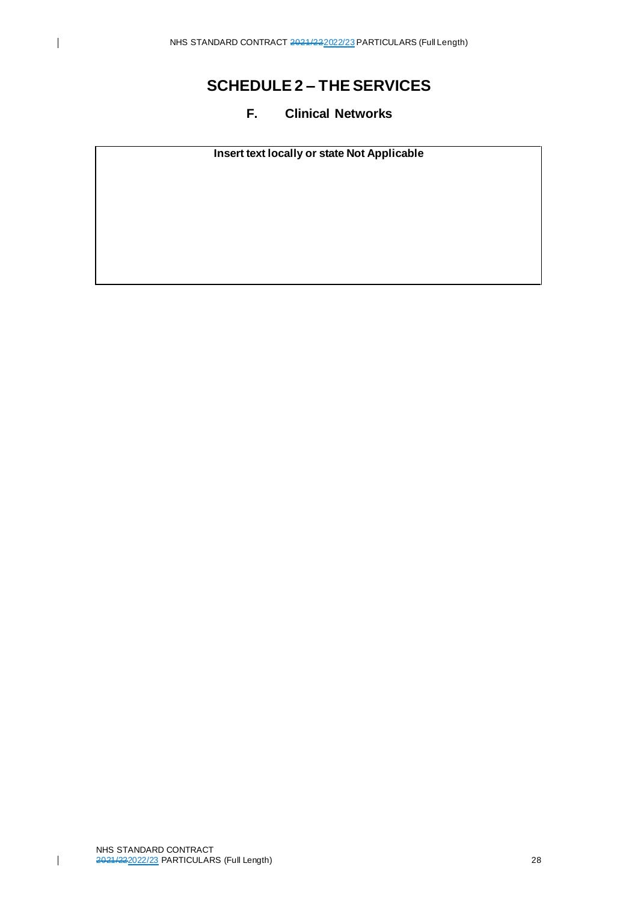# <span id="page-27-0"></span>**SCHEDULE 2 – THE SERVICES**

## **F. Clinical Networks**

**Insert text locally or state Not Applicable**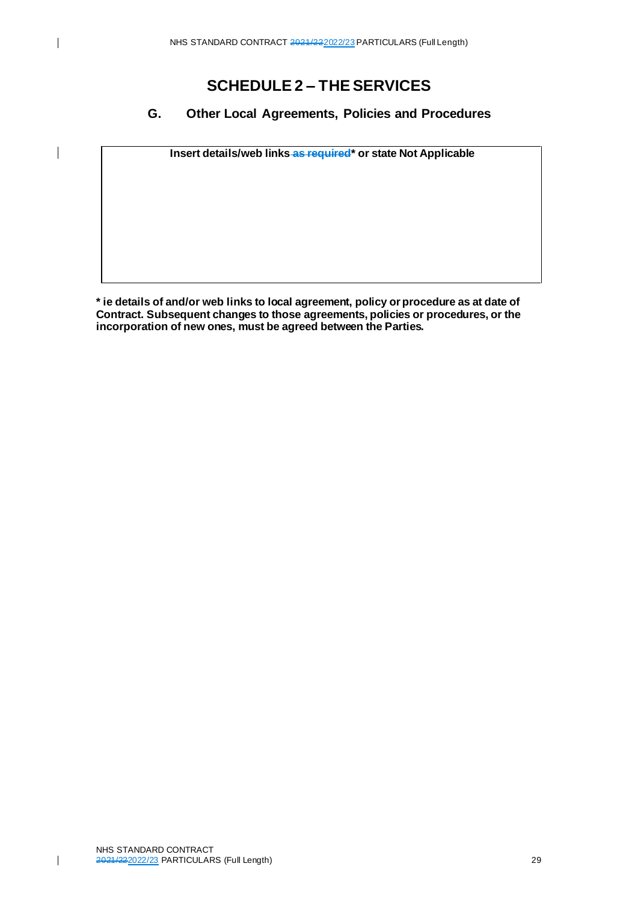$\overline{\phantom{a}}$ 

# **SCHEDULE 2 – THE SERVICES**

## <span id="page-28-0"></span>**G. Other Local Agreements, Policies and Procedures**

**Insert details/web links as required\* or state Not Applicable**

**\* ie details of and/or web links to local agreement, policy or procedure as at date of Contract. Subsequent changes to those agreements, policies or procedures, or the incorporation of new ones, must be agreed between the Parties.**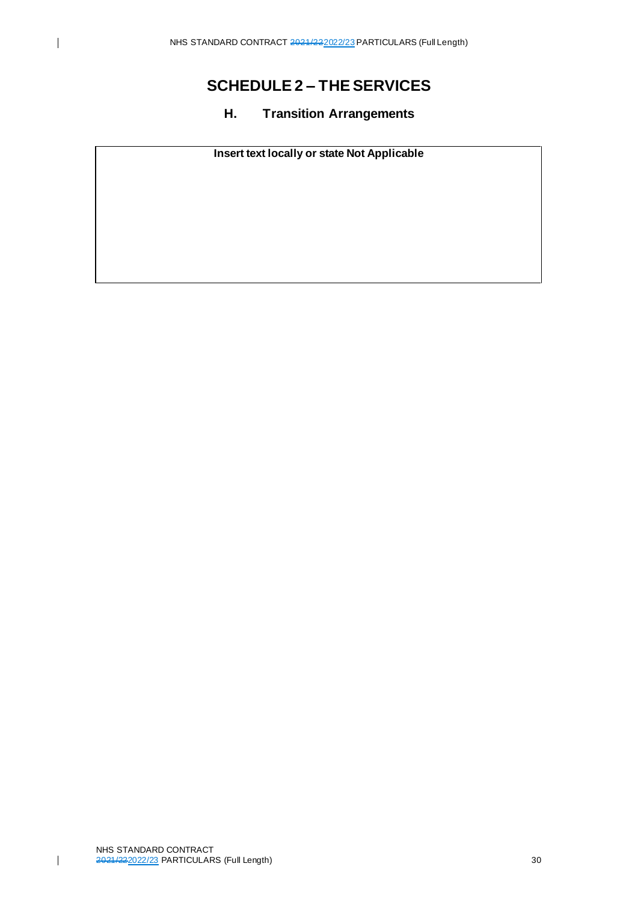## **H. Transition Arrangements**

<span id="page-29-0"></span>**Insert text locally or state Not Applicable**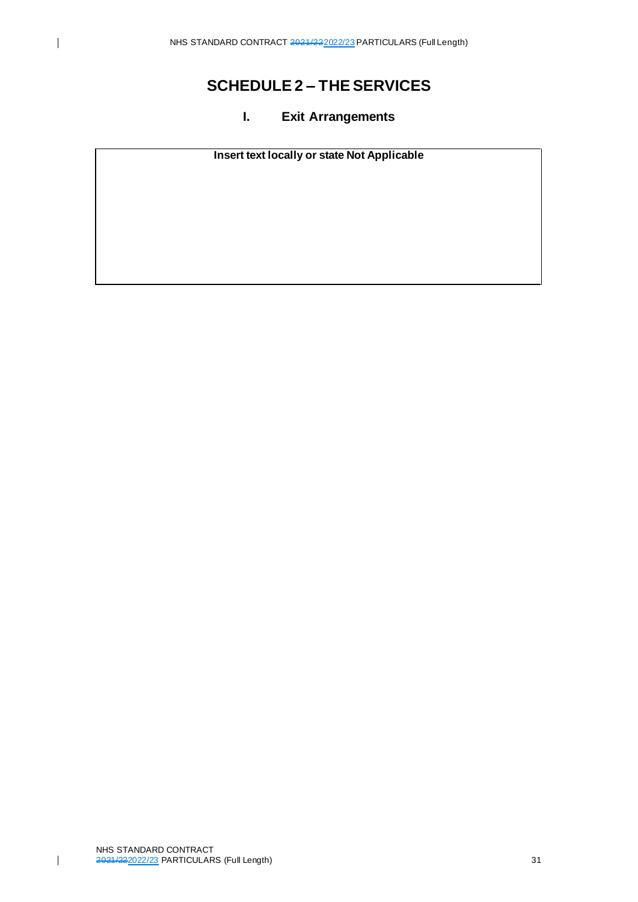## **I. Exit Arrangements**

<span id="page-30-0"></span>**Insert text locally or state Not Applicable**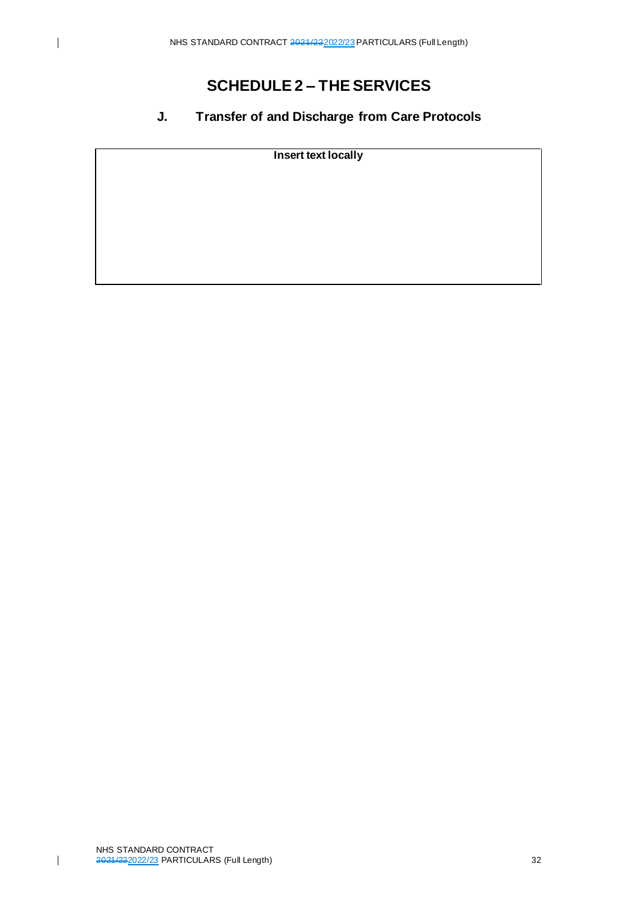## <span id="page-31-0"></span>**J. Transfer of and Discharge from Care Protocols**

**Insert text locally**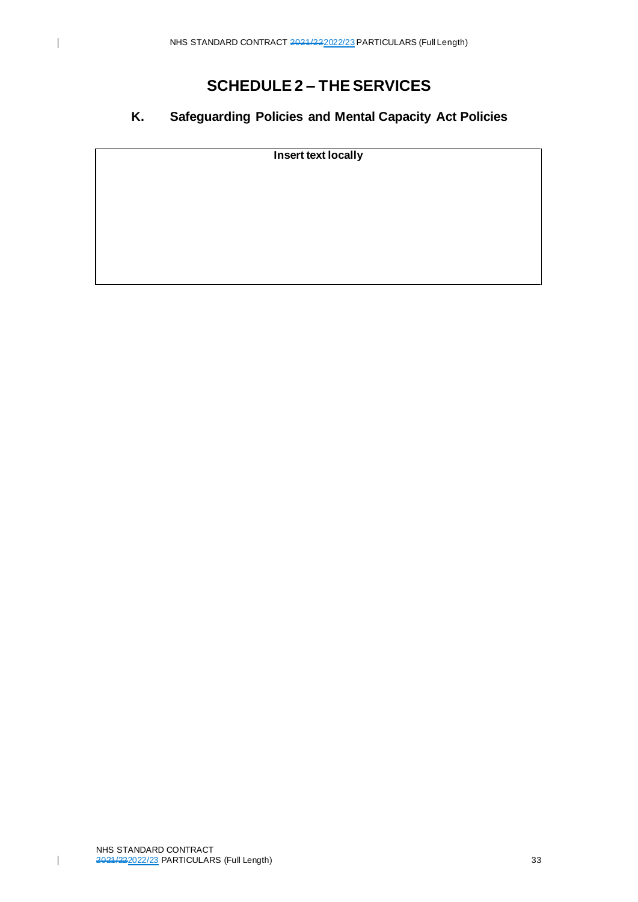## <span id="page-32-0"></span>**K. Safeguarding Policies and Mental Capacity Act Policies**

**Insert text locally**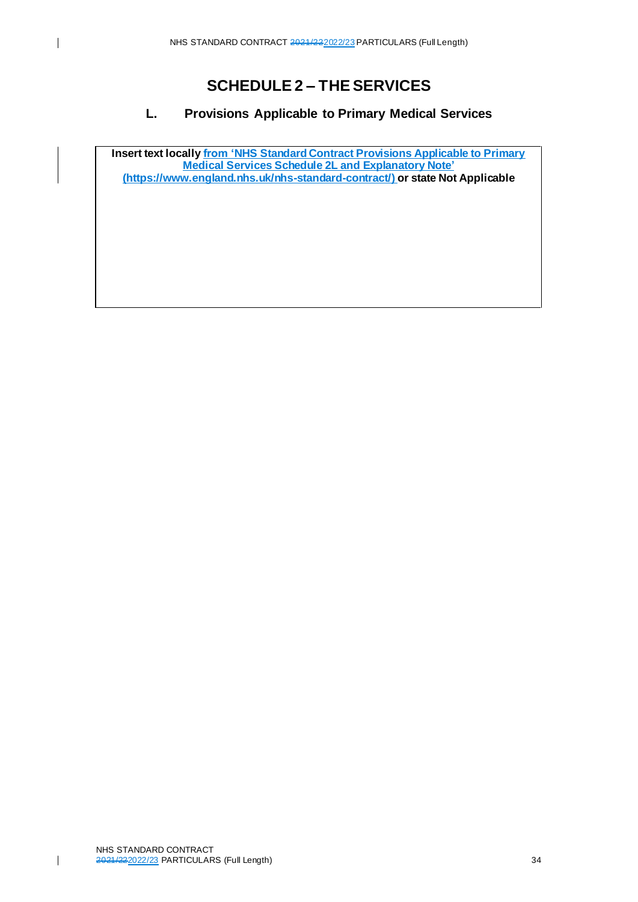# **SCHEDULE 2 – THE SERVICES**

## **L. Provisions Applicable to Primary Medical Services**

<span id="page-33-0"></span>**Insert text locally from 'NHS Standard Contract Provisions Applicable to Primary Medical Services Schedule 2L and Explanatory Note' [\(https://www.england.nhs.uk/nhs-standard-contract/\)](https://www.england.nhs.uk/nhs-standard-contract/) or state Not Applicable**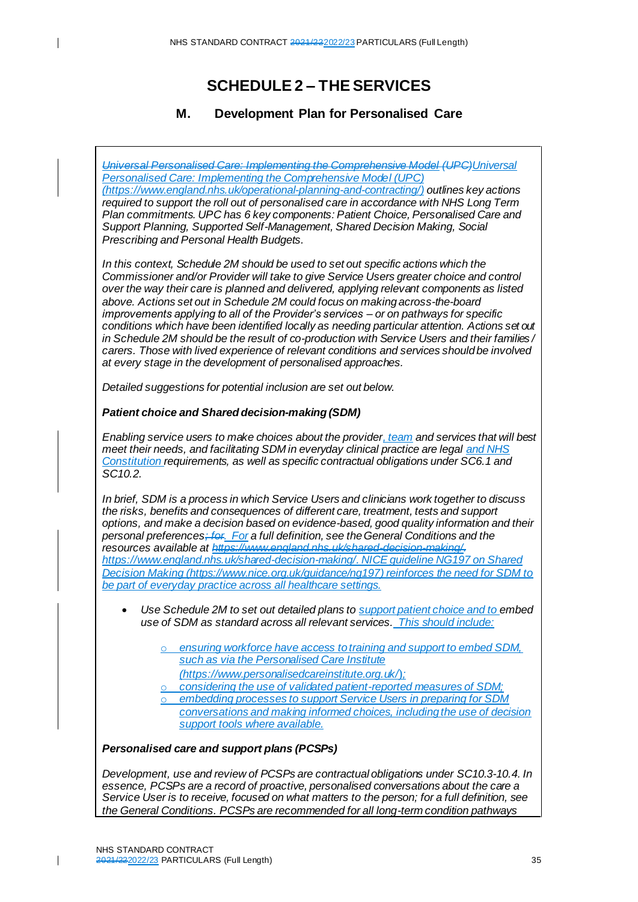## **M. Development Plan for Personalised Care**

<span id="page-34-0"></span>*Universal Personalised Care: Implementing the Comprehensive Model (UPC)Universal Personalised Care: Implementing the Comprehensive Model (UPC) [\(https://www.england.nhs.uk/operational-planning-and-contracting/](https://www.england.nhs.uk/operational-planning-and-contracting/)) outlines key actions required to support the roll out of personalised care in accordance with NHS Long Term Plan commitments. UPC has 6 key components: Patient Choice, Personalised Care and Support Planning, Supported Self-Management, Shared Decision Making, Social Prescribing and Personal Health Budgets.*

*In this context, Schedule 2M should be used to set out specific actions which the Commissioner and/or Provider will take to give Service Users greater choice and control over the way their care is planned and delivered, applying relevant components as listed above. Actions set out in Schedule 2M could focus on making across-the-board improvements applying to all of the Provider's services – or on pathways for specific conditions which have been identified locally as needing particular attention. Actions set out in Schedule 2M should be the result of co-production with Service Users and their families / carers. Those with lived experience of relevant conditions and services should be involved at every stage in the development of personalised approaches.* 

*Detailed suggestions for potential inclusion are set out below.*

#### *Patient choice and Shared decision-making (SDM)*

 $\mathbf{I}$ 

*Enabling service users to make choices about the provider, team and services that will best meet their needs, and facilitating SDM in everyday clinical practice are legal and NHS Constitution requirements, as well as specific contractual obligations under SC6.1 and SC10.2.* 

*In brief, SDM is a process in which Service Users and clinicians work together to discuss the risks, benefits and consequences of different care, treatment, tests and support options, and make a decision based on evidence-based, good quality information and their personal preferences; for. For a full definition, see the General Conditions and the resources available at https://www.england.nhs.uk/shared-decision-making/. <https://www.england.nhs.uk/shared-decision-making/>. NICE guideline NG197 on Shared Decision Making [\(https://www.nice.org.uk/guidance/ng197\)](https://www.nice.org.uk/guidance/ng197) reinforces the need for SDM to be part of everyday practice across all healthcare settings.*

- *Use Schedule 2M to set out detailed plans to support patient choice and to embed use of SDM as standard across all relevant services. This should include:*
	- ensuring workforce have access to training and support to embed SDM, *such as via the Personalised Care Institute*
	- *[\(https://www.personalisedcareinstitute.org.uk/](https://www.personalisedcareinstitute.org.uk/)*)*;*
	- considering the use of validated patient-reported measures of SDM;
	- embedding processes to support Service Users in preparing for SDM
	- *conversations and making informed choices, including the use of decision support tools where available.*

#### *Personalised care and support plans (PCSPs)*

*Development, use and review of PCSPs are contractual obligations under SC10.3-10.4. In essence, PCSPs are a record of proactive, personalised conversations about the care a Service User is to receive, focused on what matters to the person; for a full definition, see the General Conditions. PCSPs are recommended for all long-term condition pathways*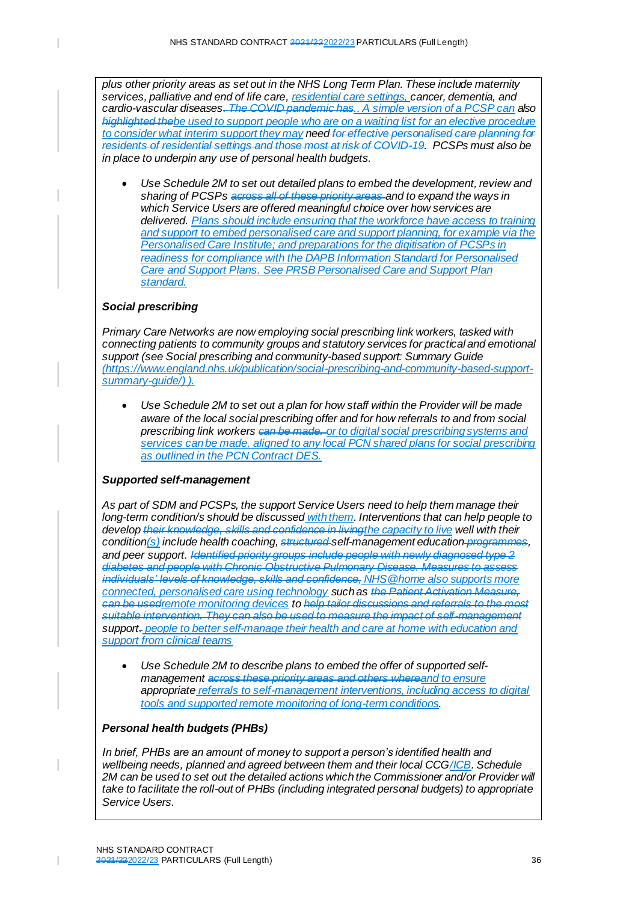*plus other priority areas as set out in the NHS Long Term Plan. These include maternity services, palliative and end of life care, residential care settings, cancer, dementia, and cardio-vascular diseases. The COVID pandemic has.. A simple version of a PCSP can also highlighted thebe used to support people who are on a waiting list for an elective procedure to consider what interim support they may need for effective personalised care planning for residents of residential settings and those most at risk of COVID-19. PCSPs must also be in place to underpin any use of personal health budgets.*

• *Use Schedule 2M to set out detailed plans to embed the development, review and sharing of PCSPs across all of these priority areas and to expand the ways in which Service Users are offered meaningful choice over how services are delivered. Plans should include ensuring that the workforce have access to training and support to embed personalised care and support planning, for example via the [Personalised Care Institute;](https://www.personalisedcareinstitute.org.uk/) and preparations for the digitisation of PCSPs in readiness for compliance with the DAPB Information Standard for Personalised Care and Support Plans. Se[e PRSB Personalised Care and Support Plan](https://theprsb.org/standards/personalisedcareandsupportplan/)  [standard.](https://theprsb.org/standards/personalisedcareandsupportplan/)* 

#### *Social prescribing*

 $\overline{\phantom{a}}$ 

*Primary Care Networks are now employing social prescribing link workers, tasked with connecting patients to community groups and statutory services for practical and emotional support (see Social prescribing and community-based support: Summary Guide [\(https://www.england.nhs.uk/publication/social-prescribing-and-community-based-support](https://www.england.nhs.uk/publication/social-prescribing-and-community-based-support-summary-guide/)[summary-guide/](https://www.england.nhs.uk/publication/social-prescribing-and-community-based-support-summary-guide/)) ).*

• *Use Schedule 2M to set out a plan for how staff within the Provider will be made aware of the local social prescribing offer and for how referrals to and from social prescribing link workers can be made. or to digital social prescribing systems and services can be made, aligned to any local PCN shared plans for social prescribing as outlined in the PCN Contract DES.*

#### *Supported self-management*

*As part of SDM and PCSPs, the support Service Users need to help them manage their long-term condition/s should be discussed with them. Interventions that can help people to develop their knowledge, skills and confidence in livingthe capacity to live well with their condition(s) include health coaching, structured self-management education programmes, and peer support. Identified priority groups include people with newly diagnosed type 2 diabetes and people with Chronic Obstructive Pulmonary Disease. Measures to assess individuals' levels of knowledge, skills and confidence, [NHS@home](https://www.england.nhs.uk/nhs-at-home/) also supports more connected, personalised care using technology such as the Patient Activation Measure, can be usedremote monitoring devices to help tailor discussions and referrals to the most suitable intervention. They can also be used to measure the impact of self-management support. people to better self-manage their health and care at home with education and support from clinical teams*

• *Use Schedule 2M to describe plans to embed the offer of supported selfmanagement across these priority areas and others whereand to ensure appropriate referrals to self-management interventions, including access to digital tools and supported remote monitoring of long-term conditions.*

#### *Personal health budgets (PHBs)*

*In brief, PHBs are an amount of money to support a person's identified health and wellbeing needs, planned and agreed between them and their local CCG/ICB. Schedule*  2M can be used to set out the detailed actions which the Commissioner and/or Provider will *take to facilitate the roll-out of PHBs (including integrated personal budgets) to appropriate Service Users.* 

 $\mathsf{l}$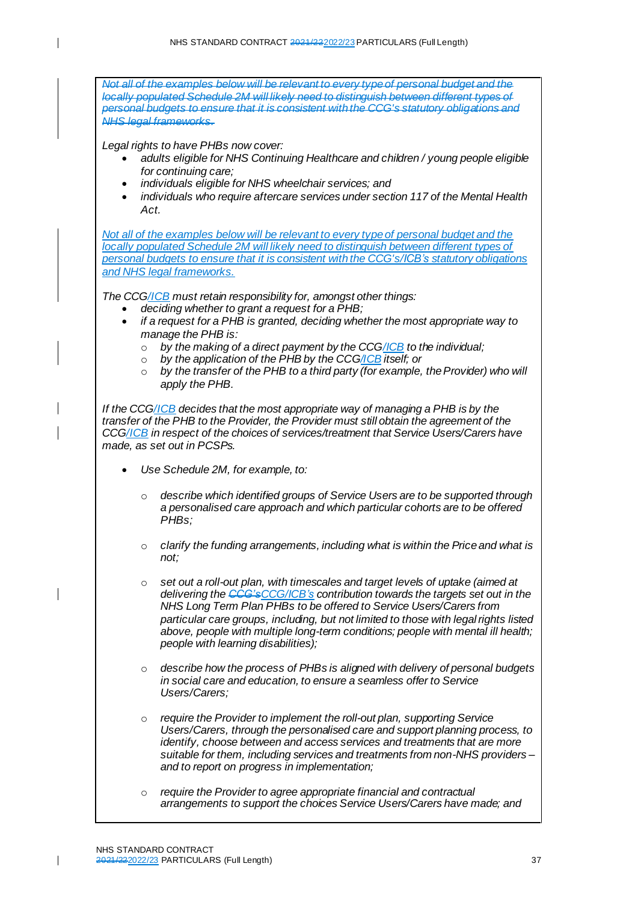$\overline{\phantom{a}}$ 

 $\overline{\phantom{a}}$ 

 $\overline{\phantom{a}}$ 

*Not all of the examples below will be relevant to every type of personal budget and the locally populated Schedule 2M will likely need to distinguish between different types of personal budgets to ensure that it is consistent with the CCG's statutory obligations and NHS legal frameworks. Legal rights to have PHBs now cover:* • *adults eligible for NHS Continuing Healthcare and children / young people eligible for continuing care;* • *individuals eligible for NHS wheelchair services; and* • *individuals who require aftercare services under section 117 of the Mental Health Act. Not all of the examples below will be relevant to every type of personal budget and the locally populated Schedule 2M will likely need to distinguish between different types of personal budgets to ensure that it is consistent with the CCG's/ICB's statutory obligations and NHS legal frameworks. The CCG/ICB must retain responsibility for, amongst other things:* • *deciding whether to grant a request for a PHB;*  • *if a request for a PHB is granted, deciding whether the most appropriate way to manage the PHB is:*  o *by the making of a direct payment by the CCG/ICB to the individual;*  o *by the application of the PHB by the CCG/ICB itself; or* o *by the transfer of the PHB to a third party (for example, the Provider) who will apply the PHB. If the CCG/ICB decides that the most appropriate way of managing a PHB is by the transfer of the PHB to the Provider, the Provider must still obtain the agreement of the CCG/ICB in respect of the choices of services/treatment that Service Users/Carers have made, as set out in PCSPs.* • *Use Schedule 2M, for example, to:*  o *describe which identified groups of Service Users are to be supported through a personalised care approach and which particular cohorts are to be offered PHBs;* o *clarify the funding arrangements, including what is within the Price and what is not;* set out a roll-out plan, with timescales and target levels of uptake (aimed at *delivering the CCG'sCCG/ICB's contribution towards the targets set out in the NHS Long Term Plan PHBs to be offered to Service Users/Carers from particular care groups, including, but not limited to those with legal rights listed above, people with multiple long-term conditions; people with mental ill health; people with learning disabilities);* o *describe how the process of PHBs is aligned with delivery of personal budgets in social care and education, to ensure a seamless offer to Service Users/Carers;*  require the Provider to *implement the roll-out plan, supporting Service Users/Carers, through the personalised care and support planning process, to identify, choose between and access services and treatments that are more suitable for them, including services and treatments from non-NHS providers – and to report on progress in implementation;* o *require the Provider to agree appropriate financial and contractual* 

*arrangements to support the choices Service Users/Carers have made; and*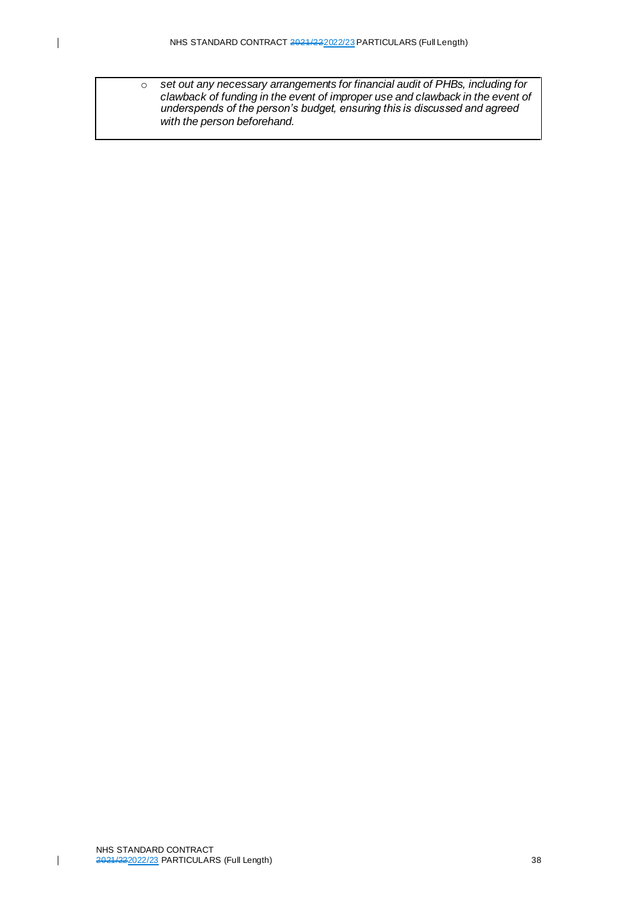o *set out any necessary arrangements for financial audit of PHBs, including for clawback of funding in the event of improper use and clawback in the event of underspends of the person's budget, ensuring this is discussed and agreed with the person beforehand.*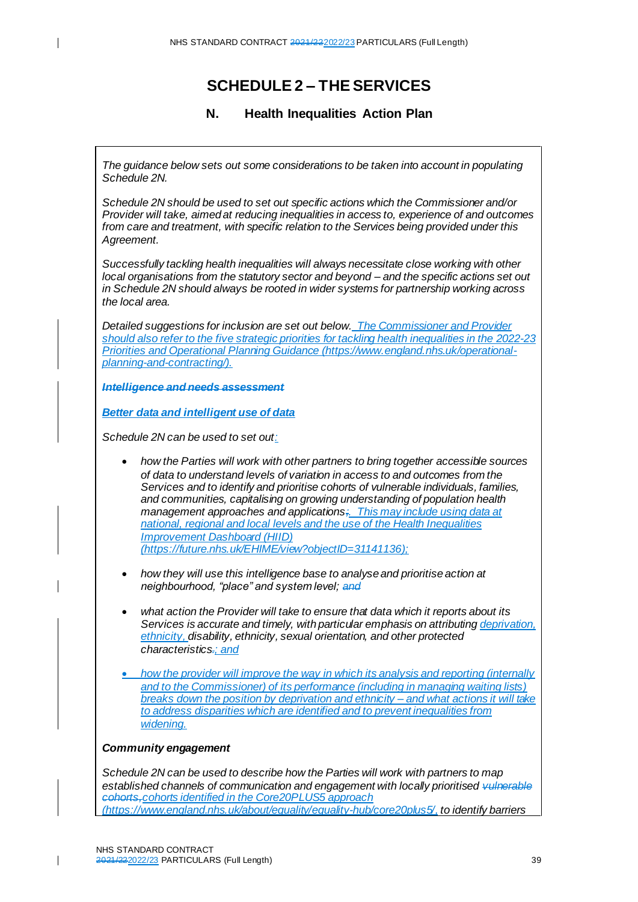## **SCHEDULE 2 – THE SERVICES**

#### **N. Health Inequalities Action Plan**

*The guidance below sets out some considerations to be taken into account in populating Schedule 2N.*

*Schedule 2N should be used to set out specific actions which the Commissioner and/or Provider will take, aimed at reducing inequalities in access to, experience of and outcomes from care and treatment, with specific relation to the Services being provided under this Agreement.*

*Successfully tackling health inequalities will always necessitate close working with other local organisations from the statutory sector and beyond – and the specific actions set out in Schedule 2N should always be rooted in wider systems for partnership working across the local area.* 

*Detailed suggestions for inclusion are set out below. The Commissioner and Provider should also refer to the five strategic priorities for tackling health inequalities in the 2022-23 Priorities and Operational Planning Guidance [\(https://www.england.nhs.uk/operational](https://www.england.nhs.uk/operational-planning-and-contracting/)[planning-and-contracting/\)](https://www.england.nhs.uk/operational-planning-and-contracting/).*

*Intelligence and needs assessment*

*Better data and intelligent use of data*

*Schedule 2N can be used to set out:*

- *how the Parties will work with other partners to bring together accessible sources of data to understand levels of variation in access to and outcomes from the Services and to identify and prioritise cohorts of vulnerable individuals, families, and communities, capitalising on growing understanding of population health management approaches and applications;. This may include using data at national, regional and local levels and the use of the Health Inequalities Improvement Dashboard (HIID) [\(https://future.nhs.uk/EHIME/view?objectID=31141136\)](https://future.nhs.uk/EHIME/view?objectID=31141136);*
- *how they will use this intelligence base to analyse and prioritise action at neighbourhood, "place" and system level; and*
- *what action the Provider will take to ensure that data which it reports about its Services is accurate and timely, with particular emphasis on attributing deprivation, ethnicity, disability, ethnicity, sexual orientation, and other protected characteristics.; and*
- *how the provider will improve the way in which its analysis and reporting (internally and to the Commissioner) of its performance (including in managing waiting lists) breaks down the position by deprivation and ethnicity – and what actions it will take to address disparities which are identified and to prevent inequalities from widening.*

#### *Community engagement*

*Schedule 2N can be used to describe how the Parties will work with partners to map established channels of communication and engagement with locally prioritised vulnerable cohorts,cohorts identified in the Core20PLUS5 approach [\(https://www.england.nhs.uk/about/equality/equality-hub/core20plus5/](https://www.england.nhs.uk/about/equality/equality-hub/core20plus5/), to identify barriers*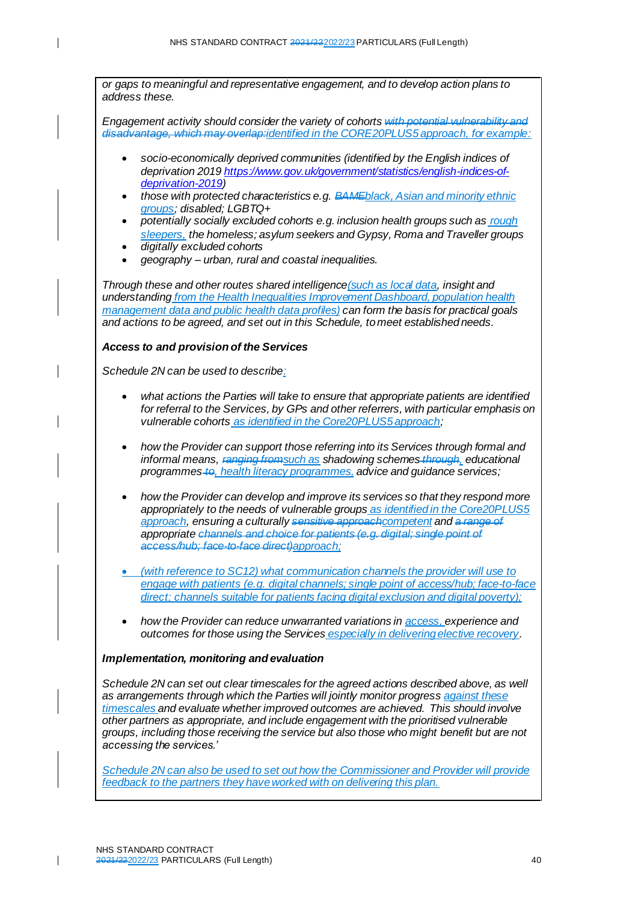*or gaps to meaningful and representative engagement, and to develop action plans to address these. Engagement activity should consider the variety of cohorts with potential vulnerability and disadvantage, which may overlap:identified in the CORE20PLUS5 approach, for example:* • *socio-economically deprived communities (identified by the English indices of deprivation 201[9 https://www.gov.uk/government/statistics/english-indices-of](https://www.gov.uk/government/statistics/english-indices-of-deprivation-2019)[deprivation-2019\)](https://www.gov.uk/government/statistics/english-indices-of-deprivation-2019)* • *those with protected characteristics e.g. BAMEblack, Asian and minority ethnic groups; disabled; LGBTQ+*

- *potentially socially excluded cohorts e.g. inclusion health groups such as rough sleepers, the homeless; asylum seekers and Gypsy, Roma and Traveller groups* • *digitally excluded cohorts*
- *geography – urban, rural and coastal inequalities.*

*Through these and other routes shared intelligence(such as local data, insight and understanding from the Health Inequalities Improvement Dashboard, population health management data and public health data profiles) can form the basis for practical goals and actions to be agreed, and set out in this Schedule, to meet established needs.* 

#### *Access to and provision of the Services*

*Schedule 2N can be used to describe:*

- *what actions the Parties will take to ensure that appropriate patients are identified for referral to the Services, by GPs and other referrers, with particular emphasis on vulnerable cohorts as identified in the Core20PLUS5 approach;*
- *how the Provider can support those referring into its Services through formal and informal means, ranging fromsuch as shadowing schemes through, educational programmes to, health literacy programmes, advice and guidance services;*
- *how the Provider can develop and improve its services so that they respond more appropriately to the needs of vulnerable groups as identified in the Core20PLUS5 approach, ensuring a culturally sensitive approachcompetent and a range of appropriate channels and choice for patients (e.g. digital; single point of access/hub; face-to-face direct)approach;*
- *(with reference to SC12) what communication channels the provider will use to engage with patients (e.g. digital channels; single point of access/hub; face-to-face direct; channels suitable for patients facing digital exclusion and digital poverty);*
- *how the Provider can reduce unwarranted variations in access, experience and outcomes for those using the Services especially in delivering elective recovery.*

#### *Implementation, monitoring and evaluation*

*Schedule 2N can set out clear timescales for the agreed actions described above, as well as arrangements through which the Parties will jointly monitor progress against these timescales and evaluate whether improved outcomes are achieved. This should involve other partners as appropriate, and include engagement with the prioritised vulnerable groups, including those receiving the service but also those who might benefit but are not accessing the services.'*

*Schedule 2N can also be used to set out how the Commissioner and Provider will provide feedback to the partners they have worked with on delivering this plan.*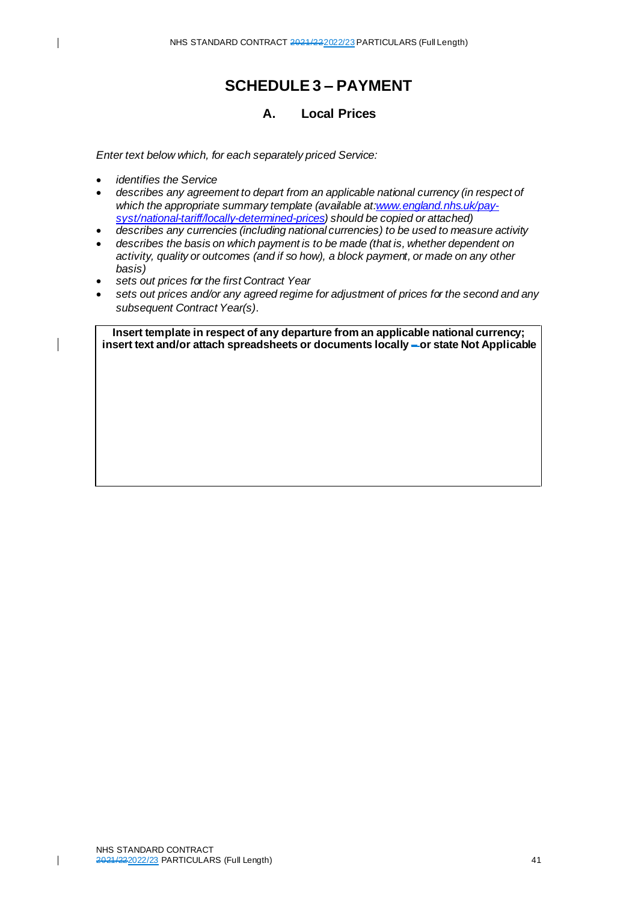## **SCHEDULE 3 – PAYMENT**

### **A. Local Prices**

*Enter text below which, for each separately priced Service:*

• *identifies the Service*

 $\overline{\phantom{a}}$ 

- *describes any agreement to depart from an applicable national currency (in respect of which the appropriate summary template (available a[t:www.england.nhs.uk/pay](http://www.england.nhs.uk/pay-syst/national-tariff/locally-determined-prices)[syst/national-tariff/locally-determined-prices](http://www.england.nhs.uk/pay-syst/national-tariff/locally-determined-prices)) should be copied or attached)*
- *describes any currencies (including national currencies) to be used to measure activity*
- *describes the basis on which payment is to be made (that is, whether dependent on activity, quality or outcomes (and if so how), a block payment, or made on any other basis)*
- *sets out prices for the first Contract Year*
- *sets out prices and/or any agreed regime for adjustment of prices for the second and any subsequent Contract Year(s)*.

**Insert template in respect of any departure from an applicable national currency; insert text and/or attach spreadsheets or documents locally – or state Not Applicable**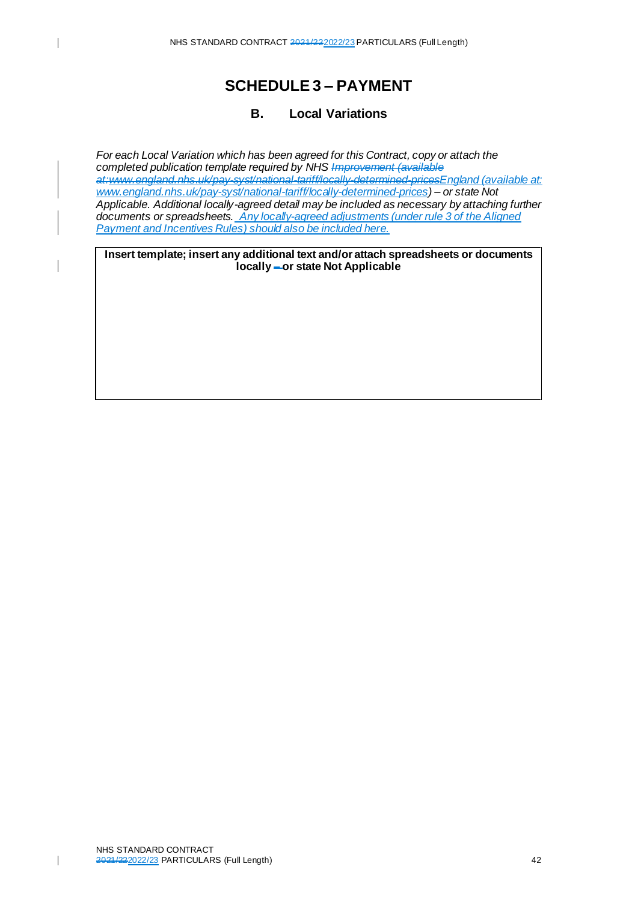#### $\overline{\phantom{a}}$

 $\overline{\phantom{a}}$ 

## **SCHEDULE 3 – PAYMENT**

### **B. Local Variations**

*For each Local Variation which has been agreed for this Contract, copy or attach the completed publication template required by NHS Improvement (available at:www.england.nhs.uk/pay-syst/national-tariff/locally-determined-pricesEngland (available at: [www.england.nhs.uk/pay-syst/national-tariff/locally-determined-prices](http://www.england.nhs.uk/pay-syst/national-tariff/locally-determined-prices)) – or state Not Applicable. Additional locally-agreed detail may be included as necessary by attaching further documents or spreadsheets. Any locally-agreed adjustments (under rule 3 of the Aligned Payment and Incentives Rules) should also be included here.*

**Insert template; insert any additional text and/or attach spreadsheets or documents locally – or state Not Applicable**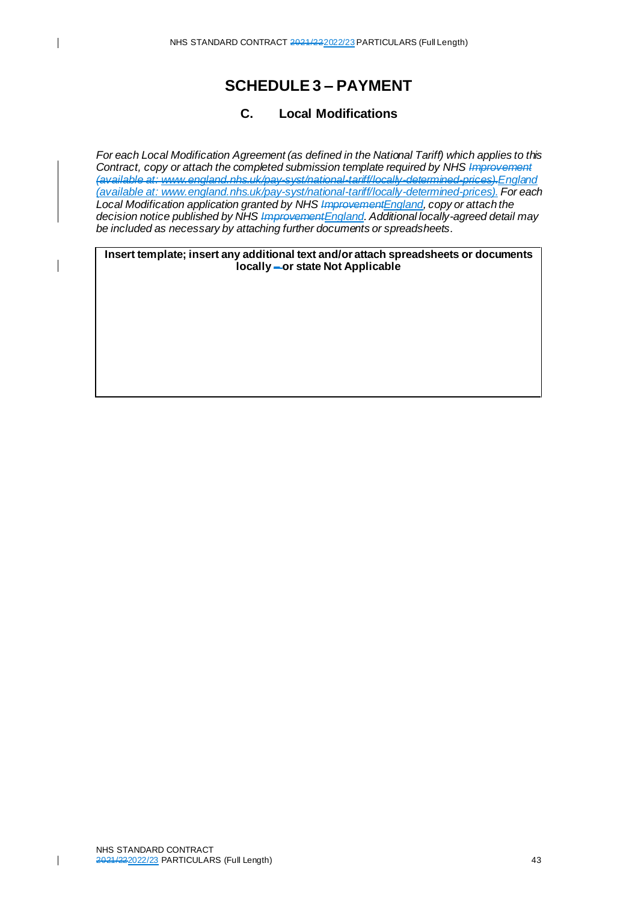#### $\mathbf{I}$

 $\overline{\phantom{a}}$ 

## **SCHEDULE 3 – PAYMENT**

### **C. Local Modifications**

*For each Local Modification Agreement (as defined in the National Tariff) which applies to this Contract, copy or attach the completed submission template required by NHS Improvement (available at: www.england.nhs.uk/pay-syst/national-tariff/locally-determined-prices).England (available at: [www.england.nhs.uk/pay-syst/national-tariff/locally-determined-prices](http://www.england.nhs.uk/pay-syst/national-tariff/locally-determined-prices)). For each Local Modification application granted by NHS ImprovementEngland, copy or attach the decision notice published by NHS ImprovementEngland. Additional locally-agreed detail may be included as necessary by attaching further documents or spreadsheets*.

**Insert template; insert any additional text and/or attach spreadsheets or documents locally – or state Not Applicable**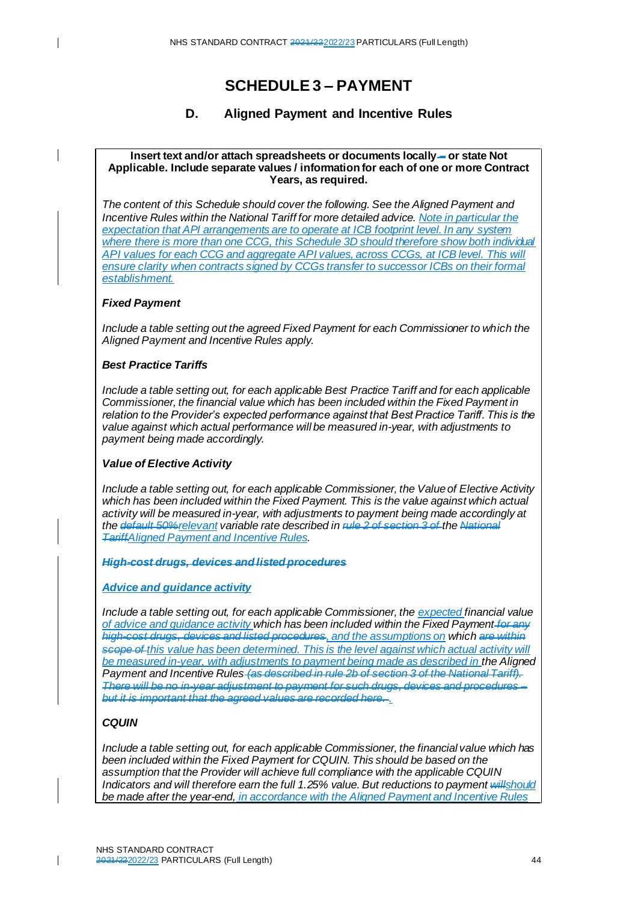## **SCHEDULE 3 – PAYMENT**

#### **D. Aligned Payment and Incentive Rules**

#### **Insert text and/or attach spreadsheets or documents locally – or state Not Applicable. Include separate values / information for each of one or more Contract Years, as required.**

*The content of this Schedule should cover the following. See the Aligned Payment and Incentive Rules within the National Tariff for more detailed advice. Note in particular the expectation that API arrangements are to operate at ICB footprint level. In any system*  where there is more than one CCG, this Schedule 3D should therefore show both individual *API values for each CCG and aggregate API values, across CCGs, at ICB level. This will ensure clarity when contracts signed by CCGs transfer to successor ICBs on their formal establishment.*

#### *Fixed Payment*

 $\mathbf{I}$ 

*Include a table setting out the agreed Fixed Payment for each Commissioner to which the Aligned Payment and Incentive Rules apply.*

#### *Best Practice Tariffs*

*Include a table setting out, for each applicable Best Practice Tariff and for each applicable Commissioner, the financial value which has been included within the Fixed Payment in relation to the Provider's expected performance against that Best Practice Tariff. This is the value against which actual performance will be measured in-year, with adjustments to payment being made accordingly.* 

#### *Value of Elective Activity*

*Include a table setting out, for each applicable Commissioner, the Value of Elective Activity which has been included within the Fixed Payment. This is the value against which actual activity will be measured in-year, with adjustments to payment being made accordingly at the default 50%relevant variable rate described in rule 2 of section 3 of the National TariffAligned Payment and Incentive Rules.* 

*High-cost drugs, devices and listed procedures*

#### *Advice and guidance activity*

*Include a table setting out, for each applicable Commissioner, the expected financial value of advice and guidance activity which has been included within the Fixed Payment for any high-cost drugs, devices and listed procedures, and the assumptions on which are within scope of this value has been determined. This is the level against which actual activity will*  be measured in-year, with adjustments to payment being made as described in the Aligned *Payment and Incentive Rules (as described in rule 2b of section 3 of the National Tariff). There will be no in-year adjustment to payment for such drugs, devices and procedures – but it is important that the agreed values are recorded here. .*

#### *CQUIN*

*Include a table setting out, for each applicable Commissioner, the financial value which has been included within the Fixed Payment for CQUIN. This should be based on the assumption that the Provider will achieve full compliance with the applicable CQUIN Indicators and will therefore earn the full 1.25% value. But reductions to payment willshould be made after the year-end, in accordance with the Aligned Payment and Incentive Rules*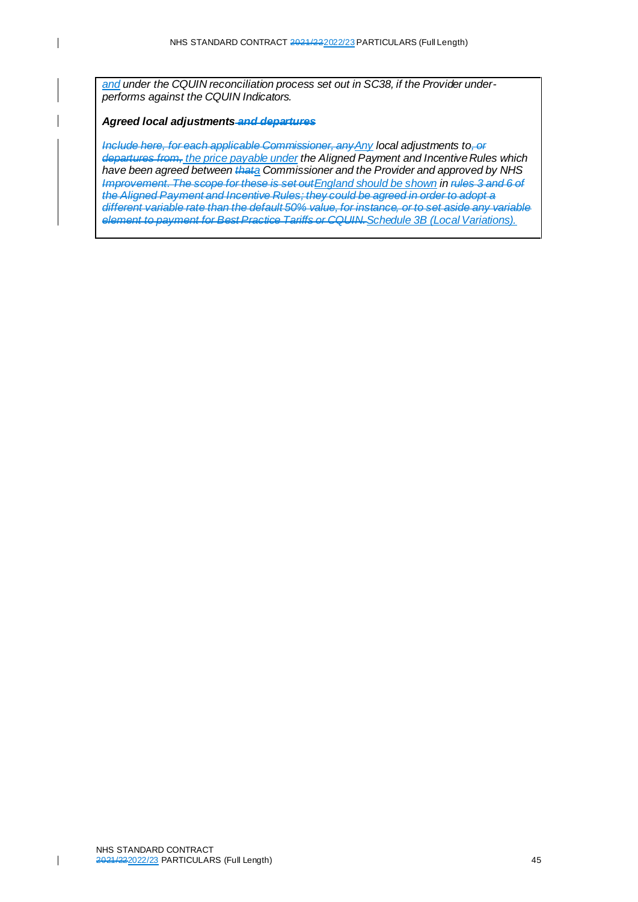*and under the CQUIN reconciliation process set out in SC38, if the Provider underperforms against the CQUIN Indicators.* 

#### *Agreed local adjustments and departures*

 $\overline{\phantom{a}}$ 

*Include here, for each applicable Commissioner, anyAny local adjustments to, or departures from, the price payable under the Aligned Payment and Incentive Rules which have been agreed between thata Commissioner and the Provider and approved by NHS Improvement. The scope for these is set outEngland should be shown in rules 3 and 6 of the Aligned Payment and Incentive Rules; they could be agreed in order to adopt a different variable rate than the default 50% value, for instance, or to set aside any variable element to payment for Best Practice Tariffs or CQUIN.Schedule 3B (Local Variations).*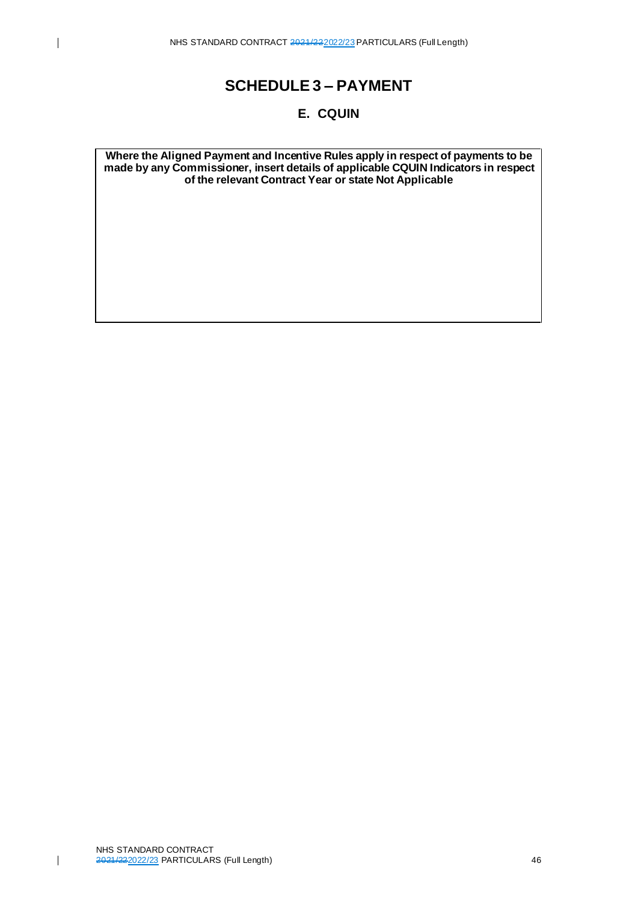## **SCHEDULE 3 – PAYMENT**

### **E. CQUIN**

**Where the Aligned Payment and Incentive Rules apply in respect of payments to be made by any Commissioner, insert details of applicable CQUIN Indicators in respect of the relevant Contract Year or state Not Applicable**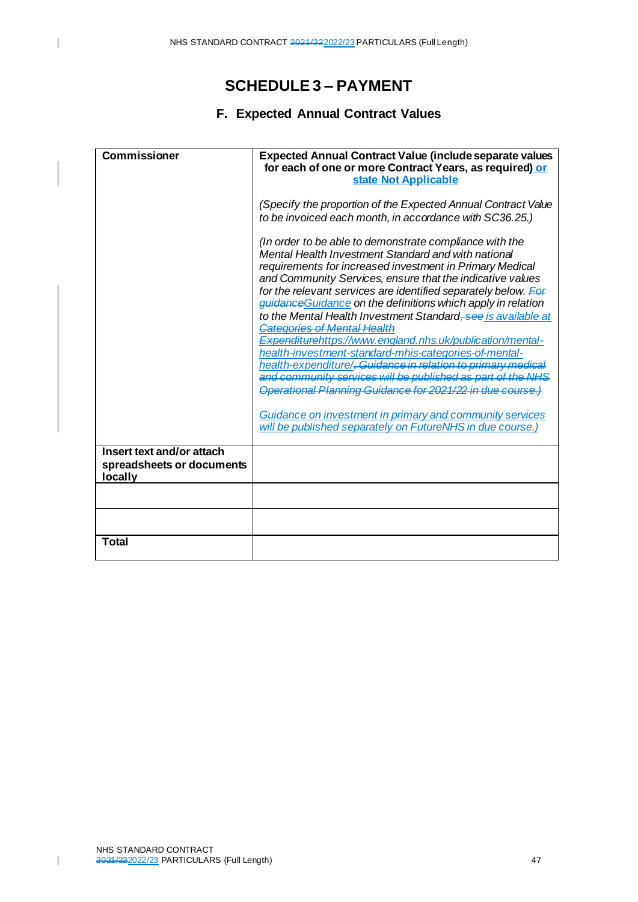## **SCHEDULE 3 – PAYMENT**

### **F. Expected Annual Contract Values**

| Commissioner                                                      | <b>Expected Annual Contract Value (include separate values</b><br>for each of one or more Contract Years, as required) or                                                                                                                                                                                                                                                                                                                                                                                                                                                                                                                                                                                                                                                                                      |
|-------------------------------------------------------------------|----------------------------------------------------------------------------------------------------------------------------------------------------------------------------------------------------------------------------------------------------------------------------------------------------------------------------------------------------------------------------------------------------------------------------------------------------------------------------------------------------------------------------------------------------------------------------------------------------------------------------------------------------------------------------------------------------------------------------------------------------------------------------------------------------------------|
|                                                                   | state Not Applicable                                                                                                                                                                                                                                                                                                                                                                                                                                                                                                                                                                                                                                                                                                                                                                                           |
|                                                                   | (Specify the proportion of the Expected Annual Contract Value<br>to be invoiced each month, in accordance with SC36.25.)                                                                                                                                                                                                                                                                                                                                                                                                                                                                                                                                                                                                                                                                                       |
|                                                                   | (In order to be able to demonstrate compliance with the<br>Mental Health Investment Standard and with national<br>requirements for increased investment in Primary Medical<br>and Community Services, ensure that the indicative values<br>for the relevant services are identified separately below. For<br>guidance Guidance on the definitions which apply in relation<br>to the Mental Health Investment Standard, see is available at<br><b>Categories of Mental Health</b><br>Expenditurehttps://www.england.nhs.uk/publication/mental-<br>health-investment-standard-mhis-categories-of-mental-<br>health-expenditure/ <del>. Guidance in relation to primary medical</del><br>and community services will be published as part of the NHS<br>Operational Planning Guidance for 2021/22 in due course.) |
|                                                                   | Guidance on investment in primary and community services<br>will be published separately on FutureNHS in due course.)                                                                                                                                                                                                                                                                                                                                                                                                                                                                                                                                                                                                                                                                                          |
| Insert text and/or attach<br>spreadsheets or documents<br>locally |                                                                                                                                                                                                                                                                                                                                                                                                                                                                                                                                                                                                                                                                                                                                                                                                                |
|                                                                   |                                                                                                                                                                                                                                                                                                                                                                                                                                                                                                                                                                                                                                                                                                                                                                                                                |
|                                                                   |                                                                                                                                                                                                                                                                                                                                                                                                                                                                                                                                                                                                                                                                                                                                                                                                                |
| <b>Total</b>                                                      |                                                                                                                                                                                                                                                                                                                                                                                                                                                                                                                                                                                                                                                                                                                                                                                                                |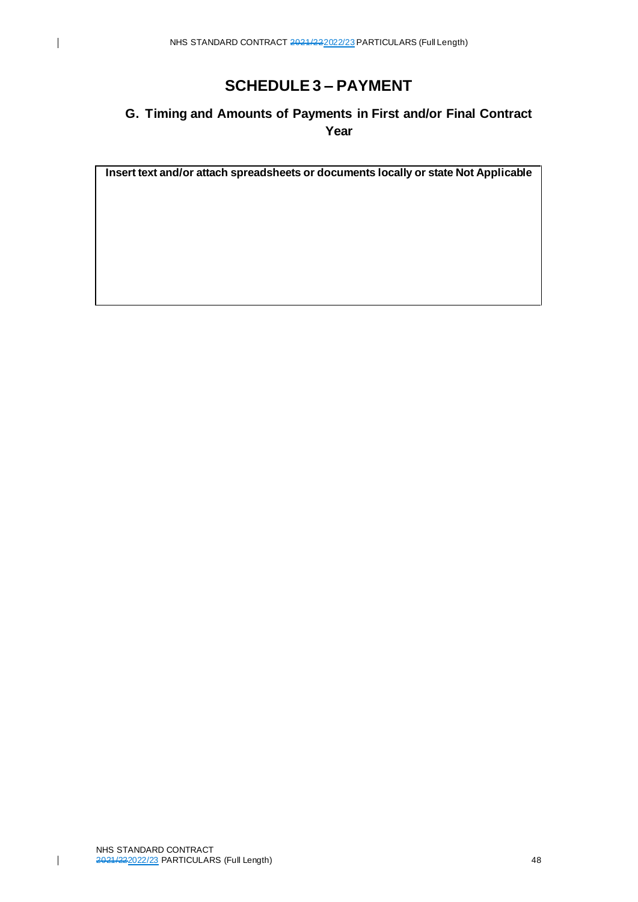$\overline{\phantom{a}}$ 

## **SCHEDULE 3 – PAYMENT**

## **G. Timing and Amounts of Payments in First and/or Final Contract Year**

**Insert text and/or attach spreadsheets or documents locally or state Not Applicable**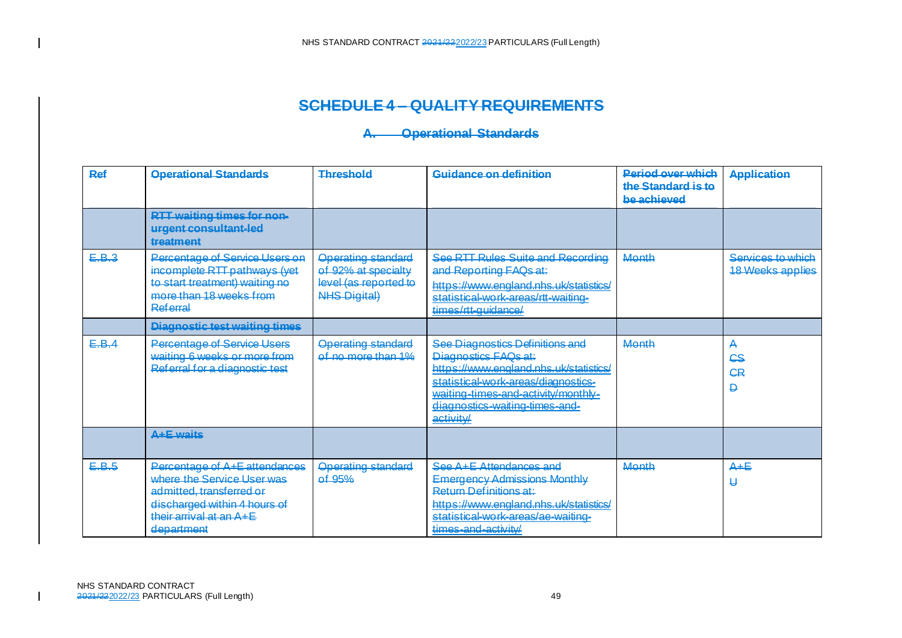### **SCHEDULE 4 – QUALITY REQUIREMENTS**

### **A. Operational Standards**

| Ref   | <b>Operational Standards</b>                                                                                                                                     | <b>Threshold</b>                                                                                 | Guidance on definition                                                                                                                                                                                                         | <b>Period over which</b><br>the Standard is to<br>be achieved | <b>Application</b>                           |
|-------|------------------------------------------------------------------------------------------------------------------------------------------------------------------|--------------------------------------------------------------------------------------------------|--------------------------------------------------------------------------------------------------------------------------------------------------------------------------------------------------------------------------------|---------------------------------------------------------------|----------------------------------------------|
|       | <b>RTT waiting times for non-</b><br>urgent consultant-led<br>treatment                                                                                          |                                                                                                  |                                                                                                                                                                                                                                |                                                               |                                              |
| E.B.3 | Percentage of Service Users on<br>incomplete RTT pathways (yet<br>to start treatment) waiting no<br>more than 18 weeks from<br>Referral                          | <b>Operating standard</b><br>of 92% at specialty<br>level (as reported to<br><b>NHS Digital)</b> | See RTT Rules Suite and Recording<br>and Reporting FAQs at:<br>https://www.england.nhs.uk/statistics/<br>statistical-work-areas/rtt-waiting-<br>times/rtt-guidance/                                                            | Month                                                         | Services to which<br><b>18 Weeks applies</b> |
|       | Diagnostic test waiting times                                                                                                                                    |                                                                                                  |                                                                                                                                                                                                                                |                                                               |                                              |
| E.B.4 | <b>Percentage of Service Users</b><br>waiting 6 weeks or more from<br>Referral for a diagnostic test                                                             | <b>Operating standard</b><br>of no more than 1%                                                  | See Diagnostics Definitions and<br>Diagnostics FAQs at:<br>https://www.england.nhs.uk/statistics/<br>statistical-work-areas/diagnostics-<br>waiting-times-and-activity/monthly-<br>diagnostics-waiting-times-and-<br>activity/ | Month                                                         | <b>CS</b><br><b>CR</b><br>₽                  |
|       | A+E waits                                                                                                                                                        |                                                                                                  |                                                                                                                                                                                                                                |                                                               |                                              |
| E.B.5 | Percentage of A+E attendances<br>where the Service User was<br>admitted, transferred or<br>discharged within 4 hours of<br>their arrival at an A+E<br>department | <b>Operating standard</b><br>of 95%                                                              | See A+E Attendances and<br><b>Emergency Admissions Monthly</b><br><b>Return Definitions at:</b><br>https://www.england.nhs.uk/statistics/<br>statistical-work-areas/ae-waiting-<br>times-and-activity/                         | Month                                                         | $A + E$<br>U                                 |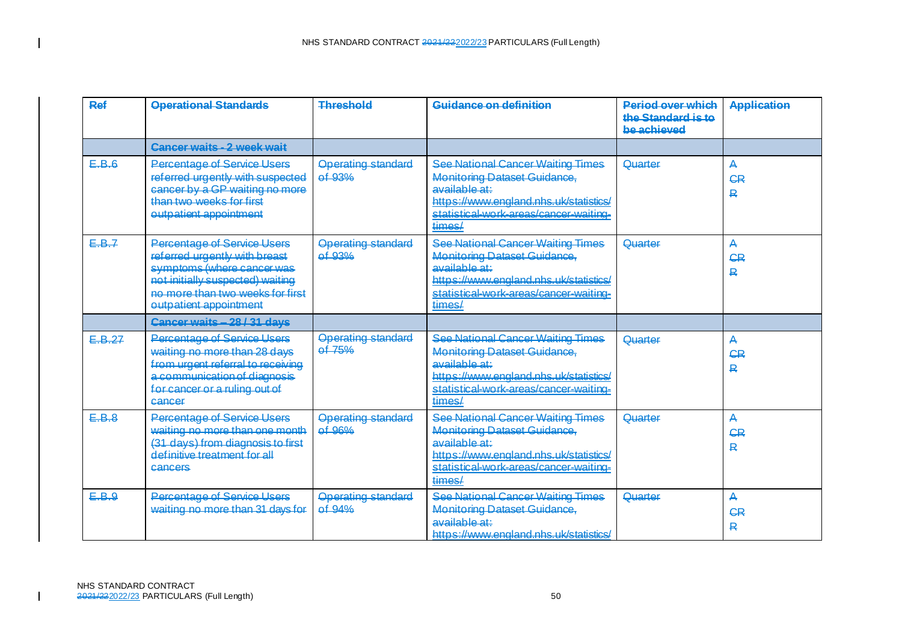| Ref    | <b>Operational Standards</b>                                                                                                                                                                 | <b>Threshold</b>                      | Guidance on definition                                                                                                                                                                         | <b>Period over which</b><br>the Standard is to<br>be achieved | <b>Application</b>  |
|--------|----------------------------------------------------------------------------------------------------------------------------------------------------------------------------------------------|---------------------------------------|------------------------------------------------------------------------------------------------------------------------------------------------------------------------------------------------|---------------------------------------------------------------|---------------------|
|        | Cancer waits - 2 week wait                                                                                                                                                                   |                                       |                                                                                                                                                                                                |                                                               |                     |
| E.B.6  | <b>Percentage of Service Users</b><br>referred urgently with suspected<br>cancer by a GP waiting no more<br>than two weeks for first<br>eutpatient appointment                               | <b>Operating standard</b><br>of 93%   | See National Cancer Waiting Times<br><b>Monitoring Dataset Guidance.</b><br>available at:<br>httne://www.angland.nhe.uk/etatietice/<br>statistical-work-areas/cancer-waiting-<br>times/        | Quarter                                                       | А<br><b>CR</b><br>具 |
| E.B.7  | Percentage of Service Users<br>referred urgently with breast<br>symptoms (where cancer was<br>not initially suspected) waiting<br>no more than two weeks for first<br>outpatient appointment | <b>Operating standard</b><br>of 93%   | <b>See National Cancer Waiting Times</b><br><b>Monitoring Dataset Guidance,</b><br>available at:<br>httne://www.england.nhs.uk/statistics/<br>statistical-work-areas/cancer-waiting-<br>times/ | Quarter                                                       | Д<br><b>CR</b><br>₽ |
|        | Cancer waits - 28 / 31 days                                                                                                                                                                  |                                       |                                                                                                                                                                                                |                                                               |                     |
| E.B.27 | <b>Percentage of Service Users</b><br>waiting no more than 28 days<br>from urgent referral to receiving<br>a communication of diagnosis<br>for cancer or a ruling out of<br>cancer           | <b>Operating standard</b><br>$et$ 75% | See National Cancer Waiting Times<br><b>Monitoring Dataset Guidance.</b><br>available at:<br>https://www.england.nhs.uk/statistics/<br>statistical-work-areas/cancer-waiting-<br>times/        | Quarter                                                       | Д<br><b>CR</b><br>₽ |
| E.B.8  | Percentage of Service Users<br>waiting no more than one month<br>(31 days) from diagnosis to first<br>definitive treatment for all<br>cancers                                                | Operating standard<br>$of$ $Q60/$     | See National Cancer Waiting Times<br>Monitoring Dataset Guidance<br>available at:<br>https://www.england.nhs.uk/statistics/<br>statistical work-areas/cancer-waiting-<br>times/                | Quarter                                                       | Д<br><b>CR</b><br>R |
| E.B.9  | Percentage of Service Users<br>waiting no more than 31 days for                                                                                                                              | <b>Operating standard</b><br>of 94%   | See National Cancer Waiting Times<br><b>Monitoring Dataset Guidance,</b><br>available at:<br>https://www.england.nhs.uk/statistics/                                                            | Quarter                                                       | Д<br><b>CR</b><br>R |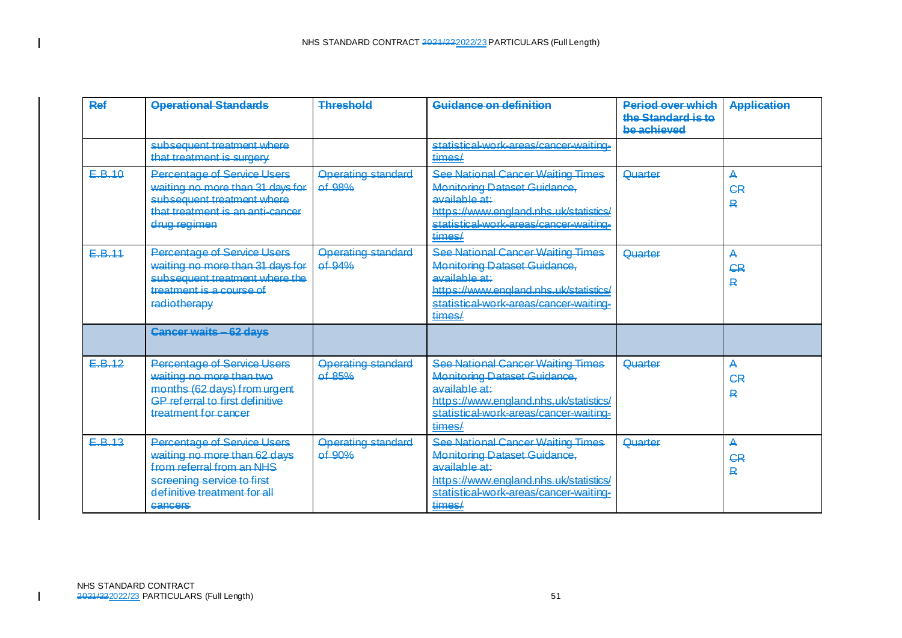| <b>Ref</b> | <b>Operational Standards</b>                                                                                                                                      | Threshold                             | Guidance on definition                                                                                                                                                                  | <b>Period over which</b><br>the Standard is to<br>he achieved | <b>Application</b>  |
|------------|-------------------------------------------------------------------------------------------------------------------------------------------------------------------|---------------------------------------|-----------------------------------------------------------------------------------------------------------------------------------------------------------------------------------------|---------------------------------------------------------------|---------------------|
|            | subsequent treatment where<br>that treatment is surgery                                                                                                           |                                       | statistical-work-areas/cancer-waiting-<br>times/                                                                                                                                        |                                                               |                     |
| E.B.10     | <b>Percentage of Service Users</b><br>waiting no more than 31 days for<br>subsequent treatment where<br>that treatment is an anti-cancer<br>drug regimen          | <b>Operating standard</b><br>of 98%   | See National Cancer Waiting Times<br><b>Monitoring Dataset Guidance,</b><br>available at:<br>httne://www.england.nhs.uk/statistics/<br>statistical-work-areas/cancer-waiting-<br>times/ | Quarter                                                       | А<br>СR<br>₽        |
| E.B.11     | Percentage of Service Users<br>waiting no more than 31 days for<br>subsequent treatment where the<br>treatment is a course of<br>radiotherapy                     | <b>Operating standard</b><br>of 94%   | See National Cancer Waiting Times<br><b>Monitoring Dataset Guidance,</b><br>available at:<br>https://www.england.nhs.uk/statistics/<br>statistical-work-areas/cancer-waiting-<br>times/ | Quarter                                                       | Д<br><b>CR</b><br>₽ |
|            | <b>Cancer waits - 62 days</b>                                                                                                                                     |                                       |                                                                                                                                                                                         |                                                               |                     |
| E.B.12     | Percentage of Service Users<br>waiting no more than two<br>months (62 days) from urgent<br>GP referral to first definitive<br>treatment for cancer                | <b>Operating standard</b><br>of 85%   | See National Cancer Waiting Times<br><b>Monitoring Dataset Guidance.</b><br>available at:<br>https://www.england.nhs.uk/statistics/<br>statistical-work-areas/cancer-waiting-<br>times/ | Quarter                                                       | Д<br>СR<br>₽        |
| E.B.13     | Percentage of Service Users<br>waiting no more than 62 days<br>from referral from an NHS<br>screening service to first<br>definitive treatment for all<br>cancers | <b>Onerating standard</b><br>$of$ 90% | See National Cancer Waiting Times<br>Monitoring Dataset Guidance.<br>available at:<br>https://www.england.nhs.uk/statistics/<br>statistical-work-areas/cancer-waiting-<br>times/        | <u> Ouarter</u>                                               | Д<br><b>CR</b><br>₽ |

 $\mathbf{I}$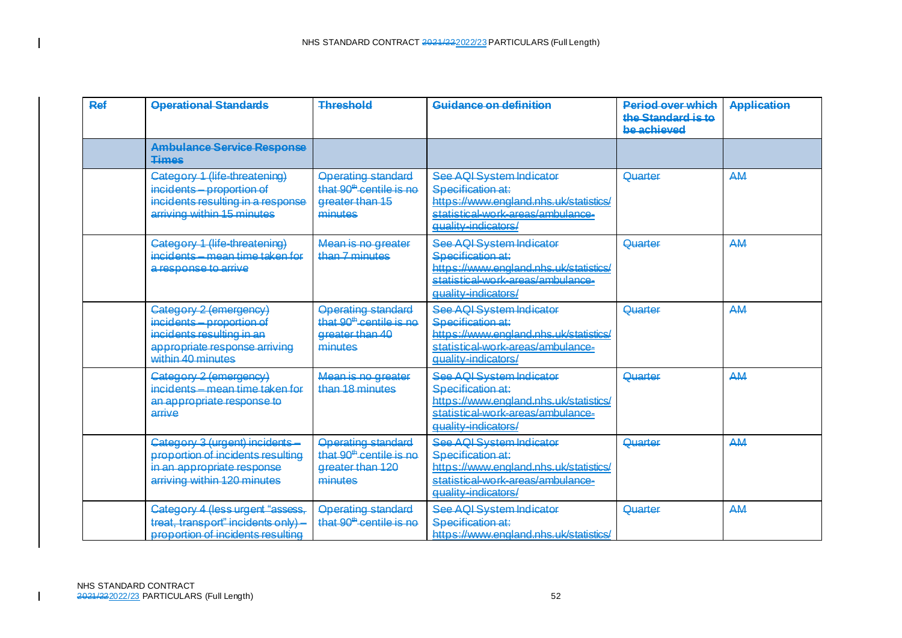| <b>Ref</b> | <b>Operational Standards</b>                                                                                                           | <b>Threshold</b>                                                                                | Guidance on definition                                                                                                                              | <b>Period over which</b><br>the Standard is to<br>be achieved | <b>Application</b> |
|------------|----------------------------------------------------------------------------------------------------------------------------------------|-------------------------------------------------------------------------------------------------|-----------------------------------------------------------------------------------------------------------------------------------------------------|---------------------------------------------------------------|--------------------|
|            | <b>Ambulance Service Response</b><br><b>Times</b>                                                                                      |                                                                                                 |                                                                                                                                                     |                                                               |                    |
|            | Category 1 (life-threatening)<br>incidents - proportion of<br>incidents resulting in a response<br>arriving within 15 minutes          | <b>Operating standard</b><br>that 90 <sup>th</sup> centile is no<br>greater than 15<br>minutas  | See AQI System Indicator<br>Specification at:<br>https://www.england.nhs.uk/statistics/<br>statistical-work-areas/ambulance-<br>quality-indicators/ | Quarter                                                       | AM                 |
|            | Category 1 (life-threatening)<br>incidents - mean time taken for<br>a response to arrive                                               | Mean is no greater<br>than 7 minutes                                                            | See AQI System Indicator<br>Specification at:<br>https://www.england.nhs.uk/statistics/<br>statistical-work-areas/ambulance-<br>quality-indicators/ | Quarter                                                       | AM                 |
|            | Category 2 (emergency)<br>incidents - proportion of<br>incidents resulting in an<br>appropriate response arriving<br>within 40 minutes | <b>Operating standard</b><br>that 90 <sup>th</sup> centile is no<br>greater than 40<br>minutes  | See AQI System Indicator<br>Specification at:<br>https://www.england.nhs.uk/statistics/<br>statistical-work-areas/ambulance-<br>quality-indicators/ | Quarter                                                       | AM                 |
|            | Category 2 (emergency)<br>incidents - mean time taken for<br>an appropriate response to<br>arrive                                      | Mean is no greater<br>than 18 minutes                                                           | See AQI System Indicator<br>Specification at:<br>https://www.england.nhs.uk/statistics/<br>statistical-work-areas/ambulance-<br>quality-indicators/ | Quarter                                                       | AM                 |
|            | Category 3 (urgent) incidents-<br>proportion of incidents resulting<br>in an appropriate response<br>arriving within 120 minutes       | <b>Operating standard</b><br>that 90 <sup>th</sup> centile is no<br>greater than 120<br>minutes | See AOI System Indicator<br>Specification at:<br>https://www.england.phs.uk/statistics/<br>statistical-work-areas/ambulance-<br>auglity-indicators/ | Quarter                                                       | AM                 |
|            | Category 4 (less urgent "assess,<br>treat, transport" incidents only)<br>proportion of incidents resulting                             | <b>Operating standard</b><br>that 90 <sup>th</sup> centile is no                                | See AQI System Indicator<br>Specification at:<br>https://www.england.nhs.uk/statistics/                                                             | Quarter                                                       | AM                 |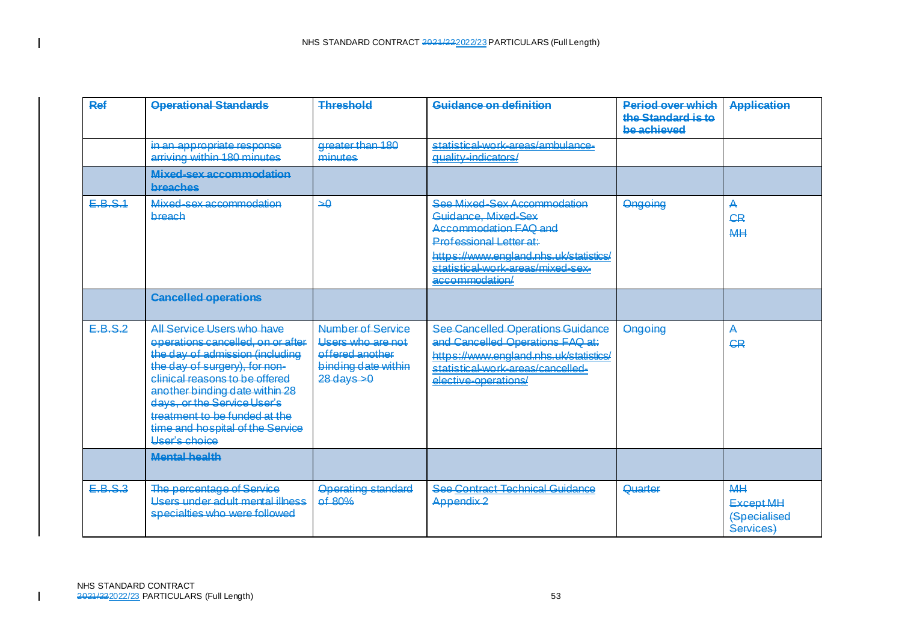| Ref              | <b>Operational Standards</b>                                                                                                                                                                                                                                                                                                        | <b>Threshold</b>                                                                                    | Guidance on definition                                                                                                                                                                                  | <b>Period over which</b><br>the Standard is to<br>be achieved | <b>Application</b>                                                |
|------------------|-------------------------------------------------------------------------------------------------------------------------------------------------------------------------------------------------------------------------------------------------------------------------------------------------------------------------------------|-----------------------------------------------------------------------------------------------------|---------------------------------------------------------------------------------------------------------------------------------------------------------------------------------------------------------|---------------------------------------------------------------|-------------------------------------------------------------------|
|                  | in an appropriate response<br>arriving within 180 minutes                                                                                                                                                                                                                                                                           | greater than 180<br>minutes                                                                         | statistical-work-areas/ambulance-<br>quality-indicators/                                                                                                                                                |                                                               |                                                                   |
|                  | Mixed-sex accommodation<br>breaches                                                                                                                                                                                                                                                                                                 |                                                                                                     |                                                                                                                                                                                                         |                                                               |                                                                   |
| EBS <sub>4</sub> | Mived-sey accommodation<br>breach                                                                                                                                                                                                                                                                                                   | $\rightarrow \theta$                                                                                | See Mixed-Sex Accommodation<br>Guidance, Mixed-Sex<br>Accommodation EAQ and<br>Professional Letter at:<br>https://www.england.nhs.uk/statistics/<br>statistical-work-areas/mixed-sex-<br>accommodation/ | Ongoing                                                       | Д<br><b>CR</b><br><b>MH</b>                                       |
|                  | <b>Cancelled operations</b>                                                                                                                                                                                                                                                                                                         |                                                                                                     |                                                                                                                                                                                                         |                                                               |                                                                   |
| E.B.S.2          | All Service Users who have<br>operations cancelled, on or after<br>the day of admission (including<br>the day of surgery), for non-<br>clinical reasons to be offered<br>another binding date within 28<br>days, or the Service User's<br>treatment to be funded at the<br>time and hospital of the Service<br><b>User's choice</b> | Number of Service<br>Lisers who are not<br>offered another<br>binding date within<br>$28$ days $>0$ | <b>See Cancelled Operations Guidance</b><br>and Cancelled Operations FAQ at:<br>https://www.england.nhs.uk/statistics/<br>statistical-work-areas/cancelled-<br>elective-operations/                     | Ongoing                                                       | Д<br><b>CR</b>                                                    |
|                  | <b>Mental health</b>                                                                                                                                                                                                                                                                                                                |                                                                                                     |                                                                                                                                                                                                         |                                                               |                                                                   |
| E.B.S.3          | The percentage of Service<br>Users under adult mental illness<br>specialties who were followed                                                                                                                                                                                                                                      | <b>Operating standard</b><br>of 80%                                                                 | See Contract Technical Guidance<br>Appendix 2                                                                                                                                                           | Quarter                                                       | <b>MH</b><br><b>Except MH</b><br><b>(Specialised</b><br>Services) |

 $\blacksquare$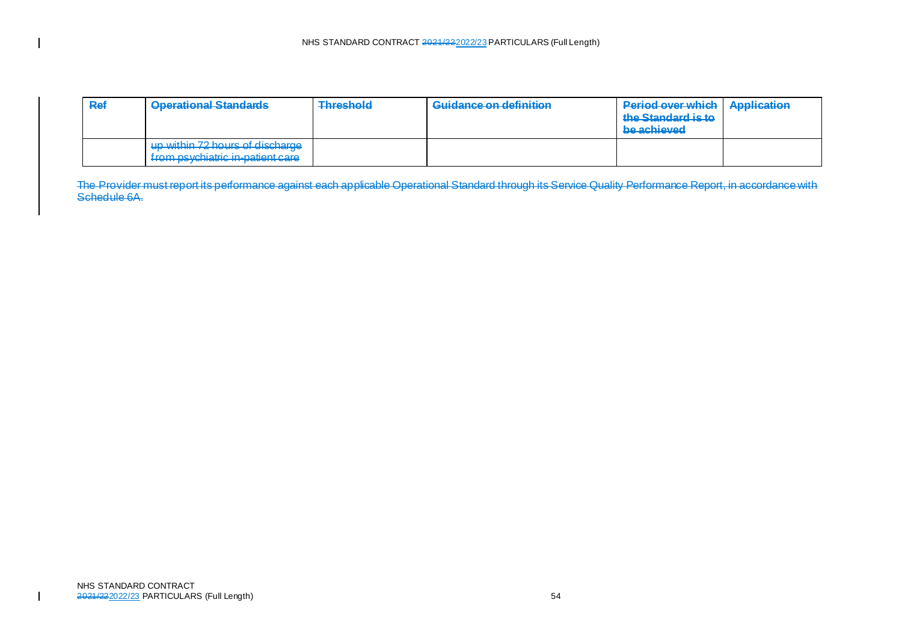| Ref | <b>Operational Standards</b>                                                                                                                                                                                                                | <b>Threshold</b><br>and the contract of the contract of | Guidance on definition | <b>Period over which   Application</b><br>the Standard is to<br>be achieved |  |
|-----|---------------------------------------------------------------------------------------------------------------------------------------------------------------------------------------------------------------------------------------------|---------------------------------------------------------|------------------------|-----------------------------------------------------------------------------|--|
|     | un within 72 houre of discharge<br><del>up within re nouro or urouraryo</del><br>from nevobiatric in-patient care<br><b>TEMPERATURE AVEILABLE MARINE MARINE MARINE AND DESCRIPTION OF A REPORT OF A REPORT OF A REPORT OF A REPORT OF A</b> |                                                         |                        |                                                                             |  |

The Provider must report its performance against each applicable Operational Standard through its Service Quality Performance Report, in accordance with Schedule 6A.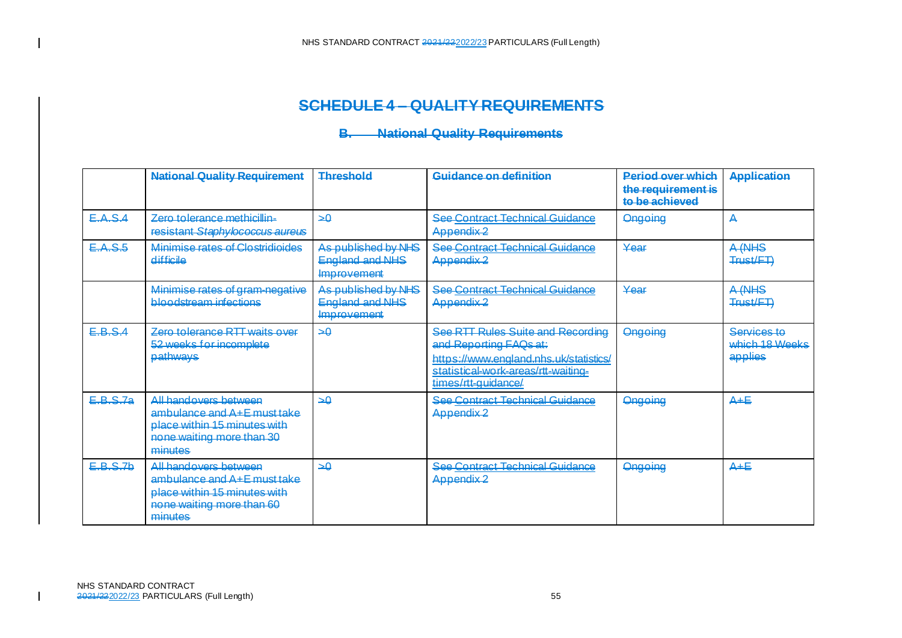### **SCHEDULE 4 – QUALITY REQUIREMENTS**

### **B. National Quality Requirements**

|                 | <b>National Quality Requirement</b>                                                                                                 | <b>Threshold</b>                                             | Guidance on definition                                                                                                                                              | <b>Pariod over which</b><br>the requirement is<br>to be achieved | <b>Application</b>                       |
|-----------------|-------------------------------------------------------------------------------------------------------------------------------------|--------------------------------------------------------------|---------------------------------------------------------------------------------------------------------------------------------------------------------------------|------------------------------------------------------------------|------------------------------------------|
| E.A.S.A         | Zero tolerance methicillin-<br>resistant Staphylococcus aureus                                                                      | هد                                                           | <b>See Contract Technical Guidance</b><br>Appendix <sub>2</sub>                                                                                                     | <b>Ongoing</b>                                                   | А                                        |
| E.A.S.5         | <b>Minimise rates of Clostridioides</b><br>difficile                                                                                | As published by NHS<br><b>England and NHS</b><br>Improvement | <b>See Contract Technical Guidance</b><br>Appendix <sub>2</sub>                                                                                                     | Year                                                             | A (NHS<br>Trust/FT)                      |
|                 | Minimise rates of gram-negative<br>bloodstream infections                                                                           | As published by NHS<br><b>England and NHS</b><br>Improvement | <b>See Contract Technical Guidance</b><br>Appendix <sub>2</sub>                                                                                                     | Year                                                             | A (NHS<br>Trust/FT)                      |
| E.B.S.4         | Zero tolerance RTT waits over<br>52 weeks for incomplete<br>pathways                                                                | هد                                                           | See RTT Rules Suite and Recording<br>and Reporting FAQs at:<br>https://www.england.nhs.uk/statistics/<br>statistical-work-areas/rtt-waiting-<br>times/rtt-guidance/ | <b>Ongoing</b>                                                   | Services to<br>which 18 Weeks<br>applies |
| <b>E.B.S.7a</b> | <u>All handovers between</u><br>ambulance and A+E must take<br>place within 15 minutes with<br>none waiting more than 30<br>minutes | هد                                                           | See Contract Technical Guidance<br>Appendix <sub>2</sub>                                                                                                            | <b>Ongoing</b>                                                   | $A + E$                                  |
| E.B.S.7b        | All handovers between<br>ambulance and A+E must take<br>place within 15 minutes with<br>none waiting more than 60<br>minutes        | هد                                                           | <b>See Contract Technical Guidance</b><br>Appendix <sub>2</sub>                                                                                                     | <b>Ongoing</b>                                                   | $A + E$                                  |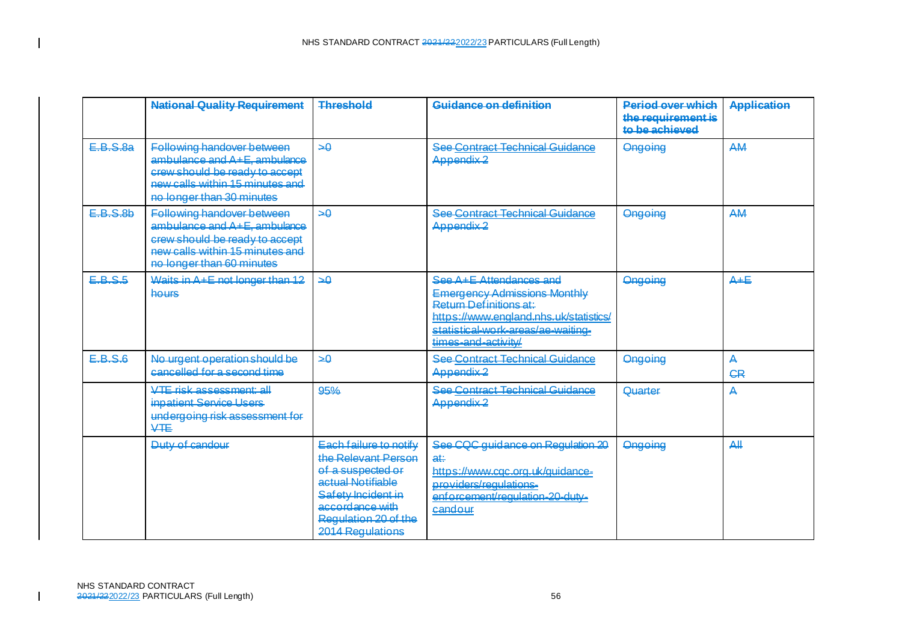|         | <b>National Quality Requirement</b>                                                                                                                                 | <b>Threshold</b>                                                                                                                                                             | Guidance on definition                                                                                                                                                                          | <b>Period over which</b><br>the requirement is<br>to be achieved | <b>Application</b> |
|---------|---------------------------------------------------------------------------------------------------------------------------------------------------------------------|------------------------------------------------------------------------------------------------------------------------------------------------------------------------------|-------------------------------------------------------------------------------------------------------------------------------------------------------------------------------------------------|------------------------------------------------------------------|--------------------|
| EBS83   | Following handover between<br>ambulance and $A + E$ , ambulance<br>crew should be ready to accept<br>new calls within 15 minutes and<br>no longer than 30 minutes   | ھد                                                                                                                                                                           | <b>See Contract Technical Guidance</b><br>Appendix <sub>2</sub>                                                                                                                                 | Ongoing                                                          | AM                 |
| E.B.S.B | Following handover between<br>$ambulance$ and $A + E$ , ambulance<br>crew should be ready to accept<br>new calls within 15 minutes and<br>no longer than 60 minutes | هد                                                                                                                                                                           | <b>See Contract Technical Guidance</b><br>Appendix <sub>2</sub>                                                                                                                                 | Ongoing                                                          | <b>AM</b>          |
| E.B.S.5 | Waits in $A + E$ not longer than 12<br>hours                                                                                                                        | ھد                                                                                                                                                                           | See A+F Attendances and<br><b>Emergency Admissions Monthly</b><br>Return Definitions at:<br>https://www.england.nhs.uk/statistics/<br>statistical-work-areas/ae-waiting-<br>times-and-activity/ | <b>Ongoing</b>                                                   | $A + E$            |
| E.B.S.6 | No urgent operation should be<br>cancelled for a second time                                                                                                        | $\rightarrow \theta$                                                                                                                                                         | See Contract Technical Guidance<br>Appendix <sub>2</sub>                                                                                                                                        | Ongoing                                                          | А<br><b>CR</b>     |
|         | VTF risk assessment all<br>inpatient Service Users<br>undergoing risk assessment for<br><b>VTE</b>                                                                  | 95%                                                                                                                                                                          | See Contract Technical Guidance<br>Appendix <sub>2</sub>                                                                                                                                        | Quarter                                                          | Ą                  |
|         | Duty of candour                                                                                                                                                     | Each failure to notify<br>the Relevant Person<br>of a suspected or<br>actual Notifiable<br>Safety Incident in<br>accordance with<br>Regulation 20 of the<br>2014 Regulations | See CQC quidance on Requlation 20<br>at∺<br>https://www.cac.org.uk/guidance-<br>providers/requiations-<br>enforcement/regulation-20-duty-<br>candour                                            | Ongoing                                                          | A                  |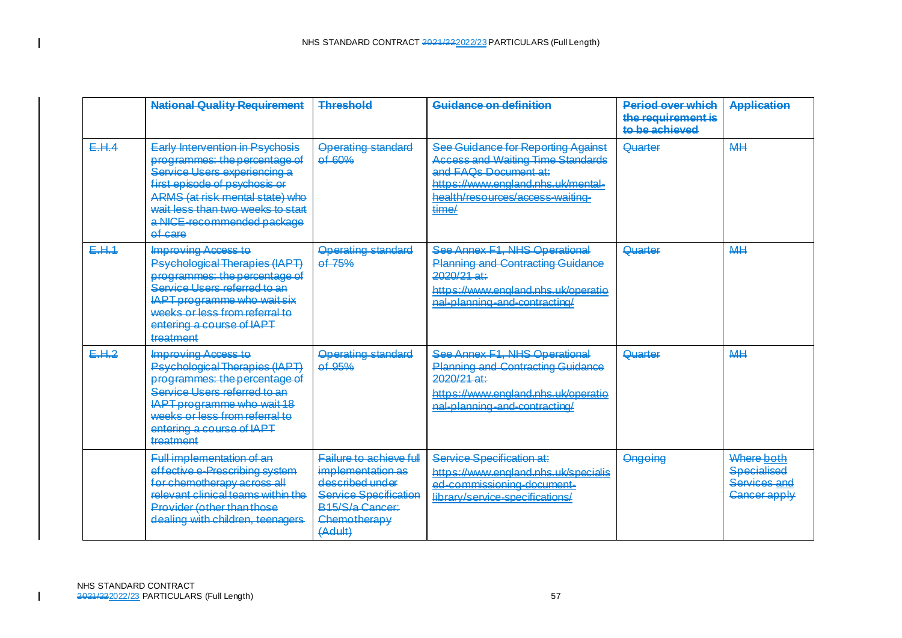|       | <b>National Quality Requirement</b>                                                                                                                                                                                                                       | <b>Threshold</b>                                                                                                                                     | Guidance on definition                                                                                                                                                                            | <b>Pariod over which</b><br>the requirement is<br>to be achieved | <b>Application</b>                                               |
|-------|-----------------------------------------------------------------------------------------------------------------------------------------------------------------------------------------------------------------------------------------------------------|------------------------------------------------------------------------------------------------------------------------------------------------------|---------------------------------------------------------------------------------------------------------------------------------------------------------------------------------------------------|------------------------------------------------------------------|------------------------------------------------------------------|
| E.H.A | <b>Early Intervention in Psychosis</b><br>programmes: the percentage of<br>Service Users experiencing a<br>first episode of psychosis or<br>ARMS (at risk mental state) who<br>wait less than two weeks to start<br>a NICE-recommended package<br>ef care | <b>Operating standard</b><br>$0$ 60%                                                                                                                 | See Guidance for Reporting Against<br><b>Access and Waiting Time Standards</b><br>and <b>FAOs Document at:</b><br>https://www.england.nhs.uk/mental-<br>health/resources/access-waiting-<br>time/ | Quarter                                                          | <b>MH</b>                                                        |
| E.H.1 | <b>Improving Access to</b><br><b>Psychological Therapies (IAPT)</b><br>programmes: the percentage of<br>Service Users referred to an<br><b>IAPT programme who wait six</b><br>weeks or less from referral to<br>entering a course of IAPT<br>treatment    | <b>Operating standard</b><br>$0f$ 75%                                                                                                                | See Annex E1 NHS Operational<br><b>Planning and Contracting Guidance</b><br>$2020/21$ at:<br>https://www.england.nhs.uk/operatio<br>nal-planning-and-contracting/                                 | Quarter                                                          | <b>MH</b>                                                        |
| E.H.2 | Improving Access to<br><b>Psychological Therapies (IAPT)</b><br>programmes: the percentage of<br>Service Users referred to an<br><b>IAPT programme who wait 18</b><br>weeks or less from referral to<br>entering a course of IAPT<br>treatment            | <b>Operating standard</b><br>$0$ $0$ $0$ $0$ $0$ $0$ $0$ $0$ $0$ $0$ $0$ $0$ $0$ $0$ $0$ $0$ $0$ $0$ $0$ $0$ $0$ $0$                                 | See Annex F1, NHS Operational<br><b>Planning and Contracting Guidance</b><br>2020/21 at:<br>https://www.england.nhs.uk/operatio<br>nal-planning-and-contracting/                                  | Quarter                                                          | <b>MH</b>                                                        |
|       | <b>Eull implementation of an</b><br>effective e-Prescribing system<br>for chemotherapy across all<br><u>relevant clinical teams within the </u><br><b>Provider (other than those</b><br>dealing with children, teenagers                                  | Failure to achieve full<br>implementation as<br>described under<br><b>Service Specification</b><br><b>B15/S/a Cancer:</b><br>Chemotherapy<br>(Adult) | Service Specification at:<br>https://www.england.nhs.uk/specialis<br>ed-commissioning-document-<br>library/service-specifications/                                                                | Ongoing                                                          | Where both<br><b>Specialised</b><br>Services and<br>Cancer apply |

 $\blacksquare$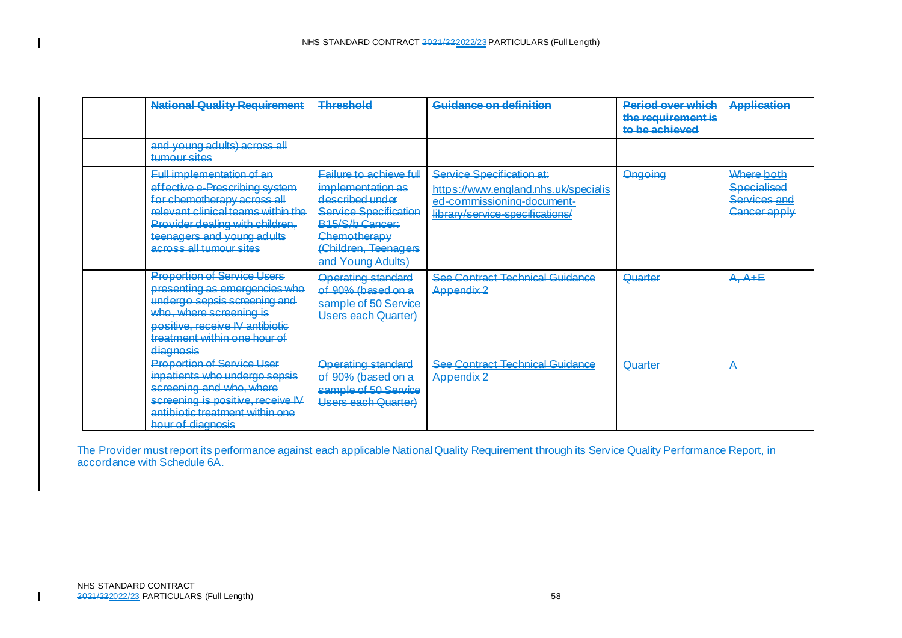| <b>National Quality Requirement</b>                                                                                                                                                                                                         | <b>Threshold</b>                                                                                                                                                                       | Guidance on definition                                                                                                             | <b>Pariod over which</b><br>the requirement is<br>to be achieved | <b>Application</b>                                               |
|---------------------------------------------------------------------------------------------------------------------------------------------------------------------------------------------------------------------------------------------|----------------------------------------------------------------------------------------------------------------------------------------------------------------------------------------|------------------------------------------------------------------------------------------------------------------------------------|------------------------------------------------------------------|------------------------------------------------------------------|
| and young adults) across all<br>tumour sites                                                                                                                                                                                                |                                                                                                                                                                                        |                                                                                                                                    |                                                                  |                                                                  |
| <b>Full implementation of an</b><br>effective e-Prescribing system<br>for chemotherapy across all<br><u>relevant clinical teams within the </u><br>Provider dealing with children,<br>teenagers and young adults<br>across all tumour sites | <b>Failure to achieve full</b><br>implementation as<br>described under<br><b>Service Specification</b><br>R15/S/h Cancer:<br>Chemotherapy<br>(Children, Teenagers<br>and Young Adults) | Service Specification at:<br>https://www.england.nhs.uk/specialis<br>ed-commissioning-document-<br>library/service-specifications/ | <b>Ongoing</b>                                                   | Where both<br><b>Specialised</b><br>Services and<br>Cancer apply |
| <b>Proportion of Service Users</b><br>presenting as emergencies who<br>undergo sepsis screening and<br>who, where screening is<br>positive, receive IV antibiotic<br>treatment within one hour of<br>diagnosis                              | <b>Operating standard</b><br>of 90% (based on a<br>sample of 50 Service<br>Users each Quarter)                                                                                         | See Contract Technical Guidance<br>Appendix <sub>2</sub>                                                                           | Quarter                                                          | $A, A + E$                                                       |
| <b>Proportion of Service User</b><br>inpatients who undergo sepsis<br>screening and who, where<br>screening is positive, receive IV<br>antibiotic treatment within one<br>hour of diagnosis                                                 | <b>Operating standard</b><br>of 90% (based on a<br>sample of 50 Service<br>Users each Quarter)                                                                                         | <b>See Contract Technical Guidance</b><br>Appendix <sub>2</sub>                                                                    | Quarter                                                          | А                                                                |

The Provider must report its performance against each applicable National Quality Requirement through its Service Quality Performance Report, in accordance with Schedule 6A.

 $\blacksquare$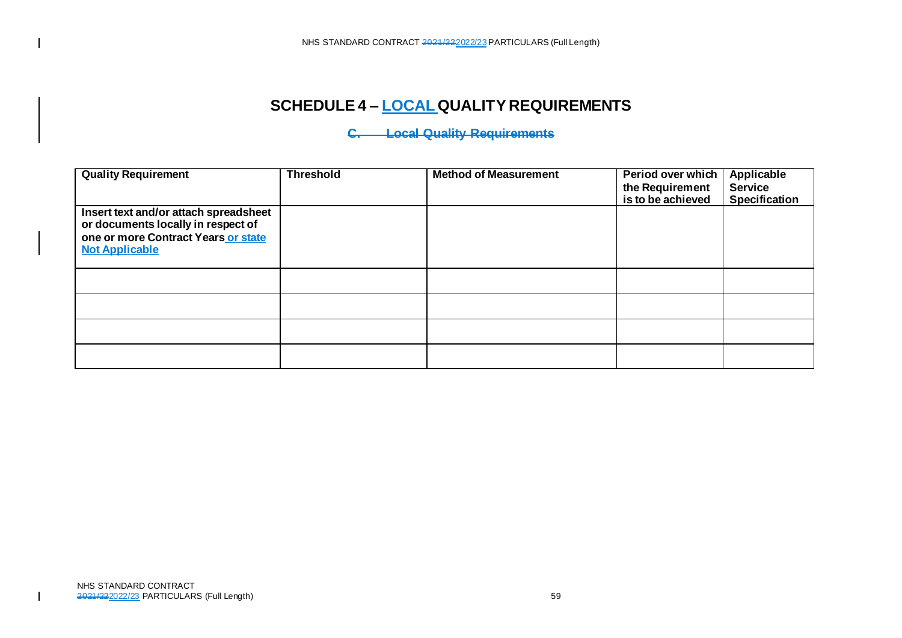# **SCHEDULE 4 – LOCAL QUALITY REQUIREMENTS**

# **C. Local Quality Requirements**

| <b>Quality Requirement</b>                                                  | <b>Threshold</b> | <b>Method of Measurement</b> | Period over which<br>the Requirement | <b>Applicable</b><br><b>Service</b> |
|-----------------------------------------------------------------------------|------------------|------------------------------|--------------------------------------|-------------------------------------|
|                                                                             |                  |                              | is to be achieved                    | <b>Specification</b>                |
| Insert text and/or attach spreadsheet<br>or documents locally in respect of |                  |                              |                                      |                                     |
| one or more Contract Years or state                                         |                  |                              |                                      |                                     |
| <b>Not Applicable</b>                                                       |                  |                              |                                      |                                     |
|                                                                             |                  |                              |                                      |                                     |
|                                                                             |                  |                              |                                      |                                     |
|                                                                             |                  |                              |                                      |                                     |
|                                                                             |                  |                              |                                      |                                     |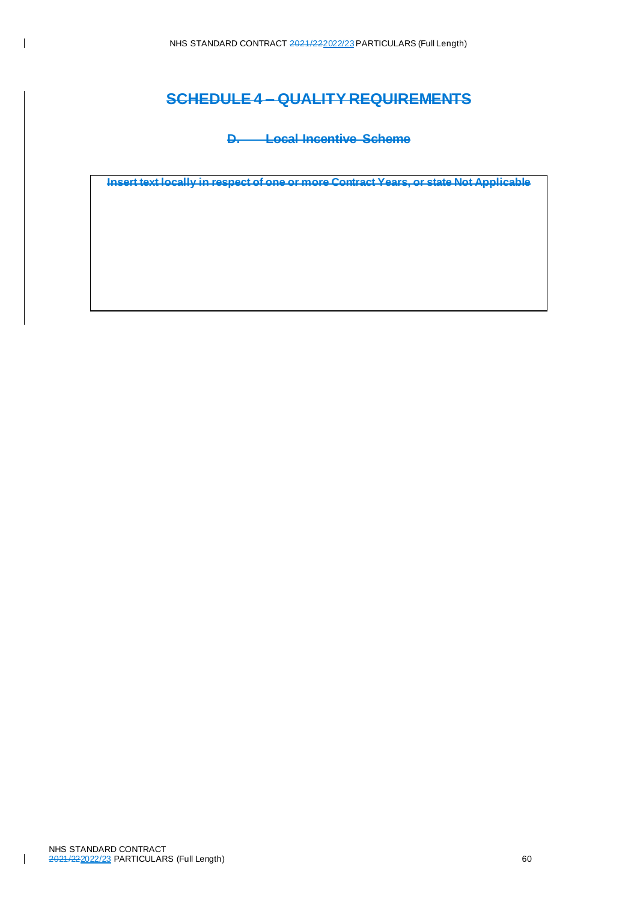### **SCHEDULE 4 – QUALITY REQUIREMENTS**

**D. Local Incentive Scheme**

**Insert text locally in respect of one or more Contract Years, or state Not Applicable**

 $\overline{\phantom{a}}$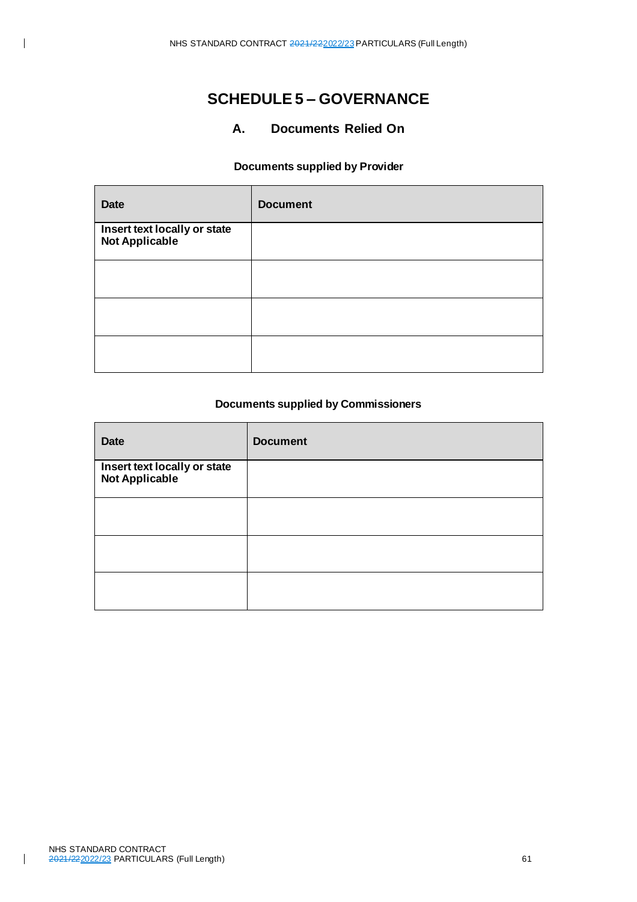## **SCHEDULE 5 – GOVERNANCE**

### **A. Documents Relied On**

#### **Documents supplied by Provider**

| <b>Date</b>                                    | <b>Document</b> |
|------------------------------------------------|-----------------|
| Insert text locally or state<br>Not Applicable |                 |
|                                                |                 |
|                                                |                 |
|                                                |                 |

#### **Documents supplied by Commissioners**

| <b>Date</b>                                           | <b>Document</b> |
|-------------------------------------------------------|-----------------|
| Insert text locally or state<br><b>Not Applicable</b> |                 |
|                                                       |                 |
|                                                       |                 |
|                                                       |                 |

 $\overline{\phantom{a}}$ 

 $\overline{1}$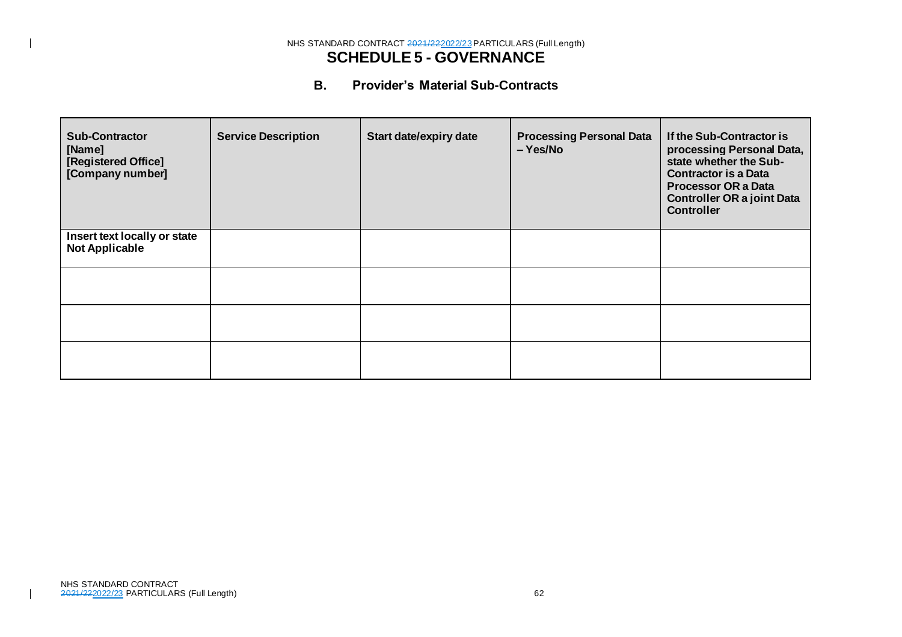#### NHS STANDARD CONTRACT 2021/222022/23 PARTICULARS (Full Length) **SCHEDULE 5 - GOVERNANCE**

### **B. Provider's Material Sub-Contracts**

| <b>Sub-Contractor</b><br>[Name]<br>[Registered Office]<br>[Company number] | <b>Service Description</b> | <b>Start date/expiry date</b> | <b>Processing Personal Data</b><br>– Yes/No | If the Sub-Contractor is<br>processing Personal Data,<br>state whether the Sub-<br><b>Contractor is a Data</b><br><b>Processor OR a Data</b><br><b>Controller OR a joint Data</b><br><b>Controller</b> |
|----------------------------------------------------------------------------|----------------------------|-------------------------------|---------------------------------------------|--------------------------------------------------------------------------------------------------------------------------------------------------------------------------------------------------------|
| Insert text locally or state<br><b>Not Applicable</b>                      |                            |                               |                                             |                                                                                                                                                                                                        |
|                                                                            |                            |                               |                                             |                                                                                                                                                                                                        |
|                                                                            |                            |                               |                                             |                                                                                                                                                                                                        |
|                                                                            |                            |                               |                                             |                                                                                                                                                                                                        |

 $\blacksquare$ 

 $\mathbf{I}$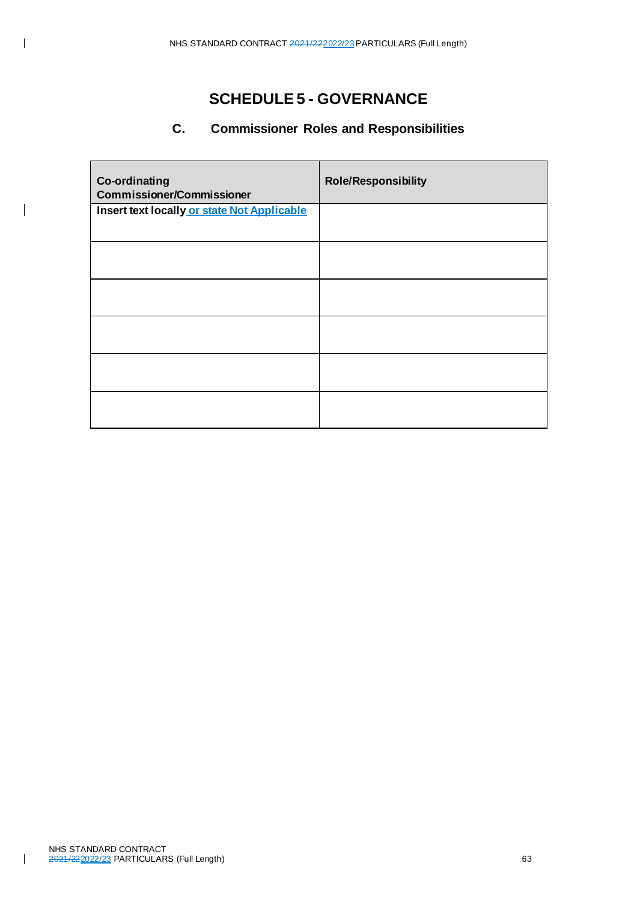## **SCHEDULE 5 - GOVERNANCE**

## **C. Commissioner Roles and Responsibilities**

| <b>Co-ordinating</b><br><b>Commissioner/Commissioner</b> | <b>Role/Responsibility</b> |
|----------------------------------------------------------|----------------------------|
| Insert text locally or state Not Applicable              |                            |
|                                                          |                            |
|                                                          |                            |
|                                                          |                            |
|                                                          |                            |
|                                                          |                            |

 $\overline{\phantom{a}}$ 

 $\overline{\phantom{a}}$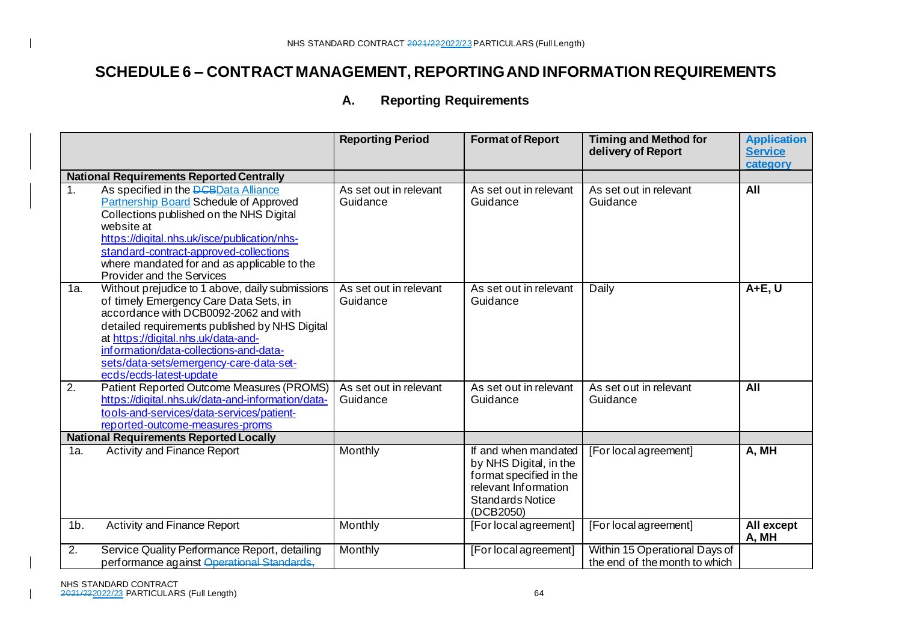### **A. Reporting Requirements**

|                |                                                                                                                                                                                                                                                                                                                                             | <b>Reporting Period</b>            | <b>Format of Report</b>                                                                                                                   | <b>Timing and Method for</b><br>delivery of Report             | <b>Application</b><br><b>Service</b><br>category |
|----------------|---------------------------------------------------------------------------------------------------------------------------------------------------------------------------------------------------------------------------------------------------------------------------------------------------------------------------------------------|------------------------------------|-------------------------------------------------------------------------------------------------------------------------------------------|----------------------------------------------------------------|--------------------------------------------------|
|                | <b>National Requirements Reported Centrally</b>                                                                                                                                                                                                                                                                                             |                                    |                                                                                                                                           |                                                                |                                                  |
| 1 <sub>1</sub> | As specified in the <b>DCBData Alliance</b><br><b>Partnership Board Schedule of Approved</b><br>Collections published on the NHS Digital<br>website at<br>https://digital.nhs.uk/isce/publication/nhs-<br>standard-contract-approved-collections<br>where mandated for and as applicable to the<br>Provider and the Services                | As set out in relevant<br>Guidance | As set out in relevant<br>Guidance                                                                                                        | As set out in relevant<br>Guidance                             | All                                              |
| 1a.            | Without prejudice to 1 above, daily submissions<br>of timely Emergency Care Data Sets, in<br>accordance with DCB0092-2062 and with<br>detailed requirements published by NHS Digital<br>at https://digital.nhs.uk/data-and-<br>information/data-collections-and-data-<br>sets/data-sets/emergency-care-data-set-<br>ecds/ecds-latest-update | As set out in relevant<br>Guidance | As set out in relevant<br>Guidance                                                                                                        | Daily                                                          | $A+E, U$                                         |
| 2.             | Patient Reported Outcome Measures (PROMS)<br>https://digital.nhs.uk/data-and-information/data-<br>tools-and-services/data-services/patient-<br>reported-outcome-measures-proms                                                                                                                                                              | As set out in relevant<br>Guidance | As set out in relevant<br>Guidance                                                                                                        | As set out in relevant<br>Guidance                             | All                                              |
|                | <b>National Requirements Reported Locally</b>                                                                                                                                                                                                                                                                                               |                                    |                                                                                                                                           |                                                                |                                                  |
| 1a.            | <b>Activity and Finance Report</b>                                                                                                                                                                                                                                                                                                          | Monthly                            | If and when mandated<br>by NHS Digital, in the<br>format specified in the<br>relevant Information<br><b>Standards Notice</b><br>(DCB2050) | [For local agreement]                                          | A, MH                                            |
| $1b$ .         | <b>Activity and Finance Report</b>                                                                                                                                                                                                                                                                                                          | Monthly                            | [For local agreement]                                                                                                                     | [For local agreement]                                          | All except<br>A, MH                              |
| 2.             | Service Quality Performance Report, detailing<br>performance against Operational Standards.                                                                                                                                                                                                                                                 | Monthly                            | [For local agreement]                                                                                                                     | Within 15 Operational Days of<br>the end of the month to which |                                                  |

 $\blacksquare$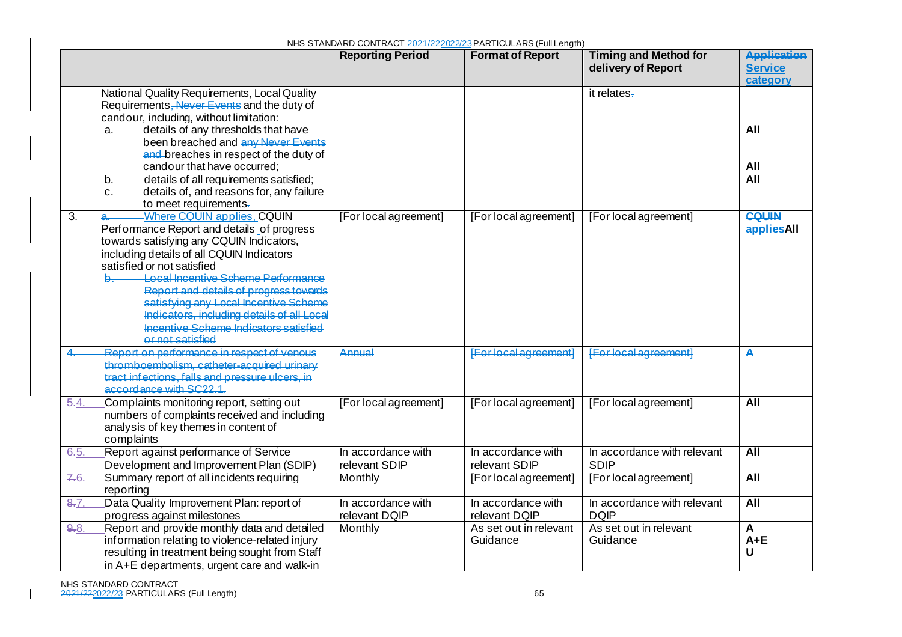|                  |                                                                                                                                                                                                                                                                                                                                                                                                                                            | NHS STANDARD CONTRACT 2021/222022/23 PARTICULARS (Full Length)<br><b>Timing and Method for</b><br><b>Reporting Period</b><br><b>Format of Report</b> |                                     |                                            |                                                  |  |
|------------------|--------------------------------------------------------------------------------------------------------------------------------------------------------------------------------------------------------------------------------------------------------------------------------------------------------------------------------------------------------------------------------------------------------------------------------------------|------------------------------------------------------------------------------------------------------------------------------------------------------|-------------------------------------|--------------------------------------------|--------------------------------------------------|--|
|                  |                                                                                                                                                                                                                                                                                                                                                                                                                                            |                                                                                                                                                      |                                     | delivery of Report                         | <b>Application</b><br><b>Service</b><br>category |  |
|                  | National Quality Requirements, Local Quality<br>Requirements, Never Events and the duty of<br>candour, including, without limitation:<br>details of any thresholds that have<br>a.                                                                                                                                                                                                                                                         |                                                                                                                                                      |                                     | it relates-                                | All                                              |  |
|                  | been breached and any Never Events<br>and breaches in respect of the duty of<br>candour that have occurred;<br>details of all requirements satisfied;<br>b.<br>details of, and reasons for, any failure<br>c.<br>to meet requirements.                                                                                                                                                                                                     |                                                                                                                                                      |                                     |                                            | All<br>All                                       |  |
| $\overline{3}$ . | -Where CQUIN applies, CQUIN<br>a.<br>Performance Report and details of progress<br>towards satisfying any CQUIN Indicators,<br>including details of all CQUIN Indicators<br>satisfied or not satisfied<br>Local Incentive Scheme Performance<br>Report and details of progress towards<br>satisfying any Local Incentive Scheme<br>Indicators, including details of all Local<br>Incentive Scheme Indicators satisfied<br>or not satisfied | [For local agreement]                                                                                                                                | [For local agreement]               | [For local agreement]                      | <b>CQUIN</b><br><b>Haeilges</b>                  |  |
|                  | Report on performance in respect of venous<br>thromboembolism, catheter-acquired urinary<br>tract infections, falls and pressure ulcers, in<br>accordance with SC22.1.                                                                                                                                                                                                                                                                     | <b>Annual</b>                                                                                                                                        | <b>IFor local agreement!</b>        | <b>IFor local agreement!</b>               | A                                                |  |
| 5.4.             | Complaints monitoring report, setting out<br>numbers of complaints received and including<br>analysis of key themes in content of<br>complaints                                                                                                                                                                                                                                                                                            | [For local agreement]                                                                                                                                | [For local agreement]               | [For local agreement]                      | <b>All</b>                                       |  |
| 6.5.             | Report against performance of Service<br>Development and Improvement Plan (SDIP)                                                                                                                                                                                                                                                                                                                                                           | In accordance with<br>relevant SDIP                                                                                                                  | In accordance with<br>relevant SDIP | In accordance with relevant<br><b>SDIP</b> | <b>All</b>                                       |  |
| 7.6.             | Summary report of all incidents requiring<br>reporting                                                                                                                                                                                                                                                                                                                                                                                     | Monthly                                                                                                                                              | [For local agreement]               | [For local agreement]                      | $\overline{All}$                                 |  |
| 8.7.             | Data Quality Improvement Plan: report of<br>progress against milestones                                                                                                                                                                                                                                                                                                                                                                    | In accordance with<br>relevant DQIP                                                                                                                  | In accordance with<br>relevant DQIP | In accordance with relevant<br><b>DQIP</b> | <b>All</b>                                       |  |
| 9.8.             | Report and provide monthly data and detailed<br>information relating to violence-related injury<br>resulting in treatment being sought from Staff<br>in A+E departments, urgent care and walk-in                                                                                                                                                                                                                                           | Monthly                                                                                                                                              | As set out in relevant<br>Guidance  | As set out in relevant<br>Guidance         | A<br>$A + E$<br>U                                |  |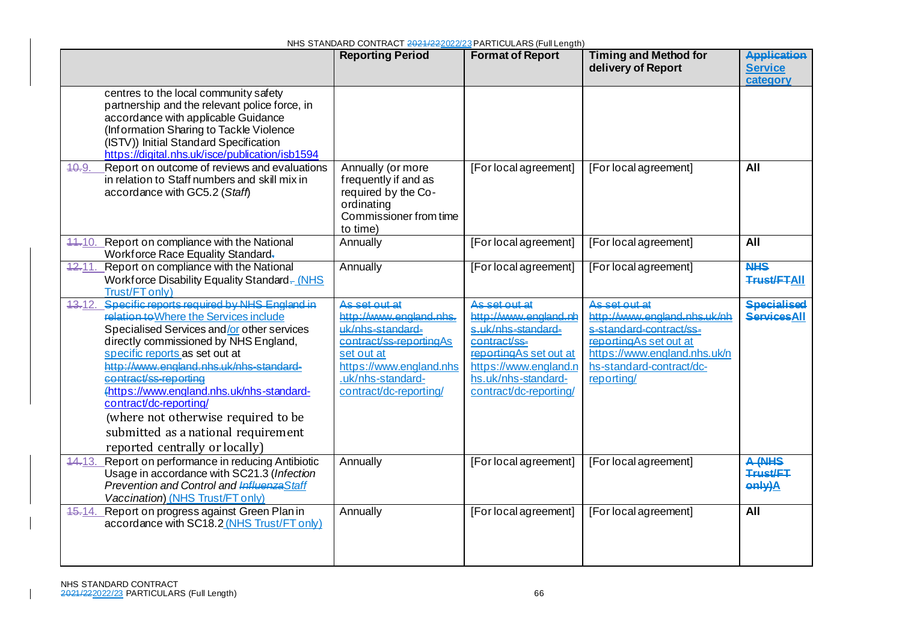|                                                                                                                                                                                                                                                                                                                                                                                                                                                                                     | <b>Reporting Period</b>                                                                                                                                                         | <b>Format of Report</b>                                                                                                                                                          | <b>Timing and Method for</b><br>delivery of Report                                                                                                                            | <b>Application</b><br><b>Service</b><br>category |
|-------------------------------------------------------------------------------------------------------------------------------------------------------------------------------------------------------------------------------------------------------------------------------------------------------------------------------------------------------------------------------------------------------------------------------------------------------------------------------------|---------------------------------------------------------------------------------------------------------------------------------------------------------------------------------|----------------------------------------------------------------------------------------------------------------------------------------------------------------------------------|-------------------------------------------------------------------------------------------------------------------------------------------------------------------------------|--------------------------------------------------|
| centres to the local community safety<br>partnership and the relevant police force, in<br>accordance with applicable Guidance<br>(Information Sharing to Tackle Violence<br>(ISTV)) Initial Standard Specification<br>https://digital.nhs.uk/isce/publication/isb1594                                                                                                                                                                                                               |                                                                                                                                                                                 |                                                                                                                                                                                  |                                                                                                                                                                               |                                                  |
| Report on outcome of reviews and evaluations<br>40.9<br>in relation to Staff numbers and skill mix in<br>accordance with GC5.2 (Staff)                                                                                                                                                                                                                                                                                                                                              | Annually (or more<br>frequently if and as<br>required by the Co-<br>ordinating<br>Commissioner from time<br>to time)                                                            | [For local agreement]                                                                                                                                                            | [For local agreement]                                                                                                                                                         | All                                              |
| 44.10. Report on compliance with the National<br>Workforce Race Equality Standard.                                                                                                                                                                                                                                                                                                                                                                                                  | Annually                                                                                                                                                                        | [For local agreement]                                                                                                                                                            | [For local agreement]                                                                                                                                                         | All                                              |
| Report on compliance with the National<br>12.11.<br>Workforce Disability Equality Standard-(NHS<br>Trust/FT only)                                                                                                                                                                                                                                                                                                                                                                   | Annually                                                                                                                                                                        | [For local agreement]                                                                                                                                                            | [For local agreement]                                                                                                                                                         | <b>NHS</b><br><b>Trust/FTAII</b>                 |
| Specific reports required by NHS England in<br>13.12.<br>relation to Where the Services include<br>Specialised Services and/or other services<br>directly commissioned by NHS England,<br>specific reports as set out at<br>http://www.england.nhs.uk/nhs-standard-<br>contract/ss-reporting<br>(https://www.england.nhs.uk/nhs-standard-<br>contract/dc-reporting/<br>(where not otherwise required to be<br>submitted as a national requirement<br>reported centrally or locally) | As set out at<br>http://www.england.nhs.<br>uk/phs-standard-<br>contract/ss-reportingAs<br>set out at<br>https://www.england.nhs<br>.uk/nhs-standard-<br>contract/dc-reporting/ | As set out at<br>http://www.england.nh<br>s uk/nhs-standard-<br>contract/ss-<br>reportingAs set out at<br>https://www.england.n<br>hs.uk/nhs-standard-<br>contract/dc-reporting/ | As set out at<br>http://www.england.nhs.uk/nh<br>s-standard-contract/ss-<br>reporting As set out at<br>https://www.england.nhs.uk/n<br>hs-standard-contract/dc-<br>reporting/ | <b>Specialised</b><br><b>ServicesAll</b>         |
| 44.13. Report on performance in reducing Antibiotic<br>Usage in accordance with SC21.3 (Infection<br>Prevention and Control and InfluenzaStaff<br>Vaccination) (NHS Trust/FT only)                                                                                                                                                                                                                                                                                                  | Annually                                                                                                                                                                        | [For local agreement]                                                                                                                                                            | [For local agreement]                                                                                                                                                         | A (NHS<br>Trust/FT<br>only)A                     |
| Report on progress against Green Plan in<br><del>15.</del> 14.<br>accordance with SC18.2 (NHS Trust/FT only)                                                                                                                                                                                                                                                                                                                                                                        | Annually                                                                                                                                                                        | [For local agreement]                                                                                                                                                            | [For local agreement]                                                                                                                                                         | <b>All</b>                                       |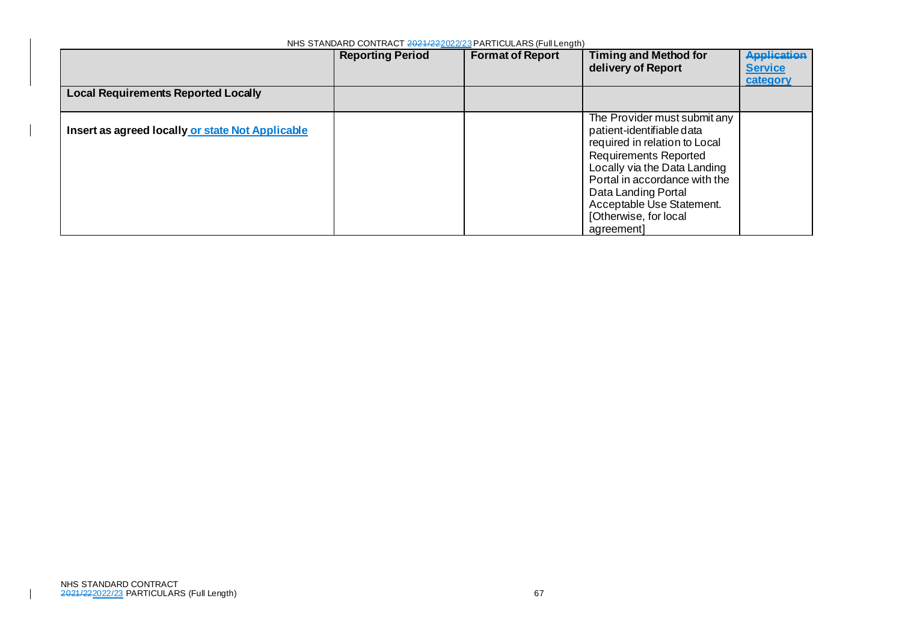| NHS STANDARD CONTRACT 2021/22/02/23 PARTICULARS (FUILENGIN) |                         |                         |                                                                                                                                                                                                                                                                                        |                                                  |  |
|-------------------------------------------------------------|-------------------------|-------------------------|----------------------------------------------------------------------------------------------------------------------------------------------------------------------------------------------------------------------------------------------------------------------------------------|--------------------------------------------------|--|
|                                                             | <b>Reporting Period</b> | <b>Format of Report</b> | <b>Timing and Method for</b><br>delivery of Report                                                                                                                                                                                                                                     | <b>Application</b><br><b>Service</b><br>category |  |
| <b>Local Requirements Reported Locally</b>                  |                         |                         |                                                                                                                                                                                                                                                                                        |                                                  |  |
| Insert as agreed locally or state Not Applicable            |                         |                         | The Provider must submit any<br>patient-identifiable data<br>required in relation to Local<br><b>Requirements Reported</b><br>Locally via the Data Landing<br>Portal in accordance with the<br>Data Landing Portal<br>Acceptable Use Statement.<br>[Otherwise, for local<br>agreement] |                                                  |  |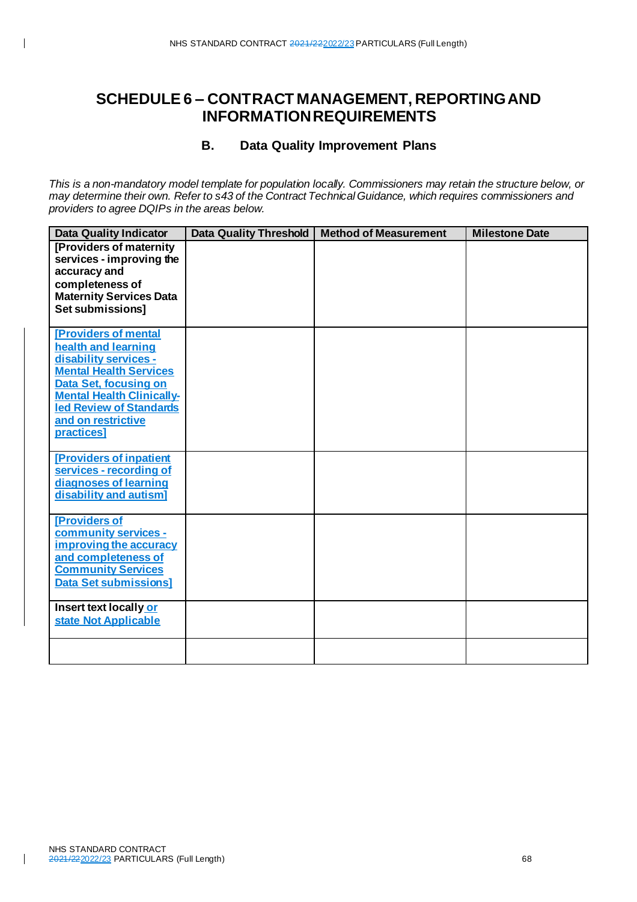### **B. Data Quality Improvement Plans**

*This is a non-mandatory model template for population locally. Commissioners may retain the structure below, or may determine their own. Refer to s43 of the Contract Technical Guidance, which requires commissioners and providers to agree DQIPs in the areas below.*

| <b>Data Quality Indicator</b>                                       | <b>Data Quality Threshold</b> | <b>Method of Measurement</b> | <b>Milestone Date</b> |
|---------------------------------------------------------------------|-------------------------------|------------------------------|-----------------------|
| [Providers of maternity<br>services - improving the<br>accuracy and |                               |                              |                       |
| completeness of                                                     |                               |                              |                       |
| <b>Maternity Services Data</b><br>Set submissions]                  |                               |                              |                       |
| <b>[Providers of mental</b><br>health and learning                  |                               |                              |                       |
| disability services -<br><b>Mental Health Services</b>              |                               |                              |                       |
| Data Set, focusing on                                               |                               |                              |                       |
| <b>Mental Health Clinically-</b><br><b>led Review of Standards</b>  |                               |                              |                       |
| and on restrictive<br>practices]                                    |                               |                              |                       |
| <b>[Providers of inpatient</b>                                      |                               |                              |                       |
| services - recording of                                             |                               |                              |                       |
| diagnoses of learning<br>disability and autism]                     |                               |                              |                       |
| [Providers of<br>community services -                               |                               |                              |                       |
| improving the accuracy                                              |                               |                              |                       |
| and completeness of<br><b>Community Services</b>                    |                               |                              |                       |
| <b>Data Set submissions]</b>                                        |                               |                              |                       |
| Insert text locally or<br>state Not Applicable                      |                               |                              |                       |
|                                                                     |                               |                              |                       |
|                                                                     |                               |                              |                       |

 $\mathbf{I}$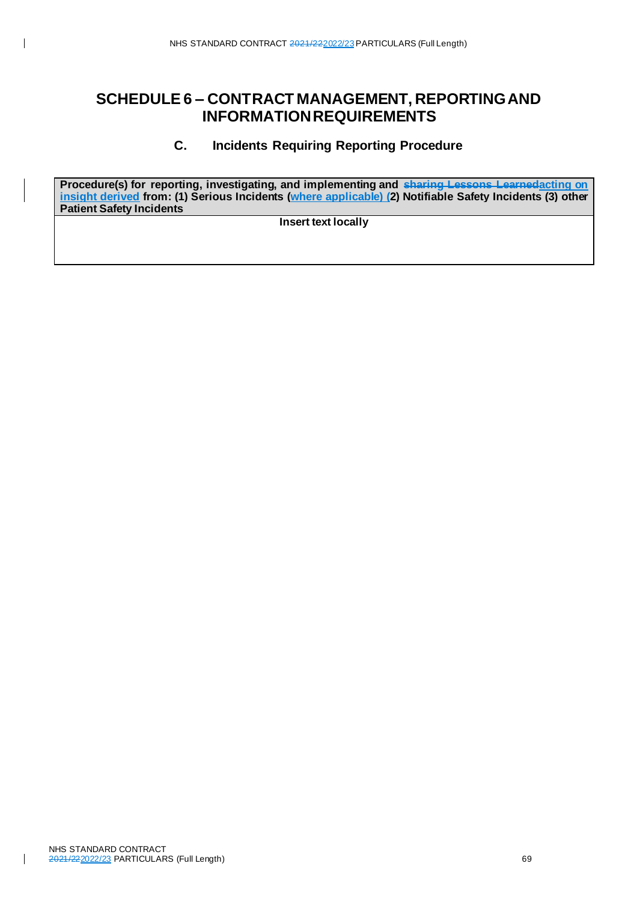### **C. Incidents Requiring Reporting Procedure**

**Procedure(s) for reporting, investigating, and implementing and sharing Lessons Learnedacting on insight derived from: (1) Serious Incidents (where applicable) (2) Notifiable Safety Incidents (3) other Patient Safety Incidents**

**Insert text locally**

 $\mathbf{I}$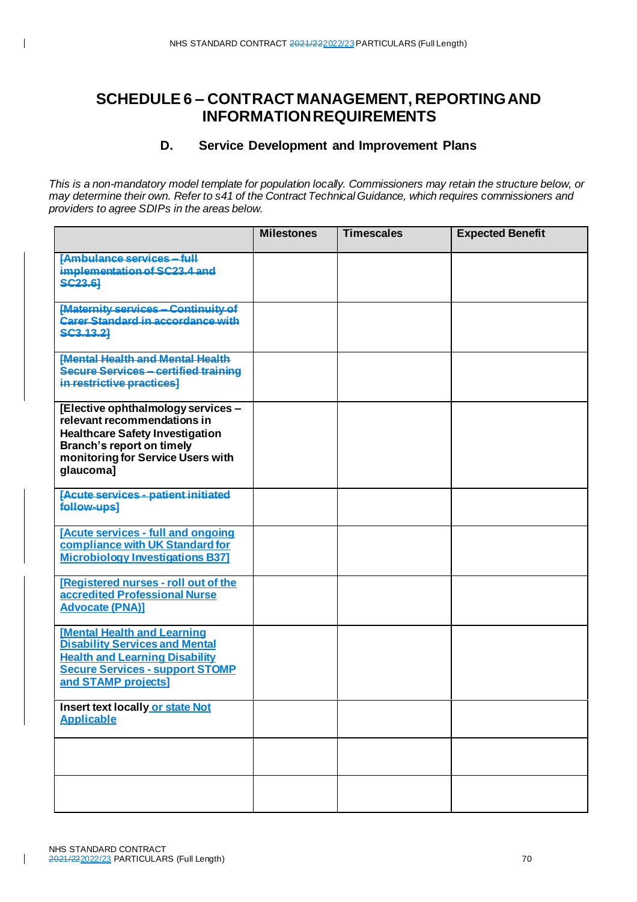### **D. Service Development and Improvement Plans**

*This is a non-mandatory model template for population locally. Commissioners may retain the structure below, or may determine their own. Refer to s41 of the Contract Technical Guidance, which requires commissioners and providers to agree SDIPs in the areas below.*

|                                                                                                                                                                                                   | <b>Milestones</b> | <b>Timescales</b> | <b>Expected Benefit</b> |
|---------------------------------------------------------------------------------------------------------------------------------------------------------------------------------------------------|-------------------|-------------------|-------------------------|
| <b>[Ambulance services - full</b><br>implementation of SC23.4 and<br><b>SC23.61</b>                                                                                                               |                   |                   |                         |
| [Maternity services - Continuity of<br>Carer Standard in accordance with<br>SC3.13.21                                                                                                             |                   |                   |                         |
| <b>IMental Health and Mental Health</b><br>Secure Services - certified training<br>in restrictive practices]                                                                                      |                   |                   |                         |
| [Elective ophthalmology services -<br>relevant recommendations in<br><b>Healthcare Safety Investigation</b><br><b>Branch's report on timely</b><br>monitoring for Service Users with<br>qlaucomal |                   |                   |                         |
| [Acute services - patient initiated<br><b>follow-ups]</b>                                                                                                                                         |                   |                   |                         |
| [Acute services - full and ongoing<br>compliance with UK Standard for<br><b>Microbiology Investigations B37]</b>                                                                                  |                   |                   |                         |
| [Registered nurses - roll out of the<br>accredited Professional Nurse<br><b>Advocate (PNA)]</b>                                                                                                   |                   |                   |                         |
| <b>Mental Health and Learning</b><br><b>Disability Services and Mental</b><br><b>Health and Learning Disability</b><br><b>Secure Services - support STOMP</b><br>and STAMP projects]              |                   |                   |                         |
| Insert text locally or state Not<br><b>Applicable</b>                                                                                                                                             |                   |                   |                         |
|                                                                                                                                                                                                   |                   |                   |                         |
|                                                                                                                                                                                                   |                   |                   |                         |

 $\overline{\phantom{a}}$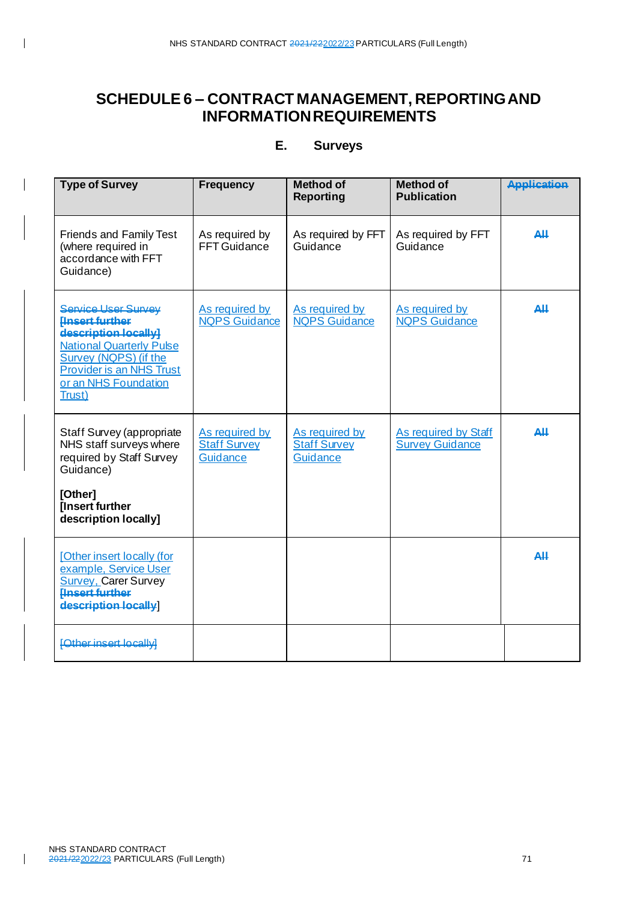### **E. Surveys**

| <b>Type of Survey</b>                                                                                                                                                                                 | <b>Frequency</b>                                  | <b>Method of</b><br><b>Reporting</b>                     | <b>Method of</b><br><b>Publication</b>         | <b>Application</b>                                    |
|-------------------------------------------------------------------------------------------------------------------------------------------------------------------------------------------------------|---------------------------------------------------|----------------------------------------------------------|------------------------------------------------|-------------------------------------------------------|
| <b>Friends and Family Test</b><br>(where required in<br>accordance with FFT<br>Guidance)                                                                                                              | As required by<br>FFT Guidance                    | As required by FFT<br>Guidance                           | As required by FFT<br>Guidance                 | $\Delta$ ll                                           |
| Service User Survey<br><b>Hnsert further</b><br>description locally]<br><b>National Quarterly Pulse</b><br>Survey (NQPS) (if the<br><b>Provider is an NHS Trust</b><br>or an NHS Foundation<br>Trust) | As required by<br><b>NQPS</b> Guidance            | As required by<br><b>NQPS</b> Guidance                   | As required by<br><b>NQPS</b> Guidance         | $\mathbf{\mathbf{\underline{A}}}\mathbf{I}\mathbf{I}$ |
| Staff Survey (appropriate<br>NHS staff surveys where<br>required by Staff Survey<br>Guidance)<br>[Other]<br>[Insert further<br>description locally]                                                   | As required by<br><b>Staff Survey</b><br>Guidance | As required by<br><b>Staff Survey</b><br><b>Guidance</b> | As required by Staff<br><b>Survey Guidance</b> | $\mathbf{\mathbf{\underline{A}}}\mathbf{I}\mathbf{I}$ |
| [Other insert locally (for<br>example, Service User<br><b>Survey, Carer Survey</b><br><b>Hnsert further</b><br>description locally                                                                    |                                                   |                                                          |                                                | $\Delta$ ll                                           |
| <b>[Other insert locally]</b>                                                                                                                                                                         |                                                   |                                                          |                                                |                                                       |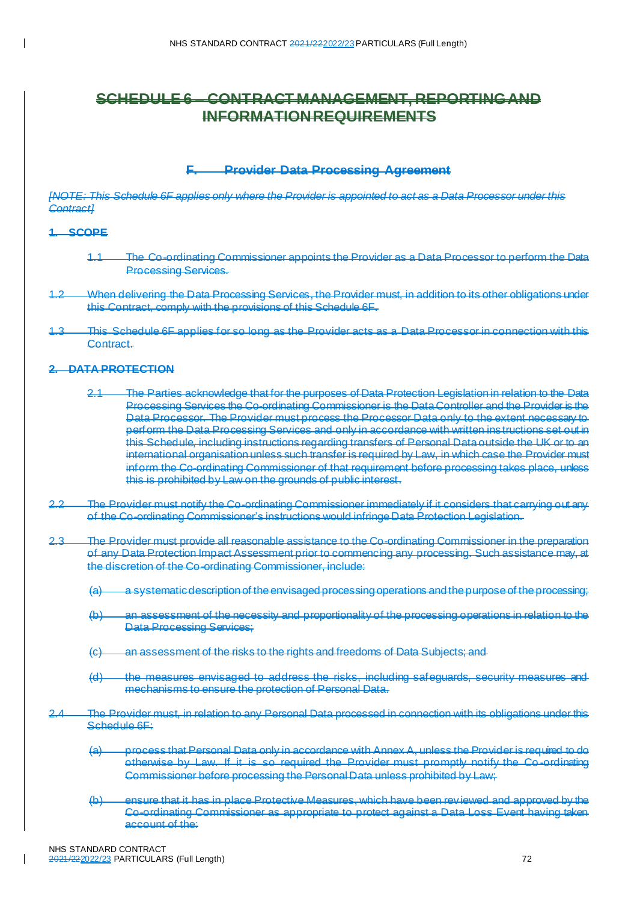#### **F. Provider Data Processing Agreement**

*[NOTE: This Schedule 6F applies only where the Provider is appointed to act as a Data Processor under this Contract]*

#### **1. SCOPE**

- 1.1 The Co-ordinating Commissioner appoints the Provider as a Data Processor to perform the Data **Processing Services.**
- When delivering the Data Processing Services, the Provider must, in addition to its other obligations under this Contract, comply with the provisions of this Schedule 6F.
- This Schedule 6F applies for so long as the Provider acts as a Data Processor in connection with this Contract.

#### **2. DATA PROTECTION**

- 2.1 The Parties acknowledge that for the purposes of Data Protection Legislation in relation to the Data Processing Services the Co-ordinating Commissioner is the Data Controller and the Provider is the Data Processor. The Provider must process the Processor Data only to the extent necessary to perform the Data Processing Services and only in accordance with written instructions set out in this Schedule, including instructions regarding transfers of Personal Data outside the UK or to an international organisation unless such transfer is required by Law, in which case the Provider must inform the Co-ordinating Commissioner of that requirement before processing takes place, unless this is prohibited by Law on the grounds of public interest.
- 2.2 The Provider must notify the Co-ordinating Commissioner immediately if it considers that carrying out any of the Co-ordinating Commissioner's instructions would infringe Data Protection Legislation.
- 2.3 The Provider must provide all reasonable assistance to the Co-ordinating Commissioner in the preparation of any Data Protection Impact Assessment prior to commencing any processing. Such assistance may, at the discretion of the Co-ordinating Commissioner, include:
	- (a) a systematic description of the envisaged processing operations and the purpose of the processing;
	- (b) an assessment of the necessity and proportionality of the processing operations in relation to the Data Processing Services;
	- (c) an assessment of the risks to the rights and freedoms of Data Subjects; and
	- (d) the measures envisaged to address the risks, including safeguards, security measures and mechanisms to ensure the protection of Personal Data.
- 2.4 The Provider must, in relation to any Personal Data processed in connection with its obligations under this Schedule 6F:
	- (a) process that Personal Data only in accordance with Annex A, unless the Provider is required to do otherwise by Law. If it is so required the Provider must promptly notify the Co -ordinating Commissioner before processing the Personal Data unless prohibited by Law;
	- (b) ensure that it has in place Protective Measures, which have been reviewed and approved by the Co-ordinating Commissioner as appropriate to protect against a Data Loss Event having taken account of the: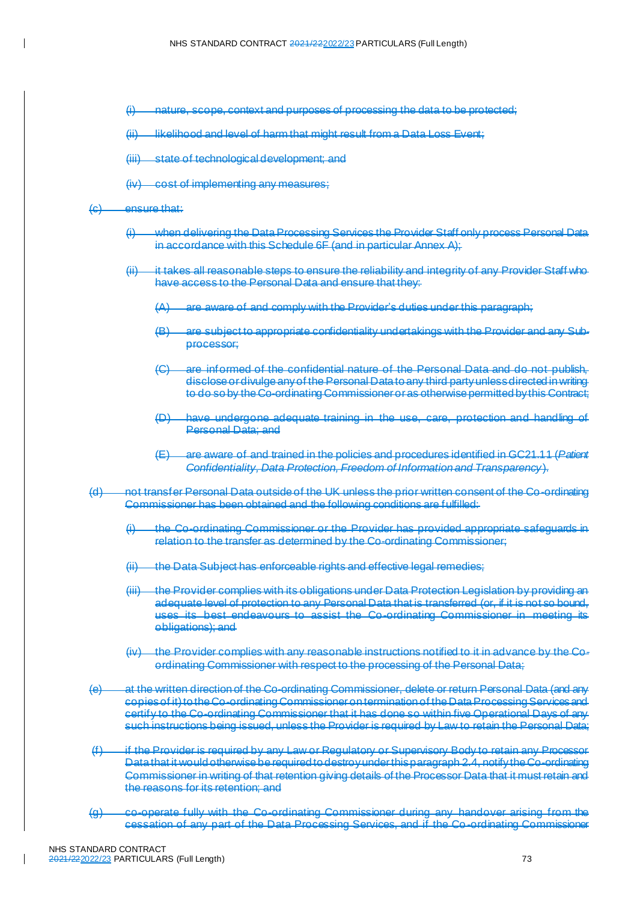- nature, scope, context and purposes of processing the data to be protected;
- (ii) likelihood and level of harm that might result from a Data Loss Event;
- (iii) state of technological development; and
- (iv) cost of implementing any measures;

#### (c) ensure that:

- (i) when delivering the Data Processing Services the Provider Staff only process Personal Data in accordance with this Schedule 6F (and in particular Annex A);
- it takes all reasonable steps to ensure the reliability and integrity of any Provider Staff who have access to the Personal Data and ensure that they:
	- (A) are aware of and comply with the Provider's duties under this paragraph;
	- (B) are subject to appropriate confidentiality undertakings with the Provider and any Subprocessor;
	- are informed of the confidential nature of the Personal Data and do not publish, disclose or divulge any of the Personal Data to any third party unless directed in writing to do so by the Co-ordinating Commissioner or as otherwise permitted by this Contract;
	- have undergone adequate training in the use, care, protection and handling of Personal Data; and
	- (E) are aware of and trained in the policies and procedures identified in GC21.11 (*Patient Confidentiality, Data Protection, Freedom of Information and Transparency*).
- (d) not transfer Personal Data outside of the UK unless the prior written consent of the Co-ordinating Commissioner has been obtained and the following conditions are fulfilled:
	- (i) the Co-ordinating Commissioner or the Provider has provided appropriate safeguards in relation to the transfer as determined by the Co-ordinating Commissioner;
	- the Data Subject has enforceable rights and effective legal remedies;
	- (iii) the Provider complies with its obligations under Data Protection Legislation by providing an adequate level of protection to any Personal Data that is transferred (or, if it is not so bound, uses its best endeavours to assist the Co-ordinating Commissioner in meeting its obligations); and
	- $(iy)$  the Provider complies with any reasonable instructions notified to it in advance by the Coordinating Commissioner with respect to the processing of the Personal Data;
- (e) at the written direction of the Co-ordinating Commissioner, delete or return Personal Data (and any copies of it) to the Co-ordinating Commissioner on termination of the Data Processing Services and certify to the Co-ordinating Commissioner that it has done so within five Operational Days of any such instructions being issued, unless the Provider is required by Law to retain the Personal Data;
- (f) if the Provider is required by any Law or Regulatory or Supervisory Body to retain any Processor Data that it would otherwise be required to destroy under this paragrap[h 2.4](#page-71-0), notify the Co-ordinating Commissioner in writing of that retention giving details of the Processor Data that it must retain and the reasons for its retention; and
- (g) co-operate fully with the Co-ordinating Commissioner during any handover arising from the cessation of any part of the Data Processing Services, and if the Co -ordinating Commissioner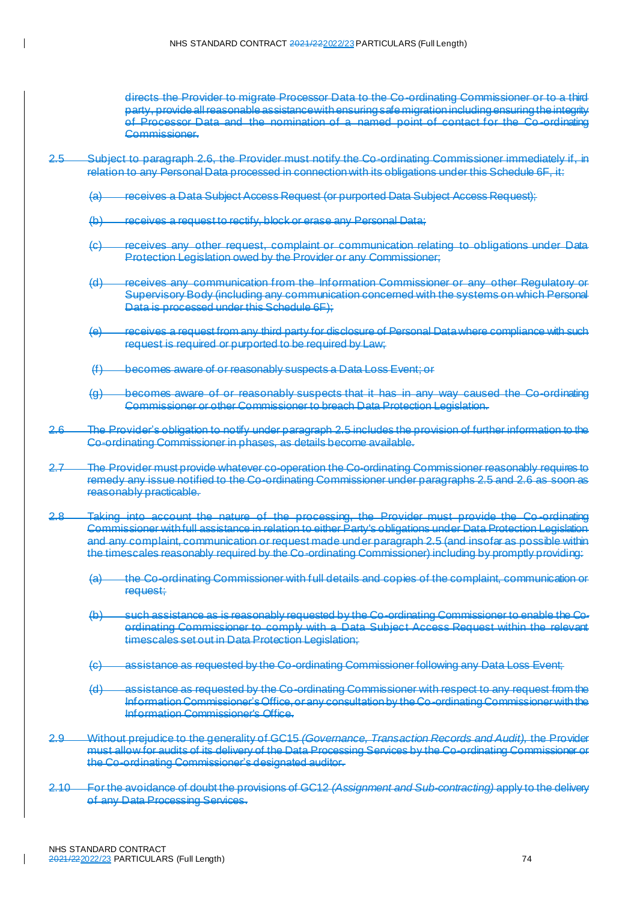directs the Provider to migrate Processor Data to the Co-ordinating Commissioner or to a third party, provide all reasonable assistance with ensuring safe migration including ensuring the integrity of Processor Data and the nomination of a named point of contact for the Co -ordinating Commissioner.

- <span id="page-73-1"></span>2.5 Subject to paragrap[h 2.6,](#page-73-0) the Provider must notify the Co-ordinating Commissioner immediately if, in relation to any Personal Data processed in connection with its obligations under this Schedule 6F, it:
	- (a) receives a Data Subject Access Request (or purported Data Subject Access Request);
	- (b) receives a request to rectify, block or erase any Personal Data;
	- (c) receives any other request, complaint or communication relating to obligations under Data Protection Legislation owed by the Provider or any Commissioner;
	- (d) receives any communication from the Information Commissioner or any other Regulatory Supervisory Body (including any communication concerned with the systems on which Personal Data is processed under this Schedule 6F);
	- (e) receives a request from any third party for disclosure of Personal Data where compliance with such request is required or purported to be required by Law;
	- (f) becomes aware of or reasonably suspects a Data Loss Event; or
	- (g) becomes aware of or reasonably suspects that it has in any way caused the Co-ordinating Commissioner or other Commissioner to breach Data Protection Legislation.
- <span id="page-73-0"></span>The Provider's obligation to notify under paragrap[h 2.5](#page-73-1) includes the provision of further information to the Co-ordinating Commissioner in phases, as details become available.
- 2.7 The Provider must provide whatever co-operation the Co-ordinating Commissioner reasonably requires to remedy any issue notified to the Co-ordinating Commissioner under paragraph[s 2.5](#page-73-1) an[d 2.6](#page-73-0) as soon as reasonably practicable.
- 2.8 Taking into account the nature of the processing, the Provider must provide the Co -ordinating Commissioner with full assistance in relation to either Party's obligations under Data Protection Legislation and any complaint, communication or request made under paragrap[h 2.5](#page-73-1) (and insofar as possible within the timescales reasonably required by the Co-ordinating Commissioner) including by promptly providing:
	- (a) the Co-ordinating Commissioner with full details and copies of the complaint, communication or request:
	- (b) such assistance as is reasonably requested by the Co-ordinating Commissioner to enable the Coordinating Commissioner to comply with a Data Subject Access Request within the relevant timescales set out in Data Protection Legislation;
	- (c) assistance as requested by the Co-ordinating Commissioner following any Data Loss Event;
	- (d) assistance as requested by the Co-ordinating Commissioner with respect to any request from the Information Commissioner's Office, or any consultation by the Co-ordinating Commissioner with the Information Commissioner's Office.
- 2.9 Without prejudice to the generality of GC15 *(Governance, Transaction Records and Audit),* the Provider must allow for audits of its delivery of the Data Processing Services by the Co-ordinating Commissioner or the Co-ordinating Commissioner's designated auditor.
- 2.10 For the avoidance of doubt the provisions of GC12 *(Assignment and Sub-contracting)* apply to the delivery of any Data Processing Services.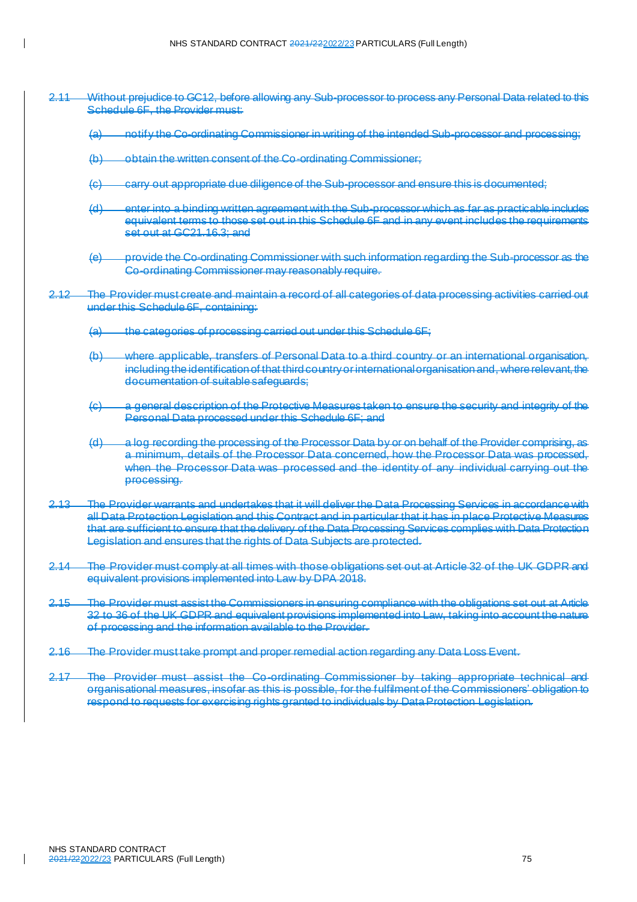- 2.11 Without prejudice to GC12, before allowing any Sub-processor to process any Personal Data related to this Schedule 6F, the Provider must:
	- (a) notify the Co-ordinating Commissioner in writing of the intended Sub-processor and processing;
	- (b) obtain the written consent of the Co-ordinating Commissioner;
	- (c) carry out appropriate due diligence of the Sub-processor and ensure this is documented;
	- (d) enter into a binding written agreement with the Sub-processor which as far as practicable includes equivalent terms to those set out in this Schedule 6F and in any event includes the requirements set out at GC21.16.3; and
	- (e) provide the Co-ordinating Commissioner with such information regarding the Sub-processor as the Co-ordinating Commissioner may reasonably require.
- 2.12 The Provider must create and maintain a record of all categories of data processing activities carried out under this Schedule 6F, containing:
	- (a) the categories of processing carried out under this Schedule 6F;
	- (b) where applicable, transfers of Personal Data to a third country or an international organisation, including the identification of that third country or international organisation and, where relevant, the documentation of suitable safeguards;
	- (c) a general description of the Protective Measures taken to ensure the security and integrity of the Personal Data processed under this Schedule 6F; and
	- (d) a log recording the processing of the Processor Data by or on behalf of the Provider comprising, as a minimum, details of the Processor Data concerned, how the Processor Data was processed, when the Processor Data was processed and the identity of any individual carrying out the processing.
- 2.13 The Provider warrants and undertakes that it will deliver the Data Processing Services in accordance with all Data Protection Legislation and this Contract and in particular that it has in place Protective Measures that are sufficient to ensure that the delivery of the Data Processing Services complies with Data Protection Legislation and ensures that the rights of Data Subjects are protected.
- 2.14 The Provider must comply at all times with those obligations set out at Article 32 of the UK GDPR and equivalent provisions implemented into Law by DPA 2018.
- 2.15 The Provider must assist the Commissioners in ensuring compliance with the obligations set out at Article 32 to 36 of the UK GDPR and equivalent provisions implemented into Law, taking into account the nature of processing and the information available to the Provider.
- 2.16 The Provider must take prompt and proper remedial action regarding any Data Loss Event.
- 2.17 The Provider must assist the Co-ordinating Commissioner by taking appropriate technical and organisational measures, insofar as this is possible, for the fulfilment of the Commissioners' obligation to respond to requests for exercising rights granted to individuals by Data Protection Legislation.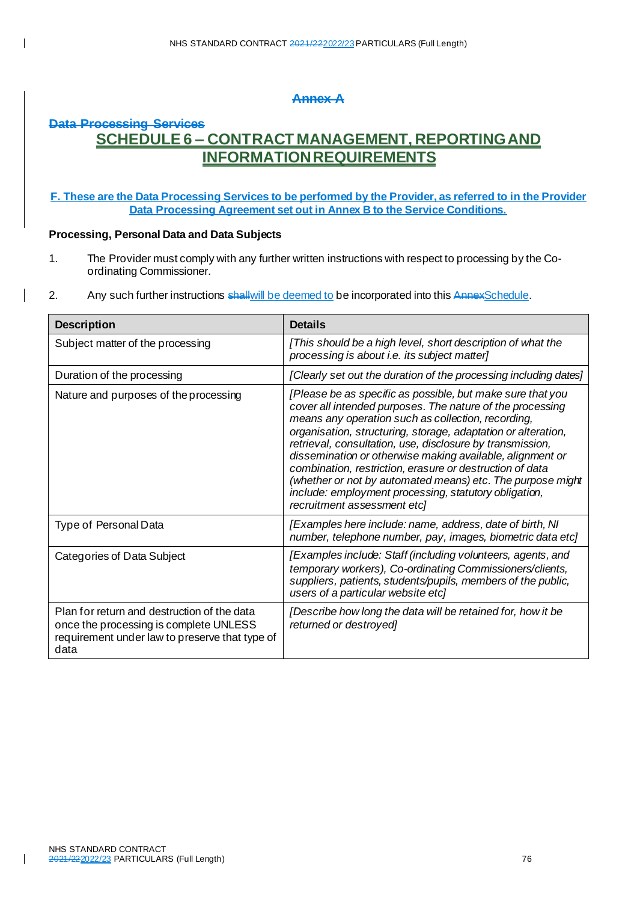# **Annex A**

# **Data Processing Services SCHEDULE 6 – CONTRACT MANAGEMENT, REPORTING AND INFORMATION REQUIREMENTS**

## **F. These are the Data Processing Services to be performed by the Provider, as referred to in the Provider Data Processing Agreement set out in Annex B to the Service Conditions.**

## **Processing, Personal Data and Data Subjects**

- 1. The Provider must comply with any further written instructions with respect to processing by the Coordinating Commissioner.
- 2. Any such further instructions shall will be deemed to be incorporated into this AnnexSchedule.

| <b>Description</b>                                                                                                                              | <b>Details</b>                                                                                                                                                                                                                                                                                                                                                                                                                                                                                                                                                                             |
|-------------------------------------------------------------------------------------------------------------------------------------------------|--------------------------------------------------------------------------------------------------------------------------------------------------------------------------------------------------------------------------------------------------------------------------------------------------------------------------------------------------------------------------------------------------------------------------------------------------------------------------------------------------------------------------------------------------------------------------------------------|
| Subject matter of the processing                                                                                                                | [This should be a high level, short description of what the<br>processing is about i.e. its subject matter]                                                                                                                                                                                                                                                                                                                                                                                                                                                                                |
| Duration of the processing                                                                                                                      | [Clearly set out the duration of the processing including dates]                                                                                                                                                                                                                                                                                                                                                                                                                                                                                                                           |
| Nature and purposes of the processing                                                                                                           | [Please be as specific as possible, but make sure that you<br>cover all intended purposes. The nature of the processing<br>means any operation such as collection, recording,<br>organisation, structuring, storage, adaptation or alteration,<br>retrieval, consultation, use, disclosure by transmission,<br>dissemination or otherwise making available, alignment or<br>combination, restriction, erasure or destruction of data<br>(whether or not by automated means) etc. The purpose might<br>include: employment processing, statutory obligation,<br>recruitment assessment etcl |
| Type of Personal Data                                                                                                                           | [Examples here include: name, address, date of birth, NI<br>number, telephone number, pay, images, biometric data etc]                                                                                                                                                                                                                                                                                                                                                                                                                                                                     |
| Categories of Data Subject                                                                                                                      | [Examples include: Staff (including volunteers, agents, and<br>temporary workers), Co-ordinating Commissioners/clients,<br>suppliers, patients, students/pupils, members of the public,<br>users of a particular website etc]                                                                                                                                                                                                                                                                                                                                                              |
| Plan for return and destruction of the data<br>once the processing is complete UNLESS<br>requirement under law to preserve that type of<br>data | [Describe how long the data will be retained for, how it be<br>returned or destroyed]                                                                                                                                                                                                                                                                                                                                                                                                                                                                                                      |

 $\overline{\phantom{a}}$ 

 $\overline{\phantom{a}}$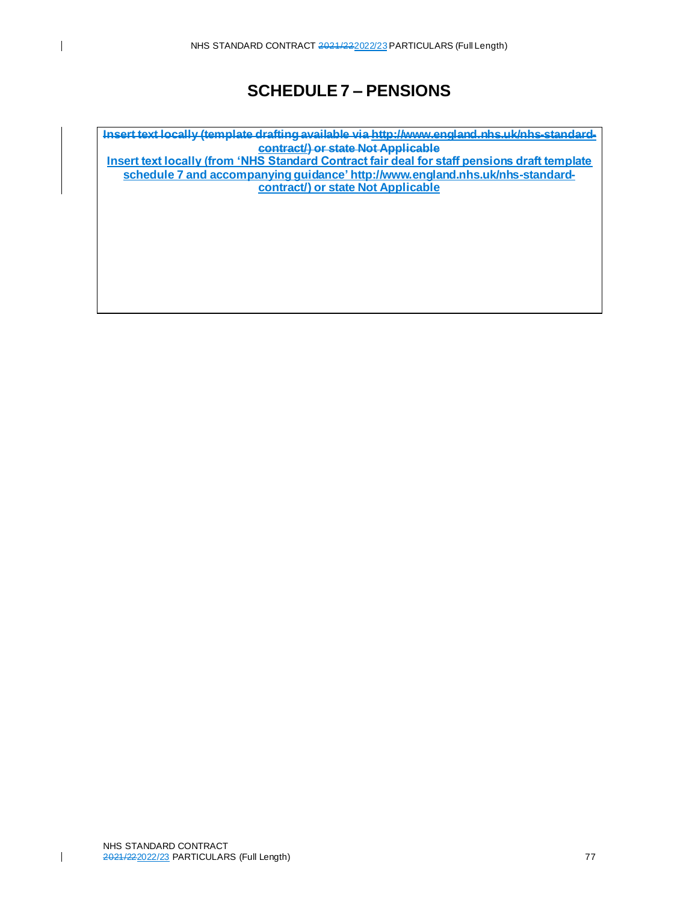# **SCHEDULE 7 – PENSIONS**

**Insert text locally (template drafting available via http://www.england.nhs.uk/nhs-standardcontract/) or state Not Applicable**

**Insert text locally (from 'NHS Standard Contract fair deal for staff pensions draft template schedule 7 and accompanying guidance' [http://www.england.nhs.uk/nhs-standard](http://www.england.nhs.uk/nhs-standard-contract/)[contract/\)](http://www.england.nhs.uk/nhs-standard-contract/) or state Not Applicable**

 $\mathbf{I}$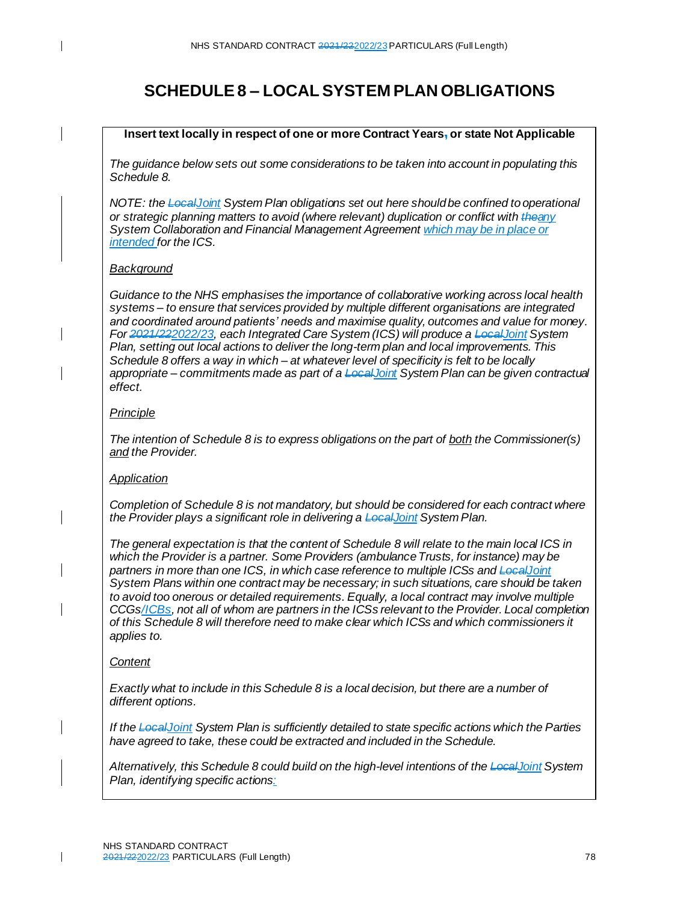# **SCHEDULE 8 – LOCAL SYSTEM PLAN OBLIGATIONS**

#### **Insert text locally in respect of one or more Contract Years, or state Not Applicable**

*The guidance below sets out some considerations to be taken into account in populating this Schedule 8.* 

*NOTE: the LocalJoint System Plan obligations set out here should be confined to operational or strategic planning matters to avoid (where relevant) duplication or conflict with theany System Collaboration and Financial Management Agreement which may be in place or intended for the ICS.*

## *Background*

*Guidance to the NHS emphasises the importance of collaborative working across local health systems – to ensure that services provided by multiple different organisations are integrated and coordinated around patients' needs and maximise quality, outcomes and value for money. For 2021/222022/23, each Integrated Care System (ICS) will produce a LocalJoint System Plan, setting out local actions to deliver the long-term plan and local improvements. This Schedule 8 offers a way in which – at whatever level of specificity is felt to be locally appropriate – commitments made as part of a LocalJoint System Plan can be given contractual effect.* 

#### *Principle*

*The intention of Schedule 8 is to express obligations on the part of both the Commissioner(s) and the Provider.* 

## *Application*

*Completion of Schedule 8 is not mandatory, but should be considered for each contract where the Provider plays a significant role in delivering a LocalJoint System Plan.*

*The general expectation is that the content of Schedule 8 will relate to the main local ICS in which the Provider is a partner. Some Providers (ambulance Trusts, for instance) may be partners in more than one ICS, in which case reference to multiple ICSs and LocalJoint System Plans within one contract may be necessary; in such situations, care should be taken to avoid too onerous or detailed requirements. Equally, a local contract may involve multiple CCGs/ICBs, not all of whom are partners in the ICSs relevant to the Provider. Local completion of this Schedule 8 will therefore need to make clear which ICSs and which commissioners it applies to.* 

#### *Content*

I

 $\mathsf{l}$ 

*Exactly what to include in this Schedule 8 is a local decision, but there are a number of different options.* 

*If the LocalJoint System Plan is sufficiently detailed to state specific actions which the Parties have agreed to take, these could be extracted and included in the Schedule.* 

*Alternatively, this Schedule 8 could build on the high-level intentions of the LocalJoint System Plan, identifying specific actions:*

 $\mathbf{I}$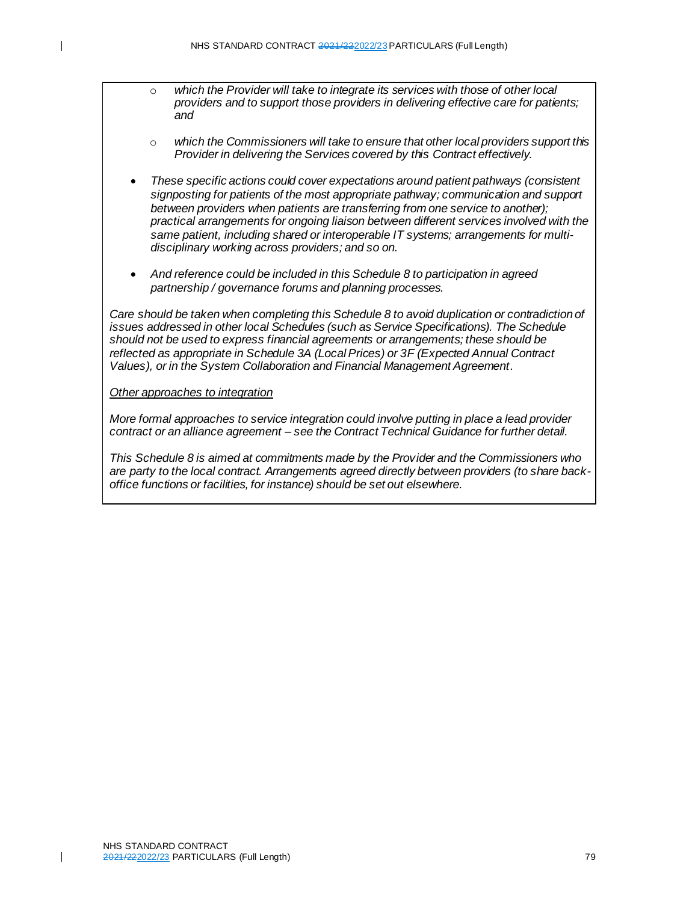- o *which the Provider will take to integrate its services with those of other local providers and to support those providers in delivering effective care for patients; and*
- o *which the Commissioners will take to ensure that other local providers support this Provider in delivering the Services covered by this Contract effectively.*
- *These specific actions could cover expectations around patient pathways (consistent signposting for patients of the most appropriate pathway; communication and support between providers when patients are transferring from one service to another); practical arrangements for ongoing liaison between different services involved with the same patient, including shared or interoperable IT systems; arrangements for multidisciplinary working across providers; and so on.*
- *And reference could be included in this Schedule 8 to participation in agreed partnership / governance forums and planning processes.*

*Care should be taken when completing this Schedule 8 to avoid duplication or contradiction of issues addressed in other local Schedules (such as Service Specifications). The Schedule should not be used to express financial agreements or arrangements; these should be reflected as appropriate in Schedule 3A (Local Prices) or 3F (Expected Annual Contract Values), or in the System Collaboration and Financial Management Agreement.*

*Other approaches to integration*

*More formal approaches to service integration could involve putting in place a lead provider contract or an alliance agreement – see the Contract Technical Guidance for further detail.* 

*This Schedule 8 is aimed at commitments made by the Provider and the Commissioners who are party to the local contract. Arrangements agreed directly between providers (to share backoffice functions or facilities, for instance) should be set out elsewhere.*